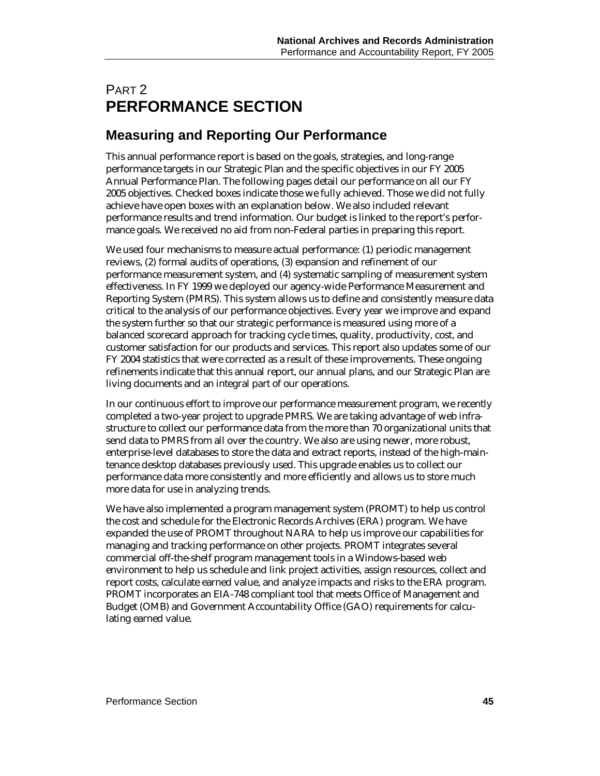# PART 2 **PERFORMANCE SECTION**

# **Measuring and Reporting Our Performance**

This annual performance report is based on the goals, strategies, and long-range performance targets in our Strategic Plan and the specific objectives in our FY 2005 Annual Performance Plan. The following pages detail our performance on all our FY 2005 objectives. Checked boxes indicate those we fully achieved. Those we did not fully achieve have open boxes with an explanation below. We also included relevant performance results and trend information. Our budget is linked to the report's performance goals. We received no aid from non-Federal parties in preparing this report.

We used four mechanisms to measure actual performance: (1) periodic management reviews, (2) formal audits of operations, (3) expansion and refinement of our performance measurement system, and (4) systematic sampling of measurement system effectiveness. In FY 1999 we deployed our agency-wide Performance Measurement and Reporting System (PMRS). This system allows us to define and consistently measure data critical to the analysis of our performance objectives. Every year we improve and expand the system further so that our strategic performance is measured using more of a balanced scorecard approach for tracking cycle times, quality, productivity, cost, and customer satisfaction for our products and services. This report also updates some of our FY 2004 statistics that were corrected as a result of these improvements. These ongoing refinements indicate that this annual report, our annual plans, and our Strategic Plan are living documents and an integral part of our operations.

In our continuous effort to improve our performance measurement program, we recently completed a two-year project to upgrade PMRS. We are taking advantage of web infrastructure to collect our performance data from the more than 70 organizational units that send data to PMRS from all over the country. We also are using newer, more robust, enterprise-level databases to store the data and extract reports, instead of the high-maintenance desktop databases previously used. This upgrade enables us to collect our performance data more consistently and more efficiently and allows us to store much more data for use in analyzing trends.

We have also implemented a program management system (PROMT) to help us control the cost and schedule for the Electronic Records Archives (ERA) program. We have expanded the use of PROMT throughout NARA to help us improve our capabilities for managing and tracking performance on other projects. PROMT integrates several commercial off-the-shelf program management tools in a Windows-based web environment to help us schedule and link project activities, assign resources, collect and report costs, calculate earned value, and analyze impacts and risks to the ERA program. PROMT incorporates an EIA-748 compliant tool that meets Office of Management and Budget (OMB) and Government Accountability Office (GAO) requirements for calculating earned value.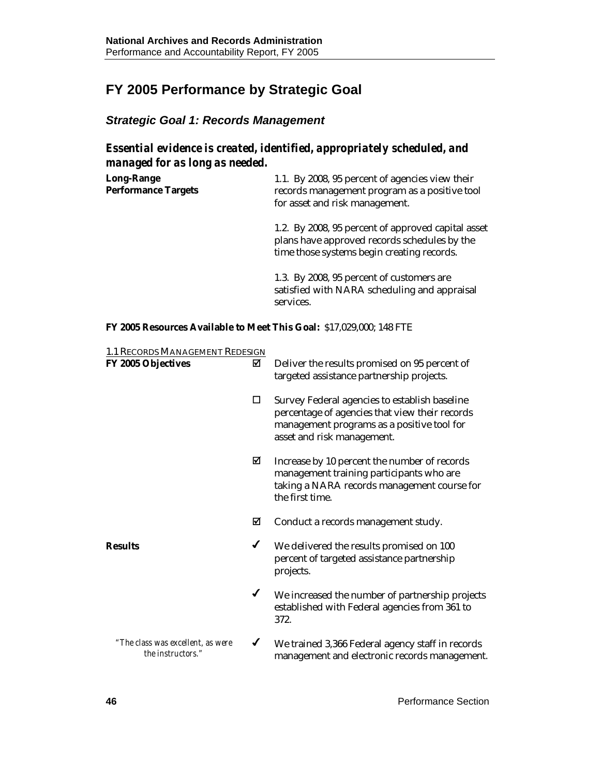# **FY 2005 Performance by Strategic Goal**

## *Strategic Goal 1: Records Management*

*Essential evidence is created, identified, appropriately scheduled, and managed for as long as needed.* 

| <b>Long-Range</b><br><b>Performance Targets</b> | 1.1. By 2008, 95 percent of agencies view their<br>records management program as a positive tool<br>for asset and risk management.               |
|-------------------------------------------------|--------------------------------------------------------------------------------------------------------------------------------------------------|
|                                                 | 1.2. By 2008, 95 percent of approved capital asset<br>plans have approved records schedules by the<br>time those systems begin creating records. |
|                                                 | 1.3. By 2008, 95 percent of customers are<br>satisfied with NARA scheduling and appraisal<br>services.                                           |

**FY 2005 Resources Available to Meet This Goal:** \$17,029,000; 148 FTE

| 1.1 RECORDS MANAGEMENT REDESIGN                        |   |                                                                                                                                                                             |
|--------------------------------------------------------|---|-----------------------------------------------------------------------------------------------------------------------------------------------------------------------------|
| FY 2005 Objectives                                     | ☑ | Deliver the results promised on 95 percent of<br>targeted assistance partnership projects.                                                                                  |
|                                                        | □ | Survey Federal agencies to establish baseline<br>percentage of agencies that view their records<br>management programs as a positive tool for<br>asset and risk management. |
|                                                        | ☑ | Increase by 10 percent the number of records<br>management training participants who are<br>taking a NARA records management course for<br>the first time.                  |
|                                                        | ☑ | Conduct a records management study.                                                                                                                                         |
| <b>Results</b>                                         | ✔ | We delivered the results promised on 100<br>percent of targeted assistance partnership<br>projects.                                                                         |
|                                                        | ✔ | We increased the number of partnership projects<br>established with Federal agencies from 361 to<br>372.                                                                    |
| "The class was excellent, as were<br>the instructors." | ✔ | We trained 3,366 Federal agency staff in records<br>management and electronic records management.                                                                           |
|                                                        |   |                                                                                                                                                                             |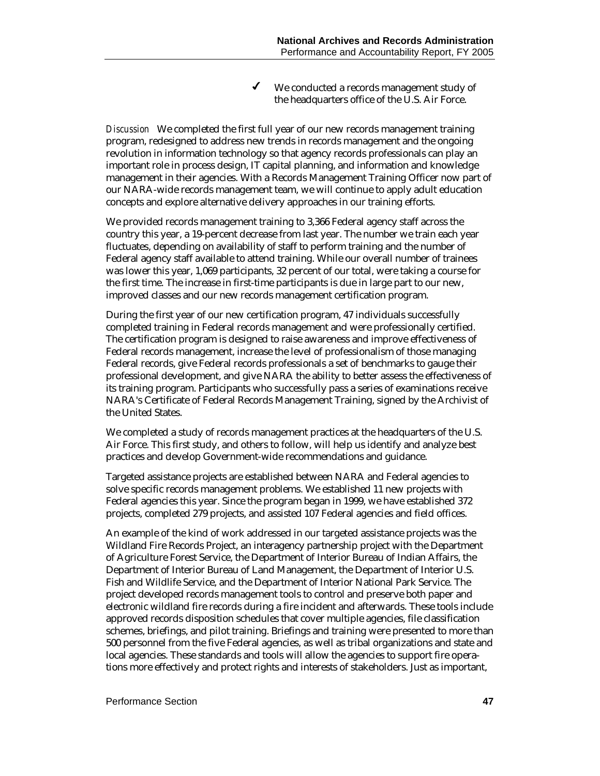$\checkmark$  We conducted a records management study of the headquarters office of the U.S. Air Force.

*Discussion* We completed the first full year of our new records management training program, redesigned to address new trends in records management and the ongoing revolution in information technology so that agency records professionals can play an important role in process design, IT capital planning, and information and knowledge management in their agencies. With a Records Management Training Officer now part of our NARA-wide records management team, we will continue to apply adult education concepts and explore alternative delivery approaches in our training efforts.

We provided records management training to 3,366 Federal agency staff across the country this year, a 19-percent decrease from last year. The number we train each year fluctuates, depending on availability of staff to perform training and the number of Federal agency staff available to attend training. While our overall number of trainees was lower this year, 1,069 participants, 32 percent of our total, were taking a course for the first time. The increase in first-time participants is due in large part to our new, improved classes and our new records management certification program.

During the first year of our new certification program, 47 individuals successfully completed training in Federal records management and were professionally certified. The certification program is designed to raise awareness and improve effectiveness of Federal records management, increase the level of professionalism of those managing Federal records, give Federal records professionals a set of benchmarks to gauge their professional development, and give NARA the ability to better assess the effectiveness of its training program. Participants who successfully pass a series of examinations receive NARA's Certificate of Federal Records Management Training, signed by the Archivist of the United States.

We completed a study of records management practices at the headquarters of the U.S. Air Force. This first study, and others to follow, will help us identify and analyze best practices and develop Government-wide recommendations and guidance.

Targeted assistance projects are established between NARA and Federal agencies to solve specific records management problems. We established 11 new projects with Federal agencies this year. Since the program began in 1999, we have established 372 projects, completed 279 projects, and assisted 107 Federal agencies and field offices.

An example of the kind of work addressed in our targeted assistance projects was the Wildland Fire Records Project, an interagency partnership project with the Department of Agriculture Forest Service, the Department of Interior Bureau of Indian Affairs, the Department of Interior Bureau of Land Management, the Department of Interior U.S. Fish and Wildlife Service, and the Department of Interior National Park Service. The project developed records management tools to control and preserve both paper and electronic wildland fire records during a fire incident and afterwards. These tools include approved records disposition schedules that cover multiple agencies, file classification schemes, briefings, and pilot training. Briefings and training were presented to more than 500 personnel from the five Federal agencies, as well as tribal organizations and state and local agencies. These standards and tools will allow the agencies to support fire operations more effectively and protect rights and interests of stakeholders. Just as important,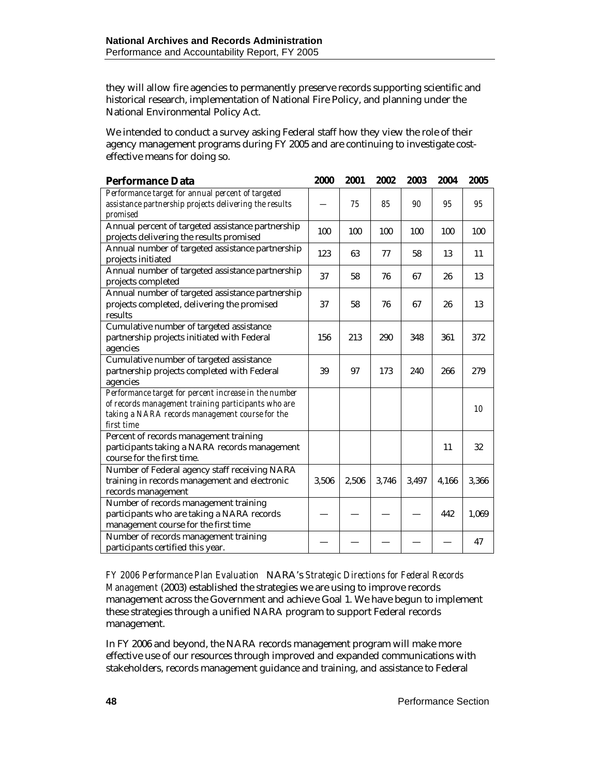they will allow fire agencies to permanently preserve records supporting scientific and historical research, implementation of National Fire Policy, and planning under the National Environmental Policy Act.

We intended to conduct a survey asking Federal staff how they view the role of their agency management programs during FY 2005 and are continuing to investigate costeffective means for doing so.

| <b>Performance Data</b>                                                                                                                                                       | 2000  | 2001  | 2002  | 2003  | 2004  | 2005  |
|-------------------------------------------------------------------------------------------------------------------------------------------------------------------------------|-------|-------|-------|-------|-------|-------|
| Performance target for annual percent of targeted<br>assistance partnership projects delivering the results<br>promised                                                       |       | 75    | 85    | 90    | 95    | 95    |
| Annual percent of targeted assistance partnership<br>projects delivering the results promised                                                                                 | 100   | 100   | 100   | 100   | 100   | 100   |
| Annual number of targeted assistance partnership<br>projects initiated                                                                                                        | 123   | 63    | 77    | 58    | 13    | 11    |
| Annual number of targeted assistance partnership<br>projects completed                                                                                                        | 37    | 58    | 76    | 67    | 26    | 13    |
| Annual number of targeted assistance partnership<br>projects completed, delivering the promised<br>results                                                                    | 37    | 58    | 76    | 67    | 26    | 13    |
| Cumulative number of targeted assistance<br>partnership projects initiated with Federal<br>agencies                                                                           | 156   | 213   | 290   | 348   | 361   | 372   |
| Cumulative number of targeted assistance<br>partnership projects completed with Federal<br>agencies                                                                           | 39    | 97    | 173   | 240   | 266   | 279   |
| Performance target for percent increase in the number<br>of records management training participants who are<br>taking a NARA records management course for the<br>first time |       |       |       |       |       | 10    |
| Percent of records management training<br>participants taking a NARA records management<br>course for the first time.                                                         |       |       |       |       | 11    | 32    |
| Number of Federal agency staff receiving NARA<br>training in records management and electronic<br>records management                                                          | 3,506 | 2,506 | 3,746 | 3,497 | 4,166 | 3,366 |
| Number of records management training<br>participants who are taking a NARA records<br>management course for the first time                                                   |       |       |       |       | 442   | 1,069 |
| Number of records management training<br>participants certified this year.                                                                                                    |       |       |       |       |       | 47    |

*FY 2006 Performance Plan Evaluation*NARA's *Strategic Directions for Federal Records Management* (2003) established the strategies we are using to improve records management across the Government and achieve Goal 1. We have begun to implement these strategies through a unified NARA program to support Federal records management.

In FY 2006 and beyond, the NARA records management program will make more effective use of our resources through improved and expanded communications with stakeholders, records management guidance and training, and assistance to Federal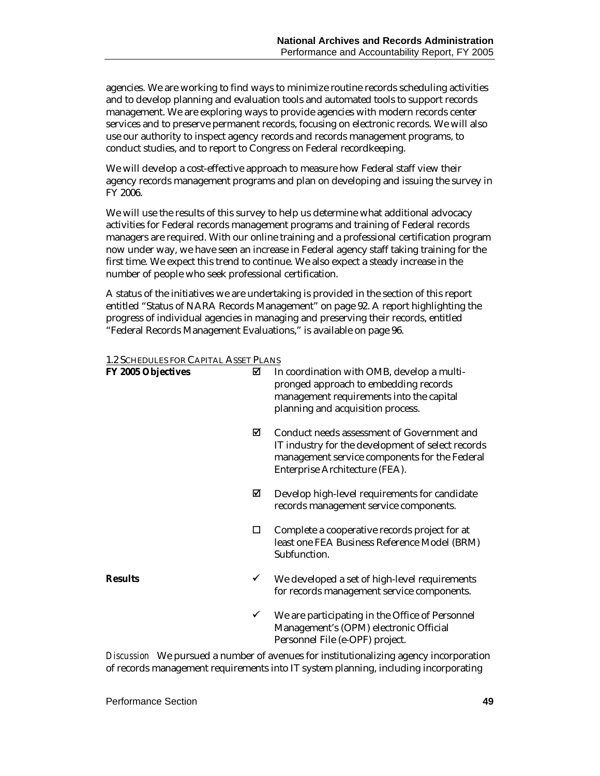agencies. We are working to find ways to minimize routine records scheduling activities and to develop planning and evaluation tools and automated tools to support records management. We are exploring ways to provide agencies with modern records center services and to preserve permanent records, focusing on electronic records. We will also use our authority to inspect agency records and records management programs, to conduct studies, and to report to Congress on Federal recordkeeping.

We will develop a cost-effective approach to measure how Federal staff view their agency records management programs and plan on developing and issuing the survey in FY 2006.

We will use the results of this survey to help us determine what additional advocacy activities for Federal records management programs and training of Federal records managers are required. With our online training and a professional certification program now under way, we have seen an increase in Federal agency staff taking training for the first time. We expect this trend to continue. We also expect a steady increase in the number of people who seek professional certification.

A status of the initiatives we are undertaking is provided in the section of this report entitled "Status of NARA Records Management" on page 92. A report highlighting the progress of individual agencies in managing and preserving their records, entitled "Federal Records Management Evaluations," is available on page 96.

#### 1.2 SCHEDULES FOR CAPITAL ASSET PLANS

| FY 2005 Objectives | ⊠            | In coordination with OMB, develop a multi-<br>pronged approach to embedding records<br>management requirements into the capital<br>planning and acquisition process.               |
|--------------------|--------------|------------------------------------------------------------------------------------------------------------------------------------------------------------------------------------|
|                    | ☑            | Conduct needs assessment of Government and<br>IT industry for the development of select records<br>management service components for the Federal<br>Enterprise Architecture (FEA). |
|                    | ⊠            | Develop high-level requirements for candidate<br>records management service components.                                                                                            |
|                    | □            | Complete a cooperative records project for at<br>least one FEA Business Reference Model (BRM)<br>Subfunction.                                                                      |
| <b>Results</b>     | ✔            | We developed a set of high-level requirements<br>for records management service components.                                                                                        |
|                    | $\checkmark$ | We are participating in the Office of Personnel<br>Management's (OPM) electronic Official<br>Personnel File (e-OPF) project.                                                       |

*Discussion* We pursued a number of avenues for institutionalizing agency incorporation of records management requirements into IT system planning, including incorporating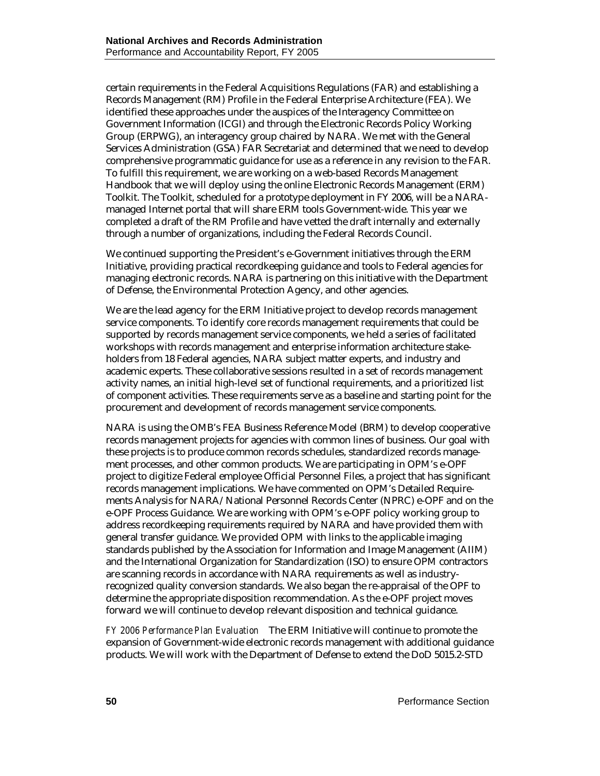certain requirements in the Federal Acquisitions Regulations (FAR) and establishing a Records Management (RM) Profile in the Federal Enterprise Architecture (FEA). We identified these approaches under the auspices of the Interagency Committee on Government Information (ICGI) and through the Electronic Records Policy Working Group (ERPWG), an interagency group chaired by NARA. We met with the General Services Administration (GSA) FAR Secretariat and determined that we need to develop comprehensive programmatic guidance for use as a reference in any revision to the FAR. To fulfill this requirement, we are working on a web-based Records Management Handbook that we will deploy using the online Electronic Records Management (ERM) Toolkit. The Toolkit, scheduled for a prototype deployment in FY 2006, will be a NARAmanaged Internet portal that will share ERM tools Government-wide. This year we completed a draft of the RM Profile and have vetted the draft internally and externally through a number of organizations, including the Federal Records Council.

We continued supporting the President's e-Government initiatives through the ERM Initiative, providing practical recordkeeping guidance and tools to Federal agencies for managing electronic records. NARA is partnering on this initiative with the Department of Defense, the Environmental Protection Agency, and other agencies.

We are the lead agency for the ERM Initiative project to develop records management service components. To identify core records management requirements that could be supported by records management service components, we held a series of facilitated workshops with records management and enterprise information architecture stakeholders from 18 Federal agencies, NARA subject matter experts, and industry and academic experts. These collaborative sessions resulted in a set of records management activity names, an initial high-level set of functional requirements, and a prioritized list of component activities. These requirements serve as a baseline and starting point for the procurement and development of records management service components.

NARA is using the OMB's FEA Business Reference Model (BRM) to develop cooperative records management projects for agencies with common lines of business. Our goal with these projects is to produce common records schedules, standardized records management processes, and other common products. We are participating in OPM's e-OPF project to digitize Federal employee Official Personnel Files, a project that has significant records management implications. We have commented on OPM's Detailed Requirements Analysis for NARA/National Personnel Records Center (NPRC) e-OPF and on the e-OPF Process Guidance. We are working with OPM's e-OPF policy working group to address recordkeeping requirements required by NARA and have provided them with general transfer guidance. We provided OPM with links to the applicable imaging standards published by the Association for Information and Image Management (AIIM) and the International Organization for Standardization (ISO) to ensure OPM contractors are scanning records in accordance with NARA requirements as well as industryrecognized quality conversion standards. We also began the re-appraisal of the OPF to determine the appropriate disposition recommendation. As the e-OPF project moves forward we will continue to develop relevant disposition and technical guidance.

*FY 2006 Performance Plan Evaluation*The ERM Initiative will continue to promote the expansion of Government-wide electronic records management with additional guidance products. We will work with the Department of Defense to extend the DoD 5015.2-STD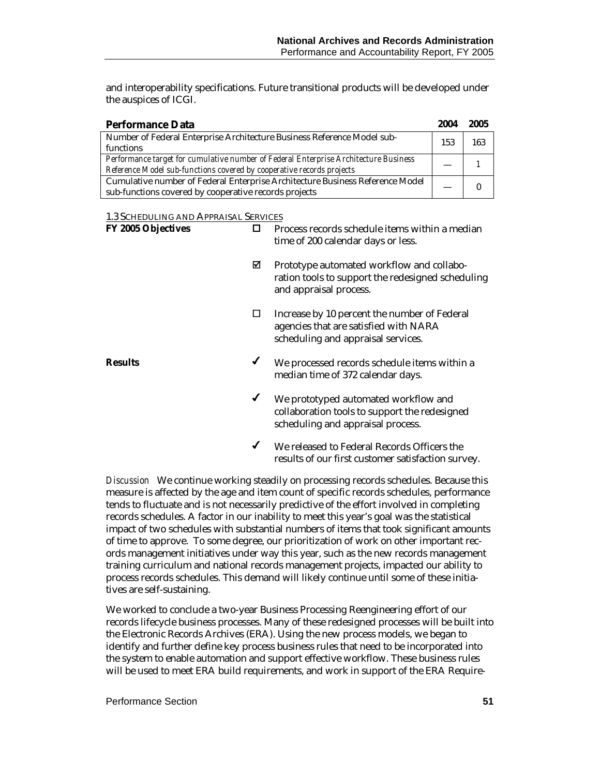and interoperability specifications. Future transitional products will be developed under the auspices of ICGI.

| <b>Performance Data</b>                                                              | 2004 | 2005 |
|--------------------------------------------------------------------------------------|------|------|
| Number of Federal Enterprise Architecture Business Reference Model sub-              | 153  | 163  |
| functions                                                                            |      |      |
| Performance target for cumulative number of Federal Enterprise Architecture Business |      |      |
| Reference Model sub-functions covered by cooperative records projects                |      |      |
| Cumulative number of Federal Enterprise Architecture Business Reference Model        |      |      |
| sub-functions covered by cooperative records projects                                |      |      |

1.3 SCHEDULING AND APPRAISAL SERVICES

| FY 2005 Objectives | ◻            | Process records schedule items within a median<br>time of 200 calendar days or less.                                        |
|--------------------|--------------|-----------------------------------------------------------------------------------------------------------------------------|
|                    | ⊠            | Prototype automated workflow and collabo-<br>ration tools to support the redesigned scheduling<br>and appraisal process.    |
|                    | □            | Increase by 10 percent the number of Federal<br>agencies that are satisfied with NARA<br>scheduling and appraisal services. |
| <b>Results</b>     | $\checkmark$ | We processed records schedule items within a<br>median time of 372 calendar days.                                           |
|                    | $\checkmark$ | We prototyped automated workflow and<br>collaboration tools to support the redesigned<br>scheduling and appraisal process.  |
|                    | ✔            | We released to Federal Records Officers the<br>results of our first customer satisfaction survey.                           |

*Discussion* We continue working steadily on processing records schedules. Because this measure is affected by the age and item count of specific records schedules, performance tends to fluctuate and is not necessarily predictive of the effort involved in completing records schedules. A factor in our inability to meet this year's goal was the statistical impact of two schedules with substantial numbers of items that took significant amounts of time to approve. To some degree, our prioritization of work on other important records management initiatives under way this year, such as the new records management training curriculum and national records management projects, impacted our ability to process records schedules. This demand will likely continue until some of these initiatives are self-sustaining.

We worked to conclude a two-year Business Processing Reengineering effort of our records lifecycle business processes. Many of these redesigned processes will be built into the Electronic Records Archives (ERA). Using the new process models, we began to identify and further define key process business rules that need to be incorporated into the system to enable automation and support effective workflow. These business rules will be used to meet ERA build requirements, and work in support of the ERA Require-

Performance Section **51**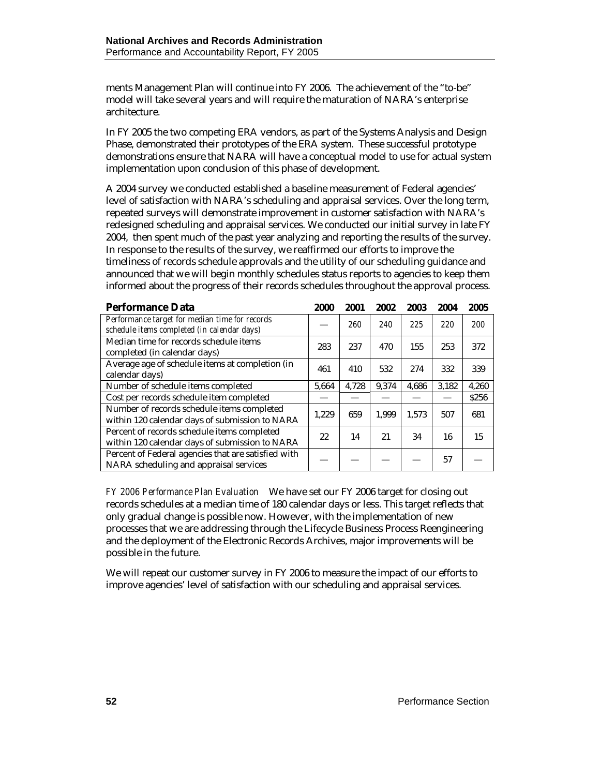ments Management Plan will continue into FY 2006. The achievement of the "to-be" model will take several years and will require the maturation of NARA's enterprise architecture.

In FY 2005 the two competing ERA vendors, as part of the Systems Analysis and Design Phase, demonstrated their prototypes of the ERA system. These successful prototype demonstrations ensure that NARA will have a conceptual model to use for actual system implementation upon conclusion of this phase of development.

A 2004 survey we conducted established a baseline measurement of Federal agencies' level of satisfaction with NARA's scheduling and appraisal services. Over the long term, repeated surveys will demonstrate improvement in customer satisfaction with NARA's redesigned scheduling and appraisal services. We conducted our initial survey in late FY 2004, then spent much of the past year analyzing and reporting the results of the survey. In response to the results of the survey, we reaffirmed our efforts to improve the timeliness of records schedule approvals and the utility of our scheduling guidance and announced that we will begin monthly schedules status reports to agencies to keep them informed about the progress of their records schedules throughout the approval process.

| <b>Performance Data</b>                                                                       | 2000  | 2001  | 2002  | 2003  | 2004  | 2005       |
|-----------------------------------------------------------------------------------------------|-------|-------|-------|-------|-------|------------|
| Performance target for median time for records<br>schedule items completed (in calendar days) |       | 260   | 240   | 225   | 220   | <i>200</i> |
| Median time for records schedule items<br>completed (in calendar days)                        | 283   | 237   | 470   | 155   | 253   | 372        |
| Average age of schedule items at completion (in<br>calendar days)                             | 461   | 410   | 532   | 274   | 332   | 339        |
| Number of schedule items completed                                                            | 5.664 | 4.728 | 9.374 | 4.686 | 3.182 | 4,260      |
| Cost per records schedule item completed                                                      |       |       |       |       |       | \$256      |
| Number of records schedule items completed<br>within 120 calendar days of submission to NARA  | 1,229 | 659   | 1,999 | 1,573 | 507   | 681        |
| Percent of records schedule items completed<br>within 120 calendar days of submission to NARA | 22    | 14    | 21    | 34    | 16    | 15         |
| Percent of Federal agencies that are satisfied with<br>NARA scheduling and appraisal services |       |       |       |       | 57    |            |

*FY 2006 Performance Plan Evaluation*We have set our FY 2006 target for closing out records schedules at a median time of 180 calendar days or less. This target reflects that only gradual change is possible now. However, with the implementation of new processes that we are addressing through the Lifecycle Business Process Reengineering and the deployment of the Electronic Records Archives, major improvements will be possible in the future.

We will repeat our customer survey in FY 2006 to measure the impact of our efforts to improve agencies' level of satisfaction with our scheduling and appraisal services.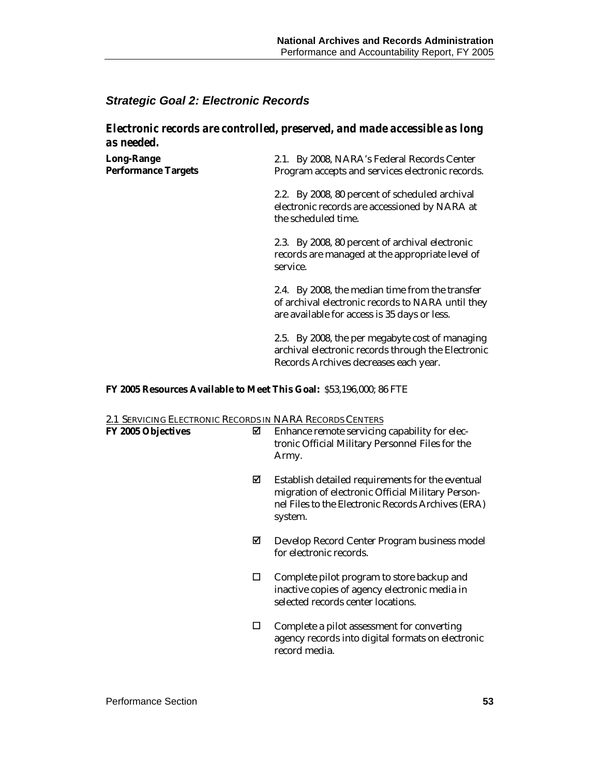### *Strategic Goal 2: Electronic Records*

#### *Electronic records are controlled, preserved, and made accessible as long as needed.*

| <b>Long-Range</b><br><b>Performance Targets</b> | 2.1. By 2008, NARA's Federal Records Center<br>Program accepts and services electronic records.                                                      |
|-------------------------------------------------|------------------------------------------------------------------------------------------------------------------------------------------------------|
|                                                 | 2.2. By 2008, 80 percent of scheduled archival<br>electronic records are accessioned by NARA at<br>the scheduled time.                               |
|                                                 | 2.3. By 2008, 80 percent of archival electronic<br>records are managed at the appropriate level of<br>service.                                       |
|                                                 | 2.4. By 2008, the median time from the transfer<br>of archival electronic records to NARA until they<br>are available for access is 35 days or less. |
|                                                 | 2.5. By 2008, the per megabyte cost of managing<br>archival electronic records through the Electronic<br>Records Archives decreases each year.       |

#### **FY 2005 Resources Available to Meet This Goal:** \$53,196,000; 86 FTE

#### 2.1 SERVICING ELECTRONIC RECORDS IN NARA RECORDS CENTERS

| <b>FY 2005 Objectives</b> | ☑      | Enhance remote servicing capability for elec-<br>tronic Official Military Personnel Files for the<br>Army.                                                             |
|---------------------------|--------|------------------------------------------------------------------------------------------------------------------------------------------------------------------------|
|                           | ⊠      | Establish detailed requirements for the eventual<br>migration of electronic Official Military Person-<br>nel Files to the Electronic Records Archives (ERA)<br>system. |
|                           | ⊠      | Develop Record Center Program business model<br>for electronic records.                                                                                                |
|                           | $\Box$ | Complete pilot program to store backup and<br>inactive copies of agency electronic media in<br>selected records center locations.                                      |
|                           |        | Complete a pilot assessment for converting<br>agency records into digital formats on electronic<br>record media.                                                       |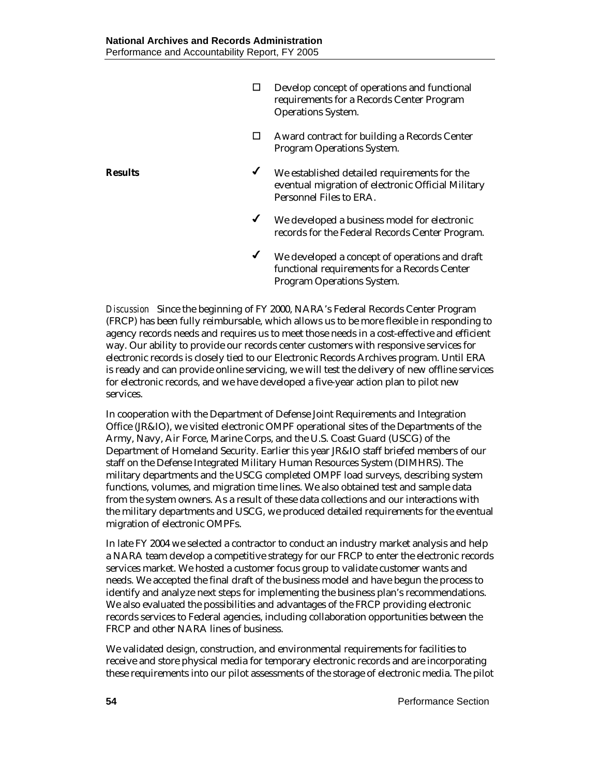- Develop concept of operations and functional requirements for a Records Center Program Operations System.
- Award contract for building a Records Center Program Operations System.
- **Results** ★ We established detailed requirements for the eventual migration of electronic Official Military Personnel Files to ERA.
	- $\checkmark$  We developed a business model for electronic records for the Federal Records Center Program.
	- We developed a concept of operations and draft functional requirements for a Records Center Program Operations System.

*Discussion* Since the beginning of FY 2000, NARA's Federal Records Center Program (FRCP) has been fully reimbursable, which allows us to be more flexible in responding to agency records needs and requires us to meet those needs in a cost-effective and efficient way. Our ability to provide our records center customers with responsive services for electronic records is closely tied to our Electronic Records Archives program. Until ERA is ready and can provide online servicing, we will test the delivery of new offline services for electronic records, and we have developed a five-year action plan to pilot new services.

In cooperation with the Department of Defense Joint Requirements and Integration Office (JR&IO), we visited electronic OMPF operational sites of the Departments of the Army, Navy, Air Force, Marine Corps, and the U.S. Coast Guard (USCG) of the Department of Homeland Security. Earlier this year JR&IO staff briefed members of our staff on the Defense Integrated Military Human Resources System (DIMHRS). The military departments and the USCG completed OMPF load surveys, describing system functions, volumes, and migration time lines. We also obtained test and sample data from the system owners. As a result of these data collections and our interactions with the military departments and USCG, we produced detailed requirements for the eventual migration of electronic OMPFs.

In late FY 2004 we selected a contractor to conduct an industry market analysis and help a NARA team develop a competitive strategy for our FRCP to enter the electronic records services market. We hosted a customer focus group to validate customer wants and needs. We accepted the final draft of the business model and have begun the process to identify and analyze next steps for implementing the business plan's recommendations. We also evaluated the possibilities and advantages of the FRCP providing electronic records services to Federal agencies, including collaboration opportunities between the FRCP and other NARA lines of business.

We validated design, construction, and environmental requirements for facilities to receive and store physical media for temporary electronic records and are incorporating these requirements into our pilot assessments of the storage of electronic media. The pilot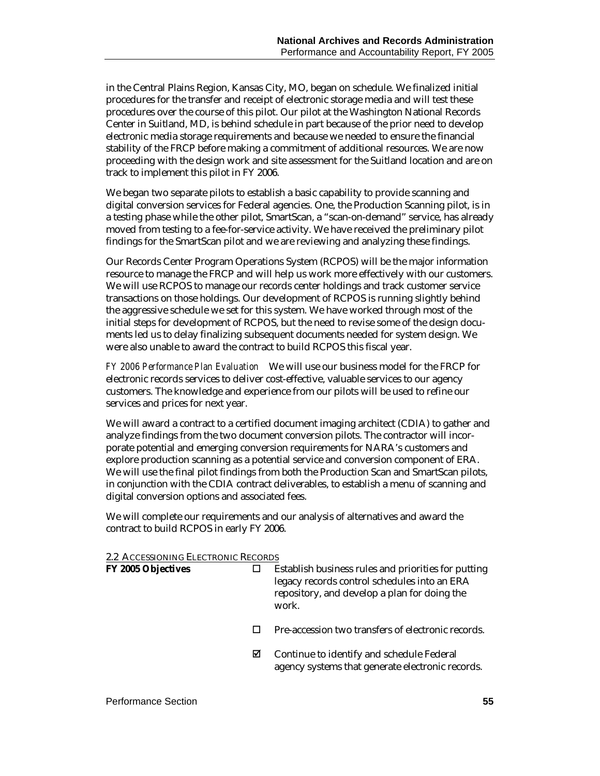in the Central Plains Region, Kansas City, MO, began on schedule. We finalized initial procedures for the transfer and receipt of electronic storage media and will test these procedures over the course of this pilot. Our pilot at the Washington National Records Center in Suitland, MD, is behind schedule in part because of the prior need to develop electronic media storage requirements and because we needed to ensure the financial stability of the FRCP before making a commitment of additional resources. We are now proceeding with the design work and site assessment for the Suitland location and are on track to implement this pilot in FY 2006.

We began two separate pilots to establish a basic capability to provide scanning and digital conversion services for Federal agencies. One, the Production Scanning pilot, is in a testing phase while the other pilot, SmartScan, a "scan-on-demand" service, has already moved from testing to a fee-for-service activity. We have received the preliminary pilot findings for the SmartScan pilot and we are reviewing and analyzing these findings.

Our Records Center Program Operations System (RCPOS) will be the major information resource to manage the FRCP and will help us work more effectively with our customers. We will use RCPOS to manage our records center holdings and track customer service transactions on those holdings. Our development of RCPOS is running slightly behind the aggressive schedule we set for this system. We have worked through most of the initial steps for development of RCPOS, but the need to revise some of the design documents led us to delay finalizing subsequent documents needed for system design. We were also unable to award the contract to build RCPOS this fiscal year.

*FY 2006 Performance Plan Evaluation*We will use our business model for the FRCP for electronic records services to deliver cost-effective, valuable services to our agency customers. The knowledge and experience from our pilots will be used to refine our services and prices for next year.

We will award a contract to a certified document imaging architect (CDIA) to gather and analyze findings from the two document conversion pilots. The contractor will incorporate potential and emerging conversion requirements for NARA's customers and explore production scanning as a potential service and conversion component of ERA. We will use the final pilot findings from both the Production Scan and SmartScan pilots, in conjunction with the CDIA contract deliverables, to establish a menu of scanning and digital conversion options and associated fees.

We will complete our requirements and our analysis of alternatives and award the contract to build RCPOS in early FY 2006.

#### 2.2 ACCESSIONING ELECTRONIC RECORDS

| FY 2005 Objectives |   | Establish business rules and priorities for putting<br>legacy records control schedules into an ERA<br>repository, and develop a plan for doing the<br>work. |
|--------------------|---|--------------------------------------------------------------------------------------------------------------------------------------------------------------|
|                    |   | Pre-accession two transfers of electronic records.                                                                                                           |
|                    | ☑ | Continue to identify and schedule Federal<br>agency systems that generate electronic records.                                                                |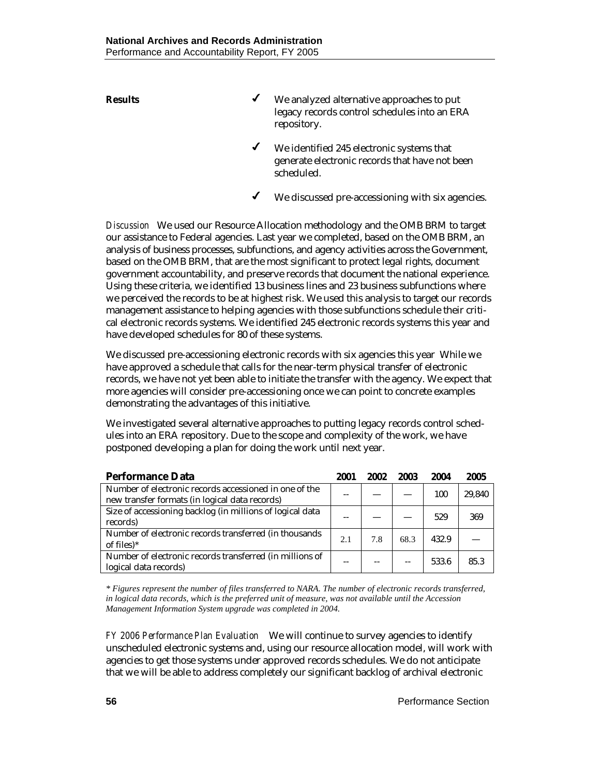- **Results** ★ We analyzed alternative approaches to put legacy records control schedules into an ERA repository.
	- We identified 245 electronic systems that generate electronic records that have not been scheduled.
	- $\checkmark$  We discussed pre-accessioning with six agencies.

*Discussion* We used our Resource Allocation methodology and the OMB BRM to target our assistance to Federal agencies. Last year we completed, based on the OMB BRM, an analysis of business processes, subfunctions, and agency activities across the Government, based on the OMB BRM, that are the most significant to protect legal rights, document government accountability, and preserve records that document the national experience. Using these criteria, we identified 13 business lines and 23 business subfunctions where we perceived the records to be at highest risk. We used this analysis to target our records management assistance to helping agencies with those subfunctions schedule their critical electronic records systems. We identified 245 electronic records systems this year and have developed schedules for 80 of these systems.

We discussed pre-accessioning electronic records with six agencies this year While we have approved a schedule that calls for the near-term physical transfer of electronic records, we have not yet been able to initiate the transfer with the agency. We expect that more agencies will consider pre-accessioning once we can point to concrete examples demonstrating the advantages of this initiative.

We investigated several alternative approaches to putting legacy records control schedules into an ERA repository. Due to the scope and complexity of the work, we have postponed developing a plan for doing the work until next year.

| <b>Performance Data</b>                                                                                  | 2001 | 2002 | 2003 | 2004  | 2005   |
|----------------------------------------------------------------------------------------------------------|------|------|------|-------|--------|
| Number of electronic records accessioned in one of the<br>new transfer formats (in logical data records) | --   |      |      | 100   | 29,840 |
| Size of accessioning backlog (in millions of logical data<br>records)                                    | --   |      |      | 529   | 369    |
| Number of electronic records transferred (in thousands<br>of files $)^*$                                 | 2.1  | 7.8  | 68.3 | 432.9 |        |
| Number of electronic records transferred (in millions of<br>logical data records)                        | --   |      |      | 533.6 | 85.3   |

*\* Figures represent the number of files transferred to NARA. The number of electronic records transferred, in logical data records, which is the preferred unit of measure, was not available until the Accession Management Information System upgrade was completed in 2004.* 

*FY 2006 Performance Plan Evaluation*We will continue to survey agencies to identify unscheduled electronic systems and, using our resource allocation model, will work with agencies to get those systems under approved records schedules. We do not anticipate that we will be able to address completely our significant backlog of archival electronic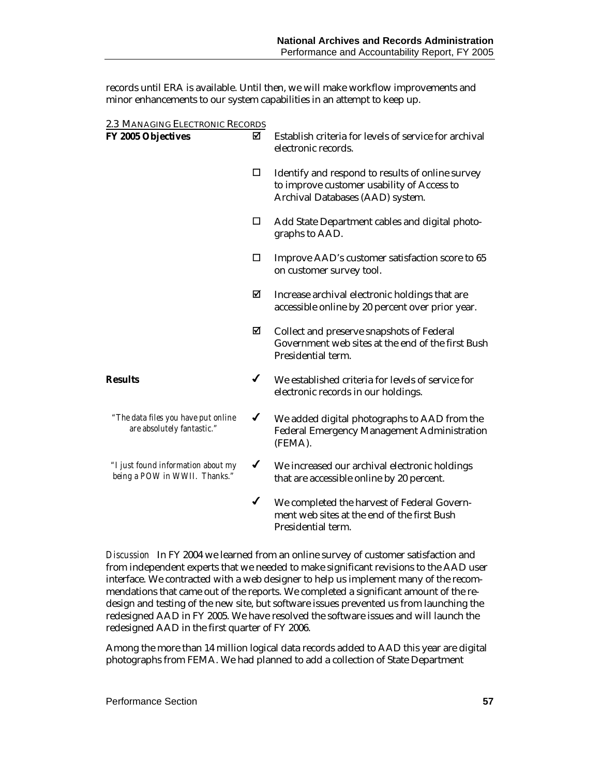records until ERA is available. Until then, we will make workflow improvements and minor enhancements to our system capabilities in an attempt to keep up.

| 2.3 MANAGING ELECTRONIC RECORDS                                     |              |                                                                                                                                    |
|---------------------------------------------------------------------|--------------|------------------------------------------------------------------------------------------------------------------------------------|
| <b>FY 2005 Objectives</b>                                           | ⊠            | Establish criteria for levels of service for archival<br>electronic records.                                                       |
|                                                                     | □            | Identify and respond to results of online survey<br>to improve customer usability of Access to<br>Archival Databases (AAD) system. |
|                                                                     | □            | Add State Department cables and digital photo-<br>graphs to AAD.                                                                   |
|                                                                     | □            | Improve AAD's customer satisfaction score to 65<br>on customer survey tool.                                                        |
|                                                                     | ☑            | Increase archival electronic holdings that are<br>accessible online by 20 percent over prior year.                                 |
|                                                                     | ☑            | Collect and preserve snapshots of Federal<br>Government web sites at the end of the first Bush<br>Presidential term.               |
| <b>Results</b>                                                      | ✔            | We established criteria for levels of service for<br>electronic records in our holdings.                                           |
| "The data files you have put online<br>are absolutely fantastic."   | $\checkmark$ | We added digital photographs to AAD from the<br><b>Federal Emergency Management Administration</b><br>(FEMA).                      |
| "I just found information about my<br>being a POW in WWII. Thanks." | $\checkmark$ | We increased our archival electronic holdings<br>that are accessible online by 20 percent.                                         |
|                                                                     | $\checkmark$ | We completed the harvest of Federal Govern-<br>ment web sites at the end of the first Bush<br>Presidential term.                   |

*Discussion* In FY 2004 we learned from an online survey of customer satisfaction and from independent experts that we needed to make significant revisions to the AAD user interface. We contracted with a web designer to help us implement many of the recommendations that came out of the reports. We completed a significant amount of the redesign and testing of the new site, but software issues prevented us from launching the redesigned AAD in FY 2005. We have resolved the software issues and will launch the redesigned AAD in the first quarter of FY 2006.

Among the more than 14 million logical data records added to AAD this year are digital photographs from FEMA. We had planned to add a collection of State Department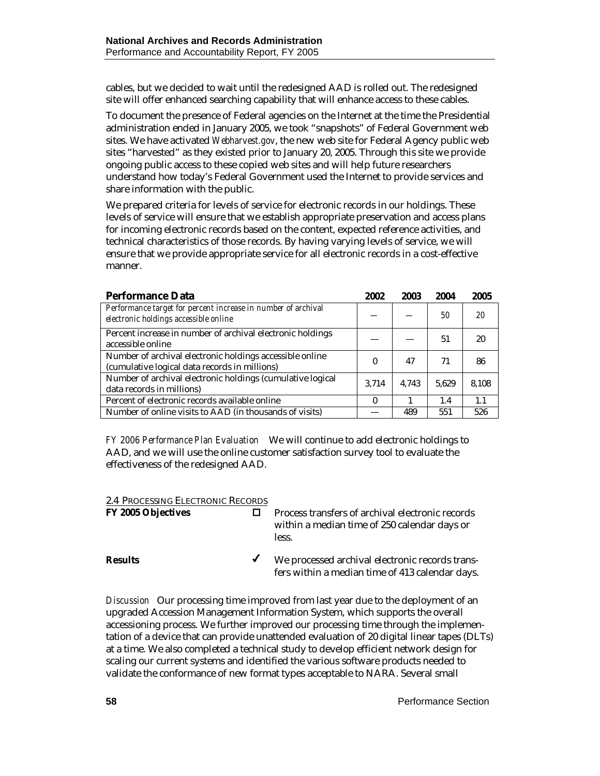cables, but we decided to wait until the redesigned AAD is rolled out. The redesigned site will offer enhanced searching capability that will enhance access to these cables.

To document the presence of Federal agencies on the Internet at the time the Presidential administration ended in January 2005, we took "snapshots" of Federal Government web sites. We have activated *[Webharvest.gov](http://www.webharvest.gov/)*, the new web site for Federal Agency public web sites "harvested" as they existed prior to January 20, 2005. Through this site we provide ongoing public access to these copied web sites and will help future researchers understand how today's Federal Government used the Internet to provide services and share information with the public.

We prepared criteria for levels of service for electronic records in our holdings. These levels of service will ensure that we establish appropriate preservation and access plans for incoming electronic records based on the content, expected reference activities, and technical characteristics of those records. By having varying levels of service, we will ensure that we provide appropriate service for all electronic records in a cost-effective manner.

| <b>Performance Data</b>                                                                                   | 2002  | 2003  | 2004  | 2005  |
|-----------------------------------------------------------------------------------------------------------|-------|-------|-------|-------|
| Performance target for percent increase in number of archival<br>electronic holdings accessible online    |       |       | 50    | 20    |
| Percent increase in number of archival electronic holdings<br>accessible online                           |       |       | 51    | 20    |
| Number of archival electronic holdings accessible online<br>(cumulative logical data records in millions) | 0     | 47    | 71    | 86    |
| Number of archival electronic holdings (cumulative logical<br>data records in millions)                   | 3.714 | 4.743 | 5.629 | 8,108 |
| Percent of electronic records available online                                                            | 0     |       | 1.4   | 1.1   |
| Number of online visits to AAD (in thousands of visits)                                                   |       | 489   | 551   | 526   |

*FY 2006 Performance Plan Evaluation*We will continue to add electronic holdings to AAD, and we will use the online customer satisfaction survey tool to evaluate the effectiveness of the redesigned AAD.

| 2.4 PROCESSING ELECTRONIC RECORDS |                                                                                                           |
|-----------------------------------|-----------------------------------------------------------------------------------------------------------|
| FY 2005 Objectives                | Process transfers of archival electronic records<br>within a median time of 250 calendar days or<br>less. |
| <b>Results</b>                    | We processed archival electronic records trans-<br>fers within a median time of 413 calendar days.        |

*Discussion* Our processing time improved from last year due to the deployment of an upgraded Accession Management Information System, which supports the overall accessioning process. We further improved our processing time through the implementation of a device that can provide unattended evaluation of 20 digital linear tapes (DLTs) at a time. We also completed a technical study to develop efficient network design for scaling our current systems and identified the various software products needed to validate the conformance of new format types acceptable to NARA. Several small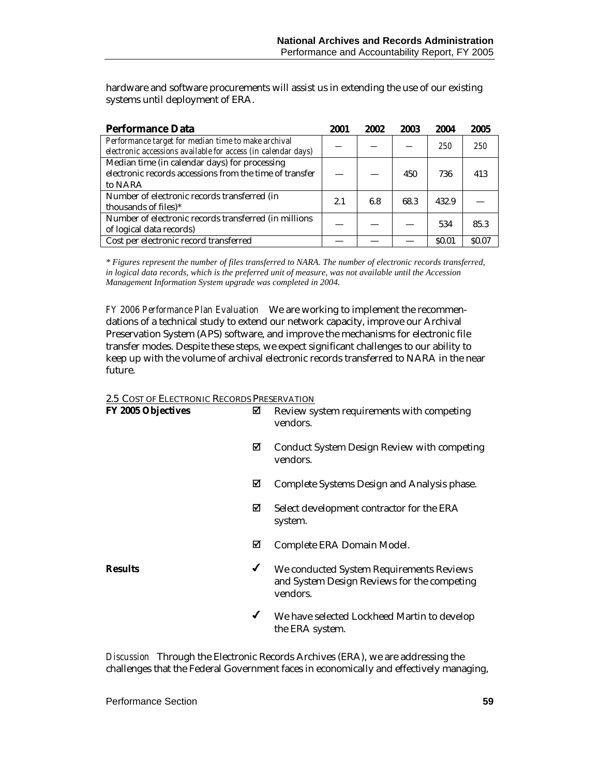hardware and software procurements will assist us in extending the use of our existing systems until deployment of ERA.

| <b>Performance Data</b>                                                                                              | 2001 | 2002 | 2003 | 2004         | 2005   |
|----------------------------------------------------------------------------------------------------------------------|------|------|------|--------------|--------|
| Performance target for median time to make archival<br>electronic accessions available for access (in calendar days) |      |      |      | 250          | 250    |
| Median time (in calendar days) for processing<br>electronic records accessions from the time of transfer<br>to NARA  |      |      | 450  | 736          | 413    |
| Number of electronic records transferred (in<br>thousands of files)*                                                 | 2.1  | 6.8  | 68.3 | 432.9        |        |
| Number of electronic records transferred (in millions<br>of logical data records)                                    |      |      |      | 534          | 85.3   |
| Cost per electronic record transferred                                                                               |      |      |      | <b>SO.01</b> | \$0.07 |

*\* Figures represent the number of files transferred to NARA. The number of electronic records transferred, in logical data records, which is the preferred unit of measure, was not available until the Accession Management Information System upgrade was completed in 2004.* 

*FY 2006 Performance Plan Evaluation*We are working to implement the recommendations of a technical study to extend our network capacity, improve our Archival Preservation System (APS) software, and improve the mechanisms for electronic file transfer modes. Despite these steps, we expect significant challenges to our ability to keep up with the volume of archival electronic records transferred to NARA in the near future.

#### 2.5 COST OF ELECTRONIC RECORDS PRESERVATION

| FY 2005 Objectives | ⊠ | Review system requirements with competing<br>vendors.                                               |
|--------------------|---|-----------------------------------------------------------------------------------------------------|
|                    | ⊠ | <b>Conduct System Design Review with competing</b><br>vendors.                                      |
|                    | ⊠ | Complete Systems Design and Analysis phase.                                                         |
|                    | ☑ | Select development contractor for the ERA<br>system.                                                |
|                    | ⊠ | Complete ERA Domain Model.                                                                          |
| <b>Results</b>     | ✔ | We conducted System Requirements Reviews<br>and System Design Reviews for the competing<br>vendors. |
|                    | ✔ | We have selected Lockheed Martin to develop<br>the ERA system.                                      |

*Discussion* Through the Electronic Records Archives (ERA), we are addressing the challenges that the Federal Government faces in economically and effectively managing,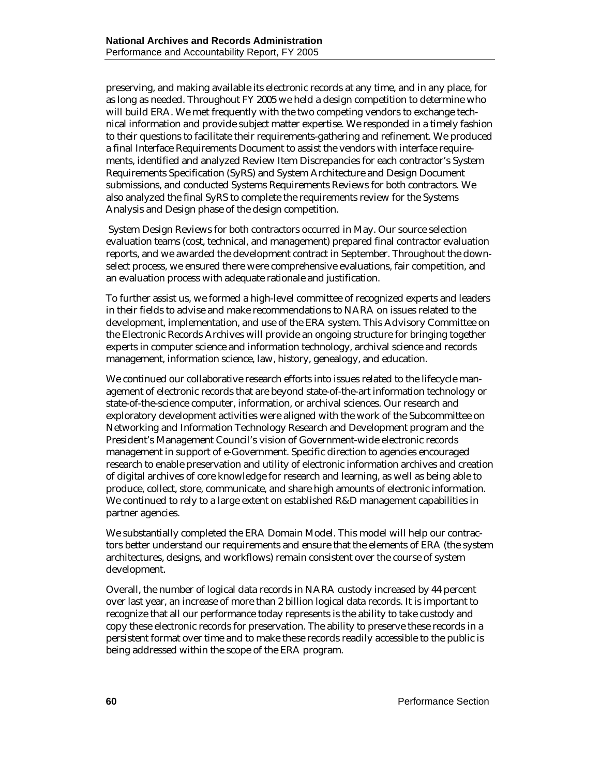preserving, and making available its electronic records at any time, and in any place, for as long as needed. Throughout FY 2005 we held a design competition to determine who will build ERA. We met frequently with the two competing vendors to exchange technical information and provide subject matter expertise. We responded in a timely fashion to their questions to facilitate their requirements-gathering and refinement. We produced a final Interface Requirements Document to assist the vendors with interface requirements, identified and analyzed Review Item Discrepancies for each contractor's System Requirements Specification (SyRS) and System Architecture and Design Document submissions, and conducted Systems Requirements Reviews for both contractors. We also analyzed the final SyRS to complete the requirements review for the Systems Analysis and Design phase of the design competition.

 System Design Reviews for both contractors occurred in May. Our source selection evaluation teams (cost, technical, and management) prepared final contractor evaluation reports, and we awarded the development contract in September. Throughout the downselect process, we ensured there were comprehensive evaluations, fair competition, and an evaluation process with adequate rationale and justification.

To further assist us, we formed a high-level committee of recognized experts and leaders in their fields to advise and make recommendations to NARA on issues related to the development, implementation, and use of the ERA system. This Advisory Committee on the Electronic Records Archives will provide an ongoing structure for bringing together experts in computer science and information technology, archival science and records management, information science, law, history, genealogy, and education.

We continued our collaborative research efforts into issues related to the lifecycle management of electronic records that are beyond state-of-the-art information technology or state-of-the-science computer, information, or archival sciences. Our research and exploratory development activities were aligned with the work of the Subcommittee on Networking and Information Technology Research and Development program and the President's Management Council's vision of Government-wide electronic records management in support of e-Government. Specific direction to agencies encouraged research to enable preservation and utility of electronic information archives and creation of digital archives of core knowledge for research and learning, as well as being able to produce, collect, store, communicate, and share high amounts of electronic information. We continued to rely to a large extent on established R&D management capabilities in partner agencies.

We substantially completed the ERA Domain Model. This model will help our contractors better understand our requirements and ensure that the elements of ERA (the system architectures, designs, and workflows) remain consistent over the course of system development.

Overall, the number of logical data records in NARA custody increased by 44 percent over last year, an increase of more than 2 billion logical data records. It is important to recognize that all our performance today represents is the ability to take custody and copy these electronic records for preservation. The ability to preserve these records in a persistent format over time and to make these records readily accessible to the public is being addressed within the scope of the ERA program.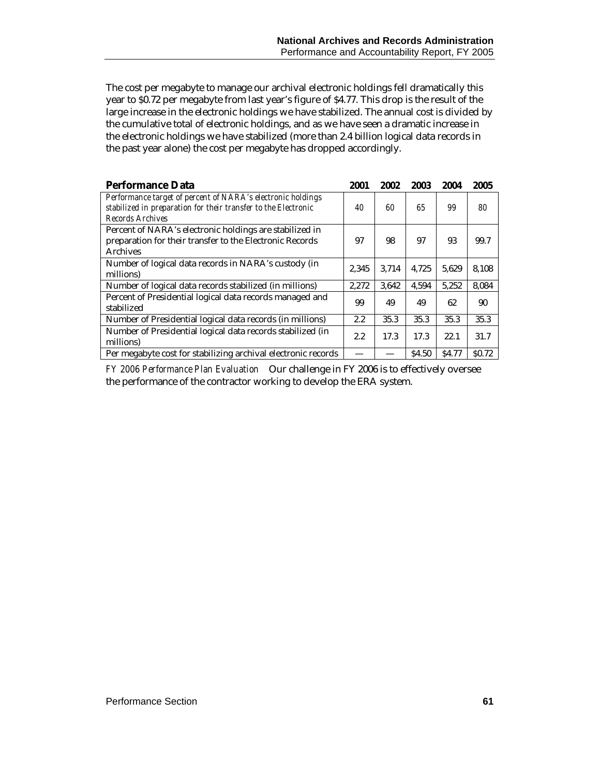The cost per megabyte to manage our archival electronic holdings fell dramatically this year to \$0.72 per megabyte from last year's figure of \$4.77. This drop is the result of the large increase in the electronic holdings we have stabilized. The annual cost is divided by the cumulative total of electronic holdings, and as we have seen a dramatic increase in the electronic holdings we have stabilized (more than 2.4 billion logical data records in the past year alone) the cost per megabyte has dropped accordingly.

| <b>Performance Data</b>                                                                                                                           | 2001  | 2002  | 2003         | 2004         | 2005              |
|---------------------------------------------------------------------------------------------------------------------------------------------------|-------|-------|--------------|--------------|-------------------|
| Performance target of percent of NARA's electronic holdings<br>stabilized in preparation for their transfer to the Electronic<br>Records Archives | 40    | 60    | 65           | 99           | 80                |
| Percent of NARA's electronic holdings are stabilized in<br>preparation for their transfer to the Electronic Records<br><b>Archives</b>            | 97    | 98    | 97           | 93           | 99.7              |
| Number of logical data records in NARA's custody (in<br>millions)                                                                                 | 2,345 | 3.714 | 4.725        | 5.629        | 8,108             |
| Number of logical data records stabilized (in millions)                                                                                           | 2.272 | 3.642 | 4.594        | 5.252        | 8.084             |
| Percent of Presidential logical data records managed and<br>stabilized                                                                            | 99    | 49    | 49           | 62           | 90                |
| Number of Presidential logical data records (in millions)                                                                                         | 2.2   | 35.3  | 35.3         | 35.3         | 35.3              |
| Number of Presidential logical data records stabilized (in<br>millions)                                                                           | 2.2   | 17.3  | 17.3         | 22.1         | 31.7              |
| Per megabyte cost for stabilizing archival electronic records                                                                                     |       |       | <b>S4.50</b> | <b>S4.77</b> | S <sub>0.72</sub> |

*FY 2006 Performance Plan Evaluation*Our challenge in FY 2006 is to effectively oversee the performance of the contractor working to develop the ERA system.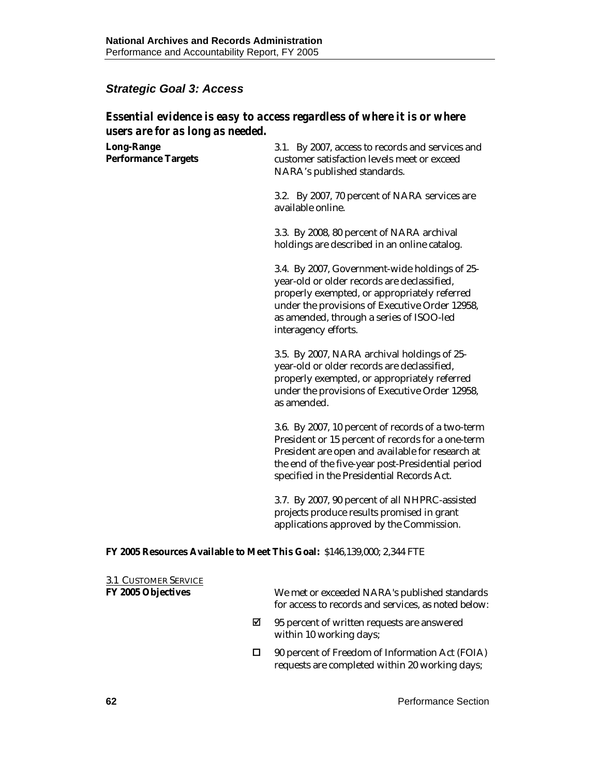# *Strategic Goal 3: Access*

# *Essential evidence is easy to access regardless of where it is or where users are for as long as needed.*

| <b>Long-Range</b><br><b>Performance Targets</b>                         | 3.1. By 2007, access to records and services and<br>customer satisfaction levels meet or exceed<br>NARA's published standards.                                                                                                                                     |
|-------------------------------------------------------------------------|--------------------------------------------------------------------------------------------------------------------------------------------------------------------------------------------------------------------------------------------------------------------|
|                                                                         | 3.2. By 2007, 70 percent of NARA services are<br>available online.                                                                                                                                                                                                 |
|                                                                         | 3.3. By 2008, 80 percent of NARA archival<br>holdings are described in an online catalog.                                                                                                                                                                          |
|                                                                         | 3.4. By 2007, Government-wide holdings of 25-<br>year-old or older records are declassified,<br>properly exempted, or appropriately referred<br>under the provisions of Executive Order 12958,<br>as amended, through a series of ISOO-led<br>interagency efforts. |
|                                                                         | 3.5. By 2007, NARA archival holdings of 25-<br>year-old or older records are declassified,<br>properly exempted, or appropriately referred<br>under the provisions of Executive Order 12958,<br>as amended.                                                        |
|                                                                         | 3.6. By 2007, 10 percent of records of a two-term<br>President or 15 percent of records for a one-term<br>President are open and available for research at<br>the end of the five-year post-Presidential period<br>specified in the Presidential Records Act.      |
|                                                                         | 3.7. By 2007, 90 percent of all NHPRC-assisted<br>projects produce results promised in grant<br>applications approved by the Commission.                                                                                                                           |
| FY 2005 Resources Available to Meet This Goal: \$146,139,000; 2,344 FTE |                                                                                                                                                                                                                                                                    |

| <b>3.1 CUSTOMER SERVICE</b> |   |                                                                                                      |
|-----------------------------|---|------------------------------------------------------------------------------------------------------|
| <b>FY 2005 Objectives</b>   |   | We met or exceeded NARA's published standards<br>for access to records and services, as noted below: |
|                             | ⊠ | 95 percent of written requests are answered<br>within 10 working days;                               |
|                             |   | 90 percent of Freedom of Information Act (FOIA)<br>requests are completed within 20 working days;    |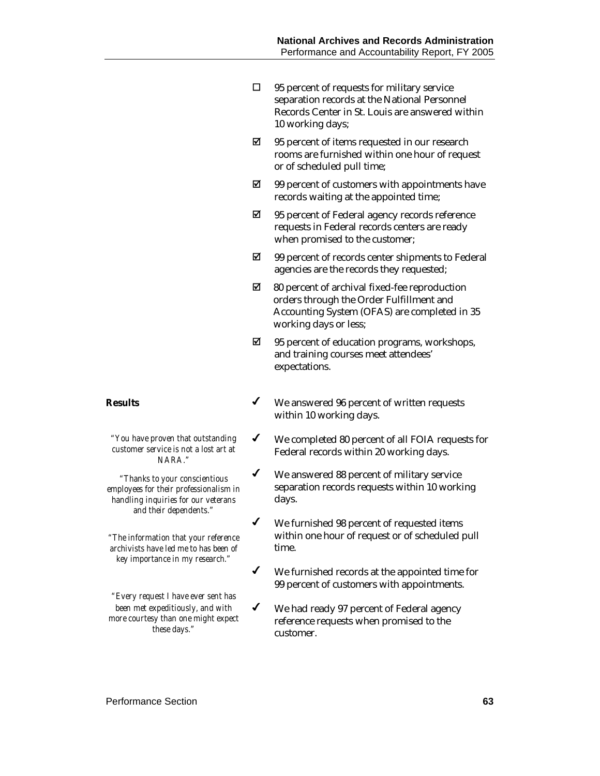- $\Box$  95 percent of requests for military service separation records at the National Personnel Records Center in St. Louis are answered within 10 working days;
- $\boxtimes$  95 percent of items requested in our research rooms are furnished within one hour of request or of scheduled pull time;
- $\boxtimes$  99 percent of customers with appointments have records waiting at the appointed time;
- $\boxtimes$  95 percent of Federal agency records reference requests in Federal records centers are ready when promised to the customer;
- $\boxtimes$  99 percent of records center shipments to Federal agencies are the records they requested;
- $\boxtimes$  80 percent of archival fixed-fee reproduction orders through the Order Fulfillment and Accounting System (OFAS) are completed in 35 working days or less;
- $\boxtimes$  95 percent of education programs, workshops, and training courses meet attendees' expectations.
- **Results** ★ We answered 96 percent of written requests within 10 working days.
	- We completed 80 percent of all FOIA requests for Federal records within 20 working days.
	- $\checkmark$  We answered 88 percent of military service separation records requests within 10 working days.
	- We furnished 98 percent of requested items within one hour of request or of scheduled pull time.
	- We furnished records at the appointed time for 99 percent of customers with appointments.
	- We had ready 97 percent of Federal agency reference requests when promised to the customer.

*"You have proven that outstanding customer service is not a lost art at NARA."* 

*"Thanks to your conscientious employees for their professionalism in handling inquiries for our veterans and their dependents."* 

*"The information that your reference archivists have led me to has been of key importance in my research."* 

*"Every request I have ever sent has been met expeditiously, and with more courtesy than one might expect these days."*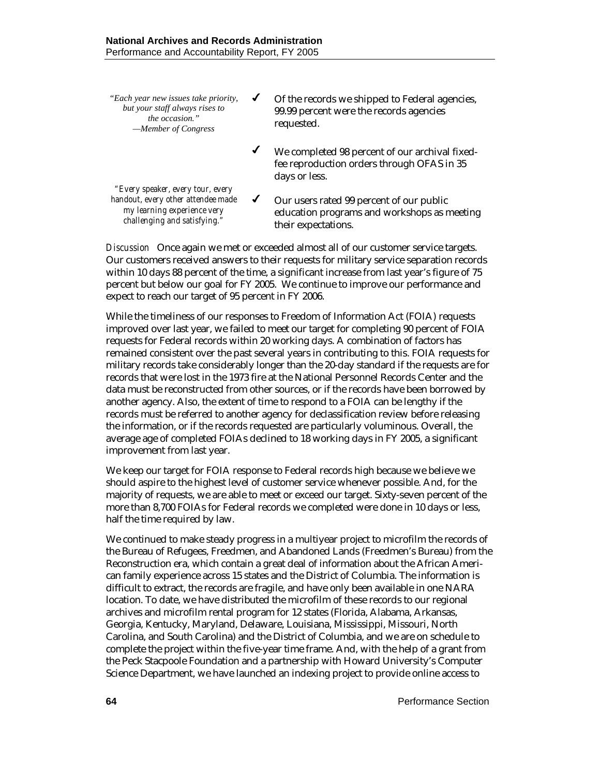*"Each year new issues take priority, but your staff always rises to the occasion." —Member of Congress* 

- $\checkmark$  Of the records we shipped to Federal agencies, 99.99 percent were the records agencies requested.
- $\checkmark$  We completed 98 percent of our archival fixedfee reproduction orders through OFAS in 35 days or less.

*"Every speaker, every tour, every handout, every other attendee made my learning experience very challenging and satisfying."* 

 Our users rated 99 percent of our public education programs and workshops as meeting their expectations.

*Discussion* Once again we met or exceeded almost all of our customer service targets. Our customers received answers to their requests for military service separation records within 10 days 88 percent of the time, a significant increase from last year's figure of 75 percent but below our goal for FY 2005. We continue to improve our performance and expect to reach our target of 95 percent in FY 2006.

While the timeliness of our responses to Freedom of Information Act (FOIA) requests improved over last year, we failed to meet our target for completing 90 percent of FOIA requests for Federal records within 20 working days. A combination of factors has remained consistent over the past several years in contributing to this. FOIA requests for military records take considerably longer than the 20-day standard if the requests are for records that were lost in the 1973 fire at the National Personnel Records Center and the data must be reconstructed from other sources, or if the records have been borrowed by another agency. Also, the extent of time to respond to a FOIA can be lengthy if the records must be referred to another agency for declassification review before releasing the information, or if the records requested are particularly voluminous. Overall, the average age of completed FOIAs declined to 18 working days in FY 2005, a significant improvement from last year.

We keep our target for FOIA response to Federal records high because we believe we should aspire to the highest level of customer service whenever possible. And, for the majority of requests, we are able to meet or exceed our target. Sixty-seven percent of the more than 8,700 FOIAs for Federal records we completed were done in 10 days or less, half the time required by law.

We continued to make steady progress in a multiyear project to microfilm the records of the Bureau of Refugees, Freedmen, and Abandoned Lands (Freedmen's Bureau) from the Reconstruction era, which contain a great deal of information about the African American family experience across 15 states and the District of Columbia. The information is difficult to extract, the records are fragile, and have only been available in one NARA location. To date, we have distributed the microfilm of these records to our regional archives and microfilm rental program for 12 states (Florida, Alabama, Arkansas, Georgia, Kentucky, Maryland, Delaware, Louisiana, Mississippi, Missouri, North Carolina, and South Carolina) and the District of Columbia, and we are on schedule to complete the project within the five-year time frame. And, with the help of a grant from the Peck Stacpoole Foundation and a partnership with Howard University's Computer Science Department, we have launched an indexing project to provide online access to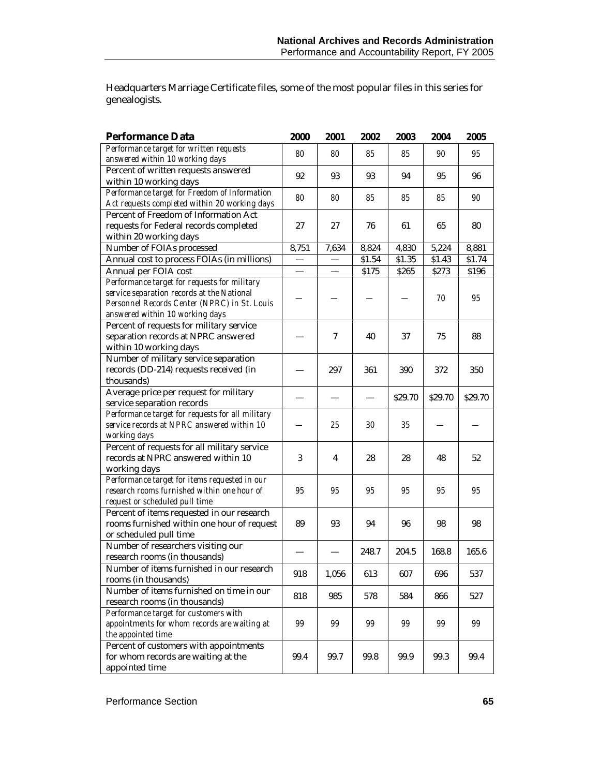Headquarters Marriage Certificate files, some of the most popular files in this series for genealogists.

| <b>Performance Data</b>                                                                                                                                                       | 2000  | 2001  | 2002   | 2003    | 2004    | 2005    |
|-------------------------------------------------------------------------------------------------------------------------------------------------------------------------------|-------|-------|--------|---------|---------|---------|
| Performance target for written requests<br>answered within 10 working days                                                                                                    | 80    | 80    | 85     | 85      | 90      | 95      |
| Percent of written requests answered<br>within 10 working days                                                                                                                | 92    | 93    | 93     | 94      | 95      | 96      |
| Performance target for Freedom of Information<br>Act requests completed within 20 working days                                                                                | 80    | 80    | 85     | 85      | 85      | 90      |
| Percent of Freedom of Information Act<br>requests for Federal records completed<br>within 20 working days                                                                     | 27    | 27    | 76     | 61      | 65      | 80      |
| Number of FOIAs processed                                                                                                                                                     | 8,751 | 7,634 | 8,824  | 4,830   | 5,224   | 8,881   |
| Annual cost to process FOIAs (in millions)                                                                                                                                    |       |       | \$1.54 | \$1.35  | \$1.43  | \$1.74  |
| Annual per FOIA cost                                                                                                                                                          |       |       | \$175  | \$265   | \$273   | \$196   |
| Performance target for requests for military<br>service separation records at the National<br>Personnel Records Center (NPRC) in St. Louis<br>answered within 10 working days |       |       |        |         | 70      | 95      |
| Percent of requests for military service<br>separation records at NPRC answered<br>within 10 working days                                                                     |       | 7     | 40     | 37      | 75      | 88      |
| Number of military service separation<br>records (DD-214) requests received (in<br>thousands)                                                                                 |       | 297   | 361    | 390     | 372     | 350     |
| Average price per request for military<br>service separation records                                                                                                          |       |       |        | \$29.70 | \$29.70 | \$29.70 |
| Performance target for requests for all military<br>service records at NPRC answered within 10<br>working days                                                                |       | 25    | 30     | 35      |         |         |
| Percent of requests for all military service<br>records at NPRC answered within 10<br>working days                                                                            | 3     | 4     | 28     | 28      | 48      | 52      |
| Performance target for items requested in our<br>research rooms furnished within one hour of<br>request or scheduled pull time                                                | 95    | 95    | 95     | 95      | 95      | 95      |
| Percent of items requested in our research<br>rooms furnished within one hour of request<br>or scheduled pull time                                                            | 89    | 93    | 94     | 96      | 98      | 98      |
| Number of researchers visiting our<br>research rooms (in thousands)                                                                                                           |       |       | 248.7  | 204.5   | 168.8   | 165.6   |
| Number of items furnished in our research<br>rooms (in thousands)                                                                                                             | 918   | 1,056 | 613    | 607     | 696     | 537     |
| Number of items furnished on time in our<br>research rooms (in thousands)                                                                                                     | 818   | 985   | 578    | 584     | 866     | 527     |
| Performance target for customers with<br>appointments for whom records are waiting at<br>the appointed time                                                                   | 99    | 99    | 99     | 99      | 99      | 99      |
| Percent of customers with appointments<br>for whom records are waiting at the<br>appointed time                                                                               | 99.4  | 99.7  | 99.8   | 99.9    | 99.3    | 99.4    |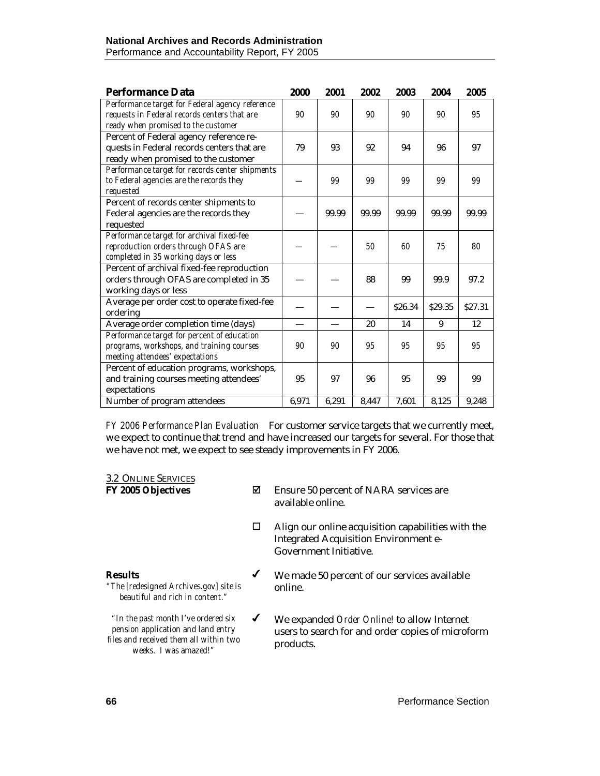#### **National Archives and Records Administration**  Performance and Accountability Report, FY 2005

| <b>Performance Data</b>                                                                                                                | 2000  | 2001  | 2002  | 2003    | 2004   | 2005    |
|----------------------------------------------------------------------------------------------------------------------------------------|-------|-------|-------|---------|--------|---------|
| Performance target for Federal agency reference<br>requests in Federal records centers that are<br>ready when promised to the customer | 90    | 90    | 90    | 90      | 90     | 95      |
| Percent of Federal agency reference re-<br>quests in Federal records centers that are<br>ready when promised to the customer           | 79    | 93    | 92    | 94      | 96     | 97      |
| Performance target for records center shipments<br>to Federal agencies are the records they<br>requested                               |       | 99    | 99    | 99      | 99     | 99      |
| Percent of records center shipments to<br>Federal agencies are the records they<br>requested                                           |       | 99.99 | 99.99 | 99.99   | 99.99  | 99.99   |
| Performance target for archival fixed-fee<br>reproduction orders through OFAS are<br>completed in 35 working days or less              |       |       | 50    | 60      | 75     | 80      |
| Percent of archival fixed-fee reproduction<br>orders through OFAS are completed in 35<br>working days or less                          |       |       | 88    | 99      | 99.9   | 97.2    |
| Average per order cost to operate fixed-fee<br>ordering                                                                                |       |       |       | \$26.34 | S29.35 | \$27.31 |
| Average order completion time (days)                                                                                                   |       |       | 20    | 14      | 9      | 12      |
| Performance target for percent of education<br>programs, workshops, and training courses<br>meeting attendees' expectations            | 90    | 90    | 95    | 95      | 95     | 95      |
| Percent of education programs, workshops,<br>and training courses meeting attendees'<br>expectations                                   | 95    | 97    | 96    | 95      | 99     | 99      |
| Number of program attendees                                                                                                            | 6,971 | 6,291 | 8,447 | 7,601   | 8,125  | 9,248   |

*FY 2006 Performance Plan Evaluation*For customer service targets that we currently meet, we expect to continue that trend and have increased our targets for several. For those that we have not met, we expect to see steady improvements in FY 2006.

#### 3.2 ONLINE SERVICES

- **FY 2005 Objectives EXECUTE:** Ensure 50 percent of NARA services are available online.
	- $\Box$  Align our online acquisition capabilities with the Integrated Acquisition Environment e-Government Initiative.

#### **Results**

*"The [redesigned Archives.gov] site is beautiful and rich in content."*

*"In the past month I've ordered six pension application and land entry files and received them all within two weeks. I was amazed!"* 

- We made 50 percent of our services available online.
- We expanded *Order Online!* to allow Internet users to search for and order copies of microform products.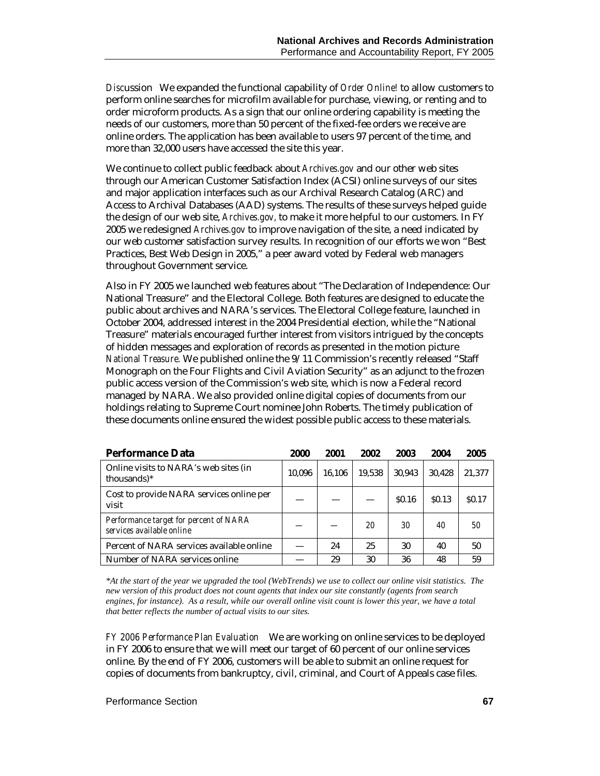*Disc*ussion We expanded the functional capability of *Order Online!* to allow customers to perform online searches for microfilm available for purchase, viewing, or renting and to order microform products. As a sign that our online ordering capability is meeting the needs of our customers, more than 50 percent of the fixed-fee orders we receive are online orders. The application has been available to users 97 percent of the time, and more than 32,000 users have accessed the site this year.

We continue to collect public feedback about *Archives.gov* and our other web sites through our American Customer Satisfaction Index (ACSI) online surveys of our sites and major application interfaces such as our Archival Research Catalog (ARC) and Access to Archival Databases (AAD) systems. The results of these surveys helped guide the design of our web site, *Archives.gov,* to make it more helpful to our customers. In FY 2005 we redesigned *Archives.gov* to improve navigation of the site, a need indicated by our web customer satisfaction survey results. In recognition of our efforts we won "Best Practices, Best Web Design in 2005," a peer award voted by Federal web managers throughout Government service.

Also in FY 2005 we launched web features about "The Declaration of Independence: Our National Treasure" and the Electoral College. Both features are designed to educate the public about archives and NARA's services. The Electoral College feature, launched in October 2004, addressed interest in the 2004 Presidential election, while the "National Treasure" materials encouraged further interest from visitors intrigued by the concepts of hidden messages and exploration of records as presented in the motion picture *National Treasure.* We published online the 9/11 Commission's recently released "Staff Monograph on the Four Flights and Civil Aviation Security" as an adjunct to the frozen public access version of the Commission's web site, which is now a Federal record managed by NARA. We also provided online digital copies of documents from our holdings relating to Supreme Court nominee John Roberts. The timely publication of these documents online ensured the widest possible public access to these materials.

| <b>Performance Data</b>                                             | 2000   | 2001   | 2002   | 2003              | 2004         | 2005              |
|---------------------------------------------------------------------|--------|--------|--------|-------------------|--------------|-------------------|
| Online visits to NARA's web sites (in<br>thousands)*                | 10.096 | 16.106 | 19.538 | 30.943            | 30.428       | 21,377            |
| Cost to provide NARA services online per<br>visit                   |        |        |        | S <sub>0.16</sub> | <b>SO.13</b> | S <sub>0.17</sub> |
| Performance target for percent of NARA<br>services available online |        |        | 20     | 30                | 40           | 50                |
| Percent of NARA services available online                           |        | 24     | 25     | 30                | 40           | 50                |
| Number of NARA services online                                      |        | 29     | 30     | 36                | 48           | 59                |

*\*At the start of the year we upgraded the tool (WebTrends) we use to collect our online visit statistics. The new version of this product does not count agents that index our site constantly (agents from search engines, for instance). As a result, while our overall online visit count is lower this year, we have a total that better reflects the number of actual visits to our sites.* 

*FY 2006 Performance Plan Evaluation*We are working on online services to be deployed in FY 2006 to ensure that we will meet our target of 60 percent of our online services online. By the end of FY 2006, customers will be able to submit an online request for copies of documents from bankruptcy, civil, criminal, and Court of Appeals case files.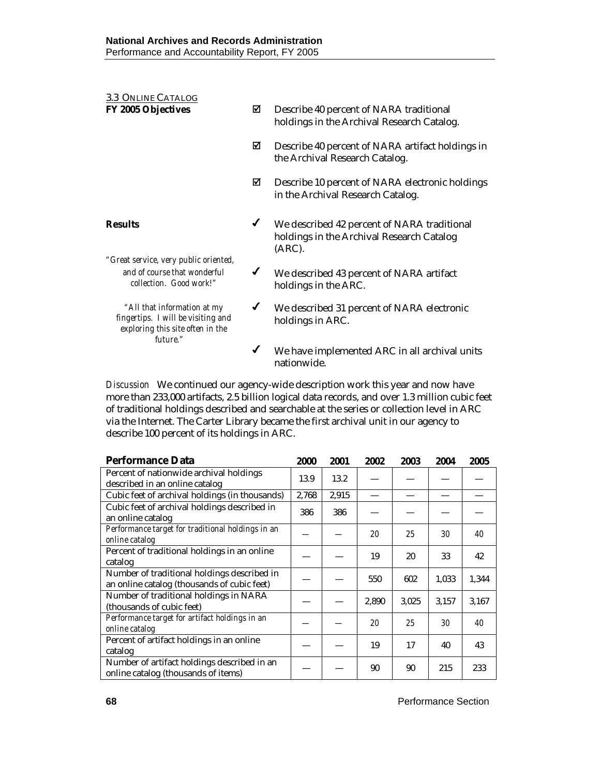| 3.3 ONLINE CATALOG                                                                                                |              |                                                                                                    |
|-------------------------------------------------------------------------------------------------------------------|--------------|----------------------------------------------------------------------------------------------------|
| <b>FY 2005 Objectives</b>                                                                                         | ☑            | Describe 40 percent of NARA traditional<br>holdings in the Archival Research Catalog.              |
|                                                                                                                   | ☑            | Describe 40 percent of NARA artifact holdings in<br>the Archival Research Catalog.                 |
|                                                                                                                   | ☑            | Describe 10 percent of NARA electronic holdings<br>in the Archival Research Catalog.               |
| <b>Results</b>                                                                                                    | ✔            | We described 42 percent of NARA traditional<br>holdings in the Archival Research Catalog<br>(ARC). |
| "Great service, very public oriented,<br>and of course that wonderful<br>collection. Good work!"                  | ✔            | We described 43 percent of NARA artifact<br>holdings in the ARC.                                   |
| "All that information at my<br>fingertips. I will be visiting and<br>exploring this site often in the<br>future." | ✔            | We described 31 percent of NARA electronic<br>holdings in ARC.                                     |
|                                                                                                                   | $\checkmark$ | We have implemented ARC in all archival units<br>nationwide.                                       |

*Discussion* We continued our agency-wide description work this year and now have more than 233,000 artifacts, 2.5 billion logical data records, and over 1.3 million cubic feet of traditional holdings described and searchable at the series or collection level in ARC via the Internet. The Carter Library became the first archival unit in our agency to describe 100 percent of its holdings in ARC.

| <b>Performance Data</b>                           | 2000  | 2001  | 2002  | 2003  | 2004  | 2005  |
|---------------------------------------------------|-------|-------|-------|-------|-------|-------|
| Percent of nationwide archival holdings           | 13.9  | 13.2  |       |       |       |       |
| described in an online catalog                    |       |       |       |       |       |       |
| Cubic feet of archival holdings (in thousands)    | 2.768 | 2,915 |       |       |       |       |
| Cubic feet of archival holdings described in      | 386   | 386   |       |       |       |       |
| an online catalog                                 |       |       |       |       |       |       |
| Performance target for traditional holdings in an |       |       | 20    | 25    | 30    | 40    |
| <i>online catalog</i>                             |       |       |       |       |       |       |
| Percent of traditional holdings in an online      |       |       | 19    | 20    | 33    | 42    |
| catalog                                           |       |       |       |       |       |       |
| Number of traditional holdings described in       |       |       | 550   | 602   | 1,033 | 1,344 |
| an online catalog (thousands of cubic feet)       |       |       |       |       |       |       |
| Number of traditional holdings in NARA            |       |       | 2,890 | 3,025 | 3,157 | 3,167 |
| (thousands of cubic feet)                         |       |       |       |       |       |       |
| Performance target for artifact holdings in an    |       |       | 20    | 25    | 30    | 40    |
| <i>online catalog</i>                             |       |       |       |       |       |       |
| Percent of artifact holdings in an online         |       |       | 19    | 17    | 40    | 43    |
| catalog                                           |       |       |       |       |       |       |
| Number of artifact holdings described in an       |       |       | 90    | 90    | 215   | 233   |
| online catalog (thousands of items)               |       |       |       |       |       |       |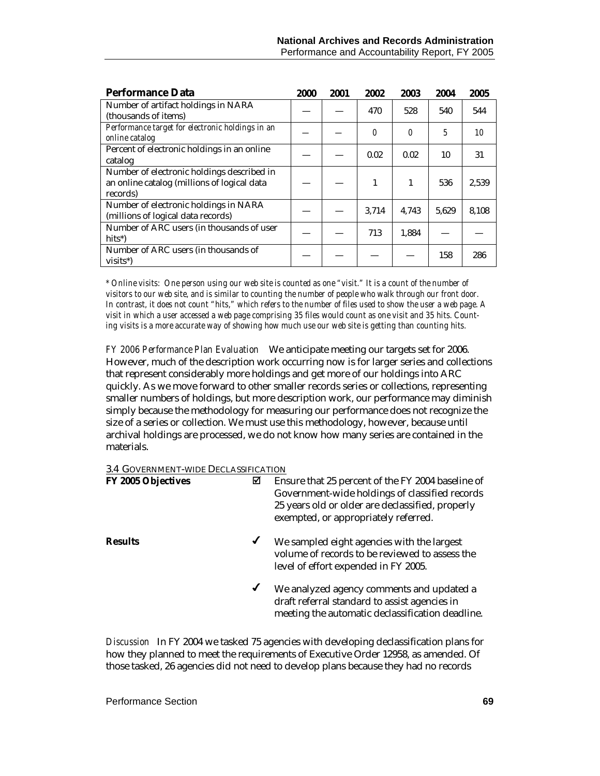| <b>Performance Data</b>                                                                               | 2000 | 2001 | 2002  | 2003  | 2004  | 2005  |
|-------------------------------------------------------------------------------------------------------|------|------|-------|-------|-------|-------|
| Number of artifact holdings in NARA<br>(thousands of items)                                           |      |      | 470   | 528   | 540   | 544   |
| Performance target for electronic holdings in an<br>online catalog                                    |      |      | 0     | 0     | 5     | 10    |
| Percent of electronic holdings in an online<br>catalog                                                |      |      | 0.02  | 0.02  | 10    | 31    |
| Number of electronic holdings described in<br>an online catalog (millions of logical data<br>records) |      |      | 1     | 1     | 536   | 2,539 |
| Number of electronic holdings in NARA<br>(millions of logical data records)                           |      |      | 3,714 | 4,743 | 5,629 | 8,108 |
| Number of ARC users (in thousands of user<br>hits*)                                                   |      |      | 713   | 1,884 |       |       |
| Number of ARC users (in thousands of<br>visits*)                                                      |      |      |       |       | 158   | 286   |

*\* Online visits: One person using our web site is counted as one "visit." It is a count of the number of visitors to our web site, and is similar to counting the number of people who walk through our front door. In contrast, it does not count "hits," which refers to the number of files used to show the user a web page. A visit in which a user accessed a web page comprising 35 files would count as one visit and 35 hits. Counting visits is a more accurate way of showing how much use our web site is getting than counting hits.*

*FY 2006 Performance Plan Evaluation*We anticipate meeting our targets set for 2006. However, much of the description work occurring now is for larger series and collections that represent considerably more holdings and get more of our holdings into ARC quickly. As we move forward to other smaller records series or collections, representing smaller numbers of holdings, but more description work, our performance may diminish simply because the methodology for measuring our performance does not recognize the size of a series or collection. We must use this methodology, however, because until archival holdings are processed, we do not know how many series are contained in the materials.

#### 3.4 GOVERNMENT-WIDE DECLASSIFICATION

| FY 2005 Objectives | ☑            | Ensure that 25 percent of the FY 2004 baseline of<br>Government-wide holdings of classified records<br>25 years old or older are declassified, properly<br>exempted, or appropriately referred. |
|--------------------|--------------|-------------------------------------------------------------------------------------------------------------------------------------------------------------------------------------------------|
| <b>Results</b>     | $\checkmark$ | We sampled eight agencies with the largest<br>volume of records to be reviewed to assess the<br>level of effort expended in FY 2005.                                                            |
|                    | $\checkmark$ | We analyzed agency comments and updated a<br>draft referral standard to assist agencies in<br>meeting the automatic declassification deadline.                                                  |

*Discussion* In FY 2004 we tasked 75 agencies with developing declassification plans for how they planned to meet the requirements of Executive Order 12958, as amended. Of those tasked, 26 agencies did not need to develop plans because they had no records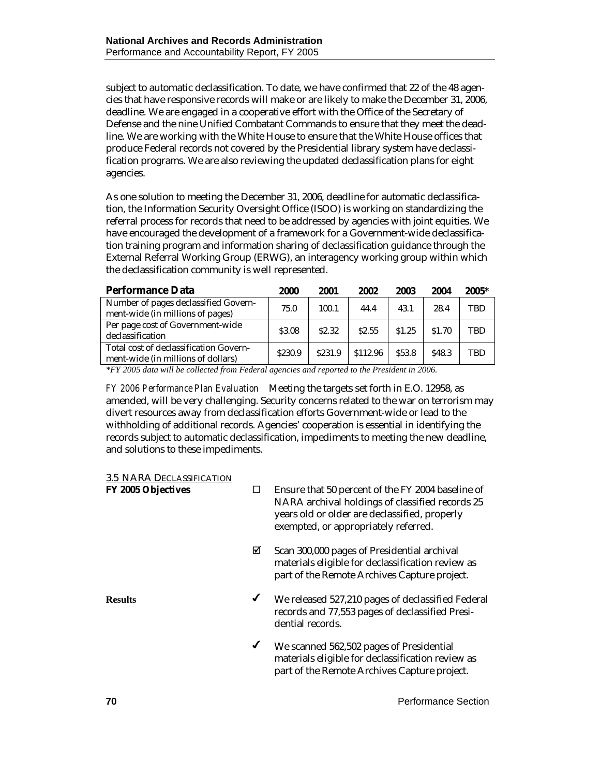subject to automatic declassification. To date, we have confirmed that 22 of the 48 agencies that have responsive records will make or are likely to make the December 31, 2006, deadline. We are engaged in a cooperative effort with the Office of the Secretary of Defense and the nine Unified Combatant Commands to ensure that they meet the deadline. We are working with the White House to ensure that the White House offices that produce Federal records not covered by the Presidential library system have declassification programs. We are also reviewing the updated declassification plans for eight agencies.

As one solution to meeting the December 31, 2006, deadline for automatic declassification, the Information Security Oversight Office (ISOO) is working on standardizing the referral process for records that need to be addressed by agencies with joint equities. We have encouraged the development of a framework for a Government-wide declassification training program and information sharing of declassification guidance through the External Referral Working Group (ERWG), an interagency working group within which the declassification community is well represented.

| <b>Performance Data</b>                                                      | 2000    | 2001              | 2002     | 2003   | 2004              | $2005*$ |
|------------------------------------------------------------------------------|---------|-------------------|----------|--------|-------------------|---------|
| Number of pages declassified Govern-<br>ment-wide (in millions of pages)     | 75.0    | 100.1             | 44.4     | 43.1   | 28.4              | TBD     |
| Per page cost of Government-wide<br>declassification                         | \$3.08  | S <sub>2.32</sub> | \$2.55   | \$1.25 | \$1.70            | TBD     |
| Total cost of declassification Govern-<br>ment-wide (in millions of dollars) | \$230.9 | \$231.9           | \$112.96 | \$53.8 | S <sub>48.3</sub> | TBD     |

*\*FY 2005 data will be collected from Federal agencies and reported to the President in 2006.* 

*FY 2006 Performance Plan Evaluation*Meeting the targets set forth in E.O. 12958, as amended, will be very challenging. Security concerns related to the war on terrorism may divert resources away from declassification efforts Government-wide or lead to the withholding of additional records. Agencies' cooperation is essential in identifying the records subject to automatic declassification, impediments to meeting the new deadline, and solutions to these impediments.

| <b>3.5 NARA DECLASSIFICATION</b> |
|----------------------------------|
|                                  |

| <b>FY 2005 Objectives</b> |              | Ensure that 50 percent of the FY 2004 baseline of<br>NARA archival holdings of classified records 25<br>years old or older are declassified, properly<br>exempted, or appropriately referred. |
|---------------------------|--------------|-----------------------------------------------------------------------------------------------------------------------------------------------------------------------------------------------|
|                           | ⊠            | Scan 300,000 pages of Presidential archival<br>materials eligible for declassification review as<br>part of the Remote Archives Capture project.                                              |
| <b>Results</b>            | $\checkmark$ | We released 527,210 pages of declassified Federal<br>records and 77,553 pages of declassified Presi-<br>dential records.                                                                      |
|                           | $\checkmark$ | We scanned 562,502 pages of Presidential<br>materials eligible for declassification review as<br>part of the Remote Archives Capture project.                                                 |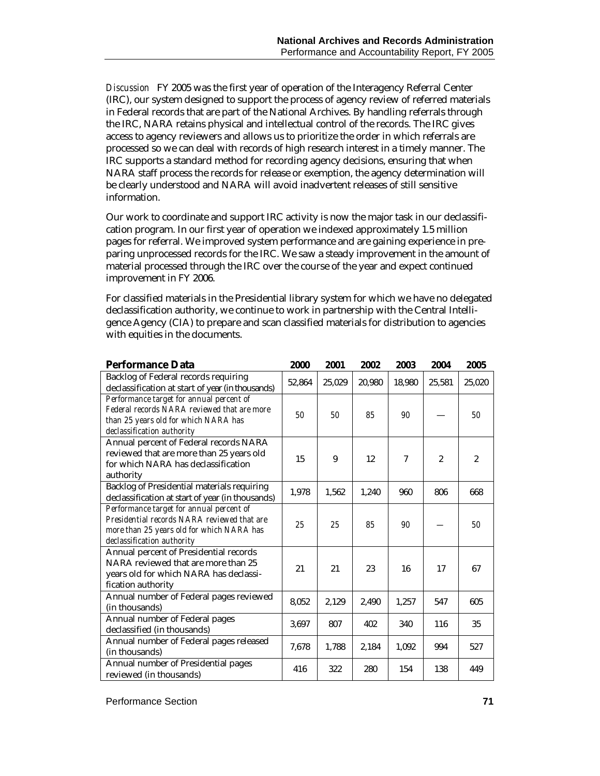*Discussion* FY 2005 was the first year of operation of the Interagency Referral Center (IRC), our system designed to support the process of agency review of referred materials in Federal records that are part of the National Archives. By handling referrals through the IRC, NARA retains physical and intellectual control of the records. The IRC gives access to agency reviewers and allows us to prioritize the order in which referrals are processed so we can deal with records of high research interest in a timely manner. The IRC supports a standard method for recording agency decisions, ensuring that when NARA staff process the records for release or exemption, the agency determination will be clearly understood and NARA will avoid inadvertent releases of still sensitive information.

Our work to coordinate and support IRC activity is now the major task in our declassification program. In our first year of operation we indexed approximately 1.5 million pages for referral. We improved system performance and are gaining experience in preparing unprocessed records for the IRC. We saw a steady improvement in the amount of material processed through the IRC over the course of the year and expect continued improvement in FY 2006.

For classified materials in the Presidential library system for which we have no delegated declassification authority, we continue to work in partnership with the Central Intelligence Agency (CIA) to prepare and scan classified materials for distribution to agencies with equities in the documents.

| <b>Performance Data</b>                                                                                                                                            | 2000   | 2001   | 2002   | 2003   | 2004           | 2005           |
|--------------------------------------------------------------------------------------------------------------------------------------------------------------------|--------|--------|--------|--------|----------------|----------------|
| Backlog of Federal records requiring<br>declassification at start of year (in thousands)                                                                           | 52,864 | 25,029 | 20,980 | 18,980 | 25,581         | 25,020         |
| Performance target for annual percent of<br>Federal records NARA reviewed that are more<br>than 25 years old for which NARA has<br>declassification authority      | 50     | 50     | 85     | 90     |                | 50             |
| Annual percent of Federal records NARA<br>reviewed that are more than 25 years old<br>for which NARA has declassification<br>authority                             | 15     | 9      | 12     | 7      | $\overline{2}$ | $\overline{2}$ |
| <b>Backlog of Presidential materials requiring</b><br>declassification at start of year (in thousands)                                                             | 1,978  | 1,562  | 1,240  | 960    | 806            | 668            |
| Performance target for annual percent of<br>Presidential records NARA reviewed that are<br>more than 25 years old for which NARA has<br>declassification authority | 25     | 25     | 85     | 90     |                | 50             |
| Annual percent of Presidential records<br>NARA reviewed that are more than 25<br>years old for which NARA has declassi-<br>fication authority                      | 21     | 21     | 23     | 16     | 17             | 67             |
| Annual number of Federal pages reviewed<br>(in thousands)                                                                                                          | 8,052  | 2,129  | 2,490  | 1,257  | 547            | 605            |
| Annual number of Federal pages<br>declassified (in thousands)                                                                                                      | 3,697  | 807    | 402    | 340    | 116            | 35             |
| Annual number of Federal pages released<br>(in thousands)                                                                                                          | 7,678  | 1,788  | 2,184  | 1,092  | 994            | 527            |
| Annual number of Presidential pages<br>reviewed (in thousands)                                                                                                     | 416    | 322    | 280    | 154    | 138            | 449            |

Performance Section **71**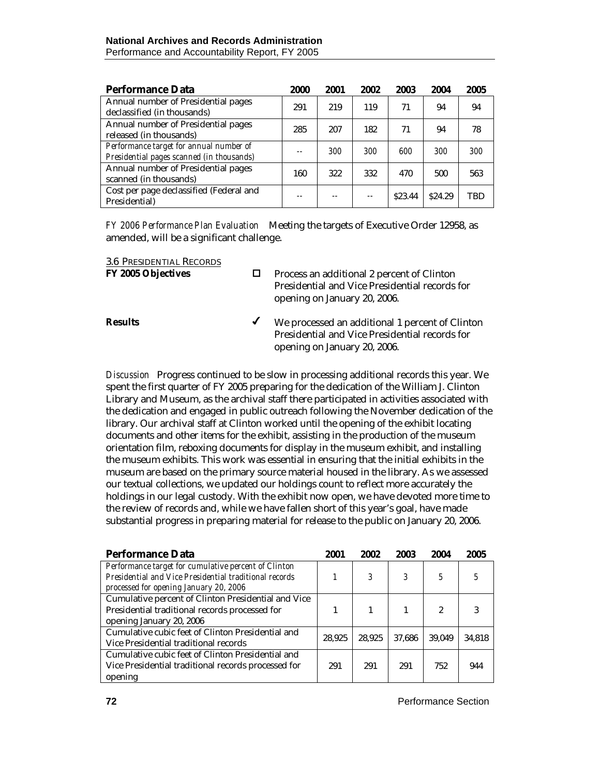| <b>Performance Data</b>                                                              | 2000 | 2001  | 2002  | 2003    | 2004    | 2005       |
|--------------------------------------------------------------------------------------|------|-------|-------|---------|---------|------------|
| Annual number of Presidential pages<br>declassified (in thousands)                   | 291  | 219   | 119   | 71      | 94      | 94         |
| Annual number of Presidential pages<br>released (in thousands)                       | 285  | 207   | 182   | 71      | 94      | 78         |
| Performance target for annual number of<br>Presidential pages scanned (in thousands) |      | 300   | 300   | 600     | 300     | 300        |
| Annual number of Presidential pages<br>scanned (in thousands)                        | 160  | 322   | 332   | 470     | 500     | 563        |
| Cost per page declassified (Federal and<br>Presidential)                             | --   | $- -$ | $- -$ | \$23.44 | \$24.29 | <b>TBD</b> |

*FY 2006 Performance Plan Evaluation*Meeting the targets of Executive Order 12958, as amended, will be a significant challenge.

**FY 2005 Objectives**  $\Box$  Process an additional 2 percent of Clinton Presidential and Vice Presidential records for opening on January 20, 2006.

**Results We processed an additional 1 percent of Clinton** Presidential and Vice Presidential records for opening on January 20, 2006.

*Discussion* Progress continued to be slow in processing additional records this year. We spent the first quarter of FY 2005 preparing for the dedication of the William J. Clinton Library and Museum, as the archival staff there participated in activities associated with the dedication and engaged in public outreach following the November dedication of the library. Our archival staff at Clinton worked until the opening of the exhibit locating documents and other items for the exhibit, assisting in the production of the museum orientation film, reboxing documents for display in the museum exhibit, and installing the museum exhibits. This work was essential in ensuring that the initial exhibits in the museum are based on the primary source material housed in the library. As we assessed our textual collections, we updated our holdings count to reflect more accurately the holdings in our legal custody. With the exhibit now open, we have devoted more time to the review of records and, while we have fallen short of this year's goal, have made substantial progress in preparing material for release to the public on January 20, 2006.

| <b>Performance Data</b>                                | 2001   | 2002   | 2003   | 2004           | 2005   |
|--------------------------------------------------------|--------|--------|--------|----------------|--------|
| Performance target for cumulative percent of Clinton   |        |        |        |                |        |
| Presidential and Vice Presidential traditional records |        | 3      | 3      | $\mathfrak{H}$ |        |
| processed for opening January 20, 2006                 |        |        |        |                |        |
| Cumulative percent of Clinton Presidential and Vice    |        |        |        |                |        |
| Presidential traditional records processed for         |        |        |        | 2              | 3      |
| opening January 20, 2006                               |        |        |        |                |        |
| Cumulative cubic feet of Clinton Presidential and      | 28,925 | 28.925 | 37,686 | 39,049         | 34,818 |
| Vice Presidential traditional records                  |        |        |        |                |        |
| Cumulative cubic feet of Clinton Presidential and      |        |        |        |                |        |
| Vice Presidential traditional records processed for    | 291    | 291    | 291    | 752            | 944    |
| opening                                                |        |        |        |                |        |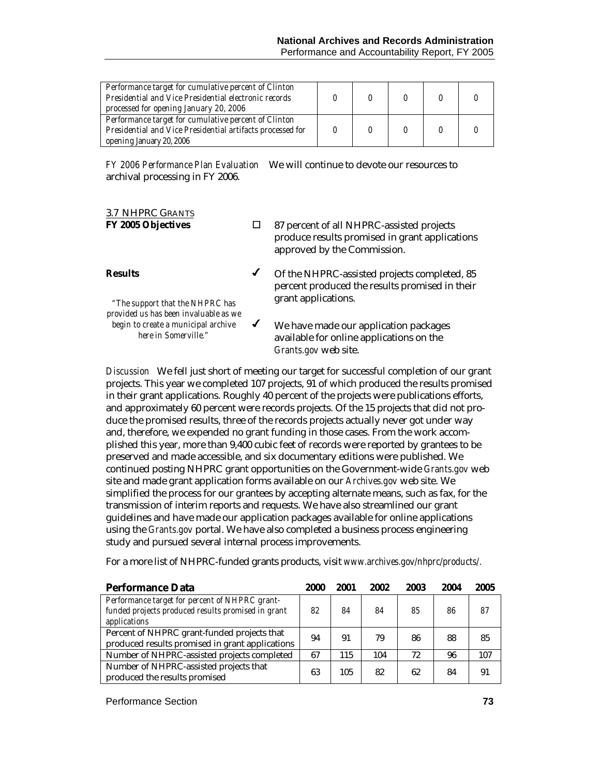| Performance target for cumulative percent of Clinton<br>Presidential and Vice Presidential electronic records<br>processed for opening January 20, 2006 |  |  |  |
|---------------------------------------------------------------------------------------------------------------------------------------------------------|--|--|--|
| Performance target for cumulative percent of Clinton<br>Presidential and Vice Presidential artifacts processed for<br>opening January 20, 2006          |  |  |  |

*FY 2006 Performance Plan Evaluation*We will continue to devote our resources to archival processing in FY 2006.

# 3.7 NHPRC GRANTS

**FY 2005 Objectives**  $\Box$  87 percent of all NHPRC-assisted projects produce results promised in grant applications approved by the Commission.

#### **Results**  *"The support that the NHPRC has* Of the NHPRC-assisted projects completed, 85 percent produced the results promised in their grant applications.

*provided us has been invaluable as we begin to create a municipal archive here in Somerville."* 

 $\checkmark$  We have made our application packages available for online applications on the *Grants.gov* web site.

*Discussion* We fell just short of meeting our target for successful completion of our grant projects. This year we completed 107 projects, 91 of which produced the results promised in their grant applications. Roughly 40 percent of the projects were publications efforts, and approximately 60 percent were records projects. Of the 15 projects that did not produce the promised results, three of the records projects actually never got under way and, therefore, we expended no grant funding in those cases. From the work accomplished this year, more than 9,400 cubic feet of records were reported by grantees to be preserved and made accessible, and six documentary editions were published. We continued posting NHPRC grant opportunities on the Government-wide *Grants.gov* web site and made grant application forms available on our *Archives.gov* web site. We simplified the process for our grantees by accepting alternate means, such as fax, for the transmission of interim reports and requests. We have also streamlined our grant guidelines and have made our application packages available for online applications using the *Grants.gov* portal. We have also completed a business process engineering study and pursued several internal process improvements.

| Performance Data                                                                                                     | 2000 | 2001 | 2002 | 2003 | 2004 | 2005 |
|----------------------------------------------------------------------------------------------------------------------|------|------|------|------|------|------|
| Performance target for percent of NHPRC grant-<br>funded projects produced results promised in grant<br>applications | 82   | 84   | 84   | 85   | 86   | 87   |
| Percent of NHPRC grant-funded projects that<br>produced results promised in grant applications                       | 94   | 91   | 79   | 86   | 88   | 85   |
| Number of NHPRC-assisted projects completed                                                                          | 67   | 115  | 104  | 72   | 96   | 107  |
| Number of NHPRC-assisted projects that<br>produced the results promised                                              | 63   | 105  | 82   | 62   | 84   | 91   |

For a more list of NHPRC-funded grants products, visit *www.archives.gov/nhprc/products/.* 

Performance Section **73**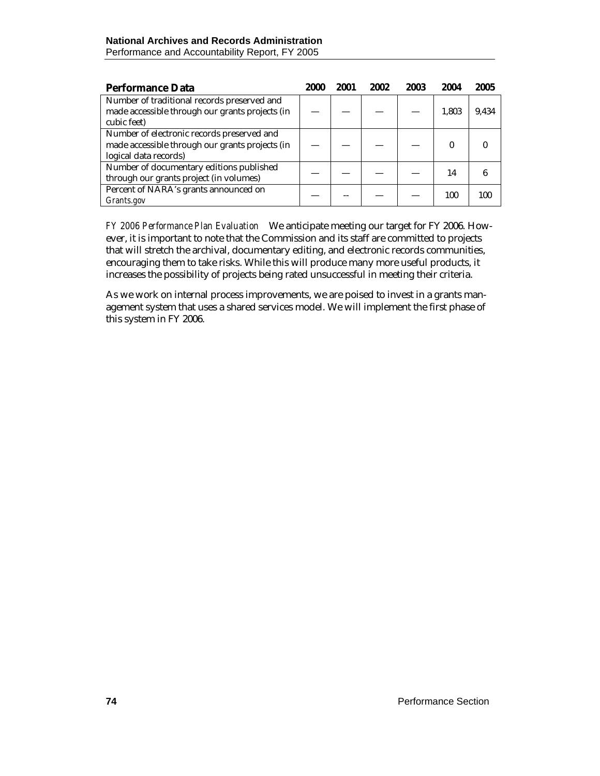| <b>Performance Data</b>                         | 2000 | 2001 | 2002 | 2003 | 2004  | 2005  |
|-------------------------------------------------|------|------|------|------|-------|-------|
| Number of traditional records preserved and     |      |      |      |      |       |       |
| made accessible through our grants projects (in |      |      |      |      | 1,803 | 9,434 |
| cubic feet)                                     |      |      |      |      |       |       |
| Number of electronic records preserved and      |      |      |      |      |       |       |
| made accessible through our grants projects (in |      |      |      |      |       |       |
| logical data records)                           |      |      |      |      |       |       |
| Number of documentary editions published        |      |      |      |      | 14    |       |
| through our grants project (in volumes)         |      |      |      |      |       |       |
| Percent of NARA's grants announced on           |      |      |      |      | 100   | 100   |
| Grants.gov                                      |      |      |      |      |       |       |

*FY 2006 Performance Plan Evaluation*We anticipate meeting our target for FY 2006. However, it is important to note that the Commission and its staff are committed to projects that will stretch the archival, documentary editing, and electronic records communities, encouraging them to take risks. While this will produce many more useful products, it increases the possibility of projects being rated unsuccessful in meeting their criteria.

As we work on internal process improvements, we are poised to invest in a grants management system that uses a shared services model. We will implement the first phase of this system in FY 2006.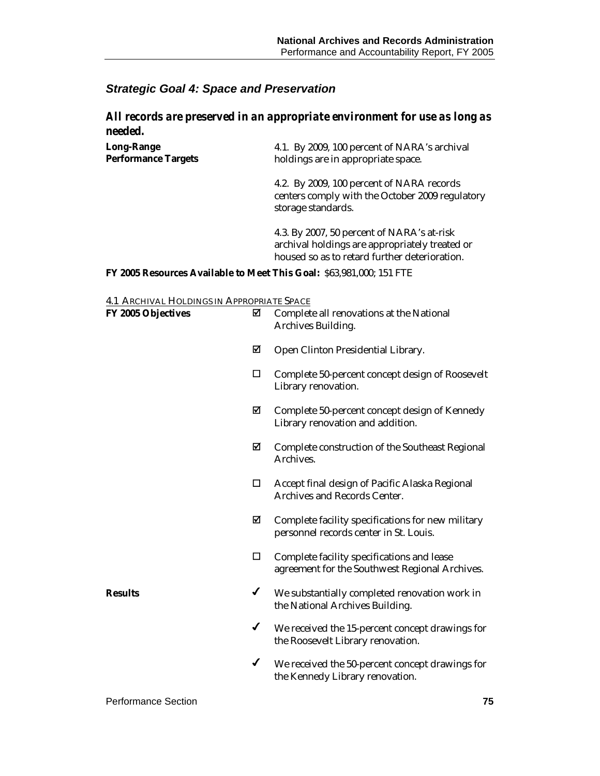#### *Strategic Goal 4: Space and Preservation*

#### *All records are preserved in an appropriate environment for use as long as needed.*

| <b>Long-Range</b>          | 4.1. By 2009, 100 percent of NARA's archival |
|----------------------------|----------------------------------------------|
| <b>Performance Targets</b> | holdings are in appropriate space.           |

4.2. By 2009, 100 percent of NARA records centers comply with the October 2009 regulatory storage standards.

4.3. By 2007, 50 percent of NARA's at-risk archival holdings are appropriately treated or housed so as to retard further deterioration.

#### **FY 2005 Resources Available to Meet This Goal:** \$63,981,000; 151 FTE

#### 4.1 ARCHIVAL HOLDINGS IN APPROPRIATE SPACE

| FY 2005 Objectives | ☑            | Complete all renovations at the National<br>Archives Building.                               |
|--------------------|--------------|----------------------------------------------------------------------------------------------|
|                    | ☑            | Open Clinton Presidential Library.                                                           |
|                    | □            | Complete 50-percent concept design of Roosevelt<br>Library renovation.                       |
|                    | ☑            | Complete 50-percent concept design of Kennedy<br>Library renovation and addition.            |
|                    | ☑            | Complete construction of the Southeast Regional<br>Archives.                                 |
|                    | □            | Accept final design of Pacific Alaska Regional<br>Archives and Records Center.               |
|                    | ☑            | Complete facility specifications for new military<br>personnel records center in St. Louis.  |
|                    | □            | Complete facility specifications and lease<br>agreement for the Southwest Regional Archives. |
| <b>Results</b>     | ✔            | We substantially completed renovation work in<br>the National Archives Building.             |
|                    | $\checkmark$ | We received the 15-percent concept drawings for<br>the Roosevelt Library renovation.         |
|                    | $\checkmark$ | We received the 50-percent concept drawings for<br>the Kennedy Library renovation.           |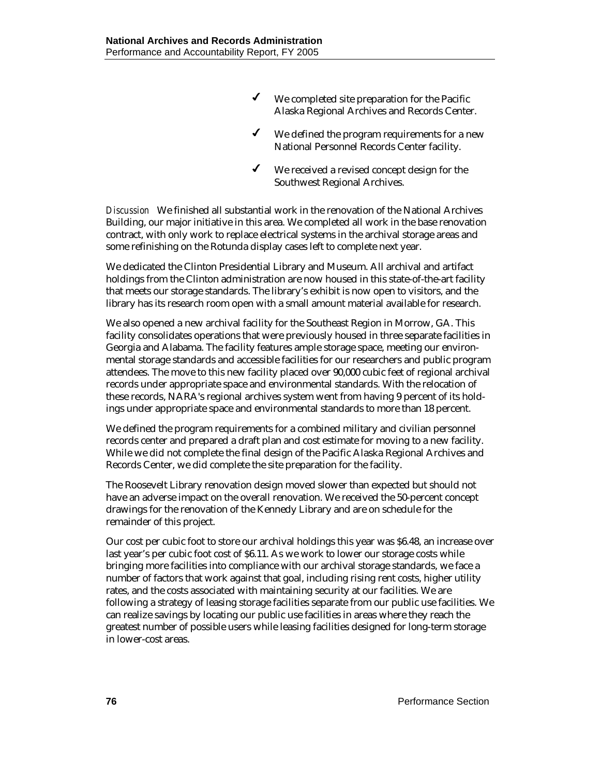- $\checkmark$  We completed site preparation for the Pacific Alaska Regional Archives and Records Center.
- $\checkmark$  We defined the program requirements for a new National Personnel Records Center facility.
- $\checkmark$  We received a revised concept design for the Southwest Regional Archives.

*Discussion* We finished all substantial work in the renovation of the National Archives Building, our major initiative in this area. We completed all work in the base renovation contract, with only work to replace electrical systems in the archival storage areas and some refinishing on the Rotunda display cases left to complete next year.

We dedicated the Clinton Presidential Library and Museum. All archival and artifact holdings from the Clinton administration are now housed in this state-of-the-art facility that meets our storage standards. The library's exhibit is now open to visitors, and the library has its research room open with a small amount material available for research.

We also opened a new archival facility for the Southeast Region in Morrow, GA. This facility consolidates operations that were previously housed in three separate facilities in Georgia and Alabama. The facility features ample storage space, meeting our environmental storage standards and accessible facilities for our researchers and public program attendees. The move to this new facility placed over 90,000 cubic feet of regional archival records under appropriate space and environmental standards. With the relocation of these records, NARA's regional archives system went from having 9 percent of its holdings under appropriate space and environmental standards to more than 18 percent.

We defined the program requirements for a combined military and civilian personnel records center and prepared a draft plan and cost estimate for moving to a new facility. While we did not complete the final design of the Pacific Alaska Regional Archives and Records Center, we did complete the site preparation for the facility.

The Roosevelt Library renovation design moved slower than expected but should not have an adverse impact on the overall renovation. We received the 50-percent concept drawings for the renovation of the Kennedy Library and are on schedule for the remainder of this project.

Our cost per cubic foot to store our archival holdings this year was \$6.48, an increase over last year's per cubic foot cost of \$6.11. As we work to lower our storage costs while bringing more facilities into compliance with our archival storage standards, we face a number of factors that work against that goal, including rising rent costs, higher utility rates, and the costs associated with maintaining security at our facilities. We are following a strategy of leasing storage facilities separate from our public use facilities. We can realize savings by locating our public use facilities in areas where they reach the greatest number of possible users while leasing facilities designed for long-term storage in lower-cost areas.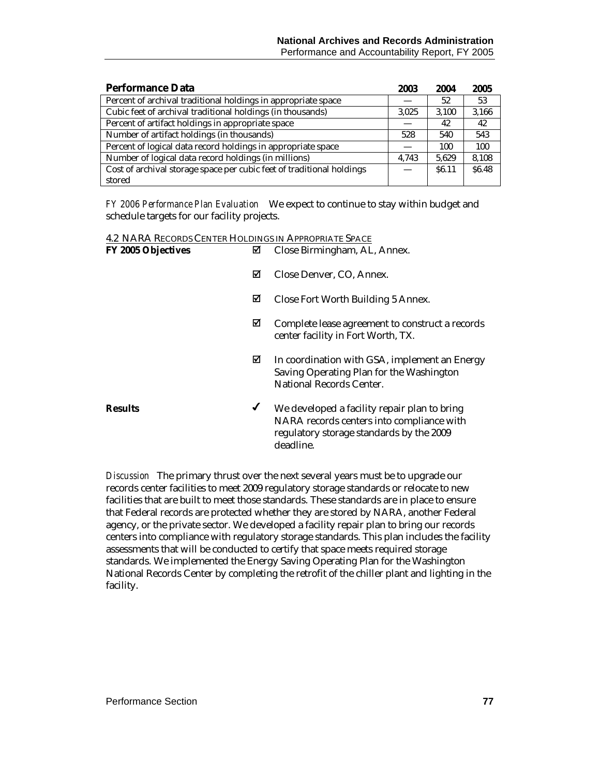| <b>Performance Data</b>                                               | 2003  | 2004              | 2005   |
|-----------------------------------------------------------------------|-------|-------------------|--------|
| Percent of archival traditional holdings in appropriate space         |       | 52                | 53     |
| Cubic feet of archival traditional holdings (in thousands)            | 3,025 | 3,100             | 3.166  |
| Percent of artifact holdings in appropriate space                     |       | 42                | 42     |
| Number of artifact holdings (in thousands)                            | 528   | 540               | 543    |
| Percent of logical data record holdings in appropriate space          |       | 100               | 100    |
| Number of logical data record holdings (in millions)                  | 4.743 | 5.629             | 8,108  |
| Cost of archival storage space per cubic feet of traditional holdings |       | S <sub>6.11</sub> | \$6.48 |
| stored                                                                |       |                   |        |

*FY 2006 Performance Plan Evaluation*We expect to continue to stay within budget and schedule targets for our facility projects.

| 4.2 NARA RECORDS CENTER HOLDINGS IN APPROPRIATE SPACE |   |                                                                                                                                                    |
|-------------------------------------------------------|---|----------------------------------------------------------------------------------------------------------------------------------------------------|
| <b>FY 2005 Objectives</b>                             | ⊠ | Close Birmingham, AL, Annex.                                                                                                                       |
|                                                       | ⊠ | Close Denver, CO, Annex.                                                                                                                           |
|                                                       | ☑ | Close Fort Worth Building 5 Annex.                                                                                                                 |
|                                                       | ⊠ | Complete lease agreement to construct a records<br>center facility in Fort Worth, TX.                                                              |
|                                                       | ⊠ | In coordination with GSA, implement an Energy<br>Saving Operating Plan for the Washington<br><b>National Records Center.</b>                       |
| <b>Results</b>                                        | ✔ | We developed a facility repair plan to bring<br>NARA records centers into compliance with<br>regulatory storage standards by the 2009<br>deadline. |

*Discussion* The primary thrust over the next several years must be to upgrade our records center facilities to meet 2009 regulatory storage standards or relocate to new facilities that are built to meet those standards. These standards are in place to ensure that Federal records are protected whether they are stored by NARA, another Federal agency, or the private sector. We developed a facility repair plan to bring our records centers into compliance with regulatory storage standards. This plan includes the facility assessments that will be conducted to certify that space meets required storage standards. We implemented the Energy Saving Operating Plan for the Washington National Records Center by completing the retrofit of the chiller plant and lighting in the facility.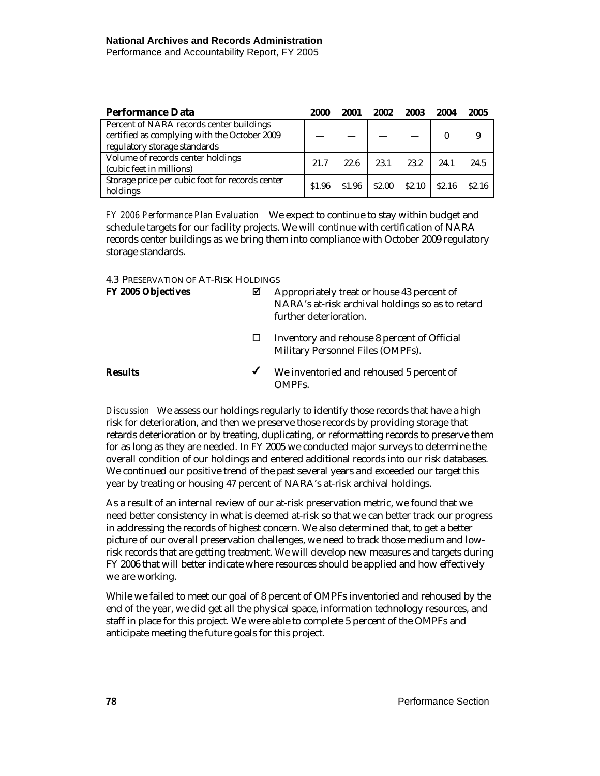| <b>Performance Data</b>                                                                                                  | 2000   | 2001   | 2002   | 2003              | 2004              | 2005              |
|--------------------------------------------------------------------------------------------------------------------------|--------|--------|--------|-------------------|-------------------|-------------------|
| Percent of NARA records center buildings<br>certified as complying with the October 2009<br>regulatory storage standards |        |        |        |                   |                   | 9                 |
| Volume of records center holdings<br>(cubic feet in millions)                                                            | 21.7   | 22.6   | 23.1   | 23.2              | 24.1              | 24.5              |
| Storage price per cubic foot for records center<br>holdings                                                              | \$1.96 | \$1.96 | \$2.00 | S <sub>2.10</sub> | S <sub>2.16</sub> | S <sub>2.16</sub> |

*FY 2006 Performance Plan Evaluation*We expect to continue to stay within budget and schedule targets for our facility projects. We will continue with certification of NARA records center buildings as we bring them into compliance with October 2009 regulatory storage standards.

4.3 PRESERVATION OF AT-RISK HOLDINGS

| <b>FY 2005 Objectives</b> | М | Appropriately treat or house 43 percent of<br>NARA's at-risk archival holdings so as to retard<br>further deterioration. |  |  |  |  |
|---------------------------|---|--------------------------------------------------------------------------------------------------------------------------|--|--|--|--|
|                           |   | Inventory and rehouse 8 percent of Official<br>Military Personnel Files (OMPFs).                                         |  |  |  |  |
| <b>Results</b>            | ✔ | We inventoried and rehoused 5 percent of<br>OMPFs.                                                                       |  |  |  |  |

*Discussion* We assess our holdings regularly to identify those records that have a high risk for deterioration, and then we preserve those records by providing storage that retards deterioration or by treating, duplicating, or reformatting records to preserve them for as long as they are needed. In FY 2005 we conducted major surveys to determine the overall condition of our holdings and entered additional records into our risk databases. We continued our positive trend of the past several years and exceeded our target this year by treating or housing 47 percent of NARA's at-risk archival holdings.

As a result of an internal review of our at-risk preservation metric, we found that we need better consistency in what is deemed at-risk so that we can better track our progress in addressing the records of highest concern. We also determined that, to get a better picture of our overall preservation challenges, we need to track those medium and lowrisk records that are getting treatment. We will develop new measures and targets during FY 2006 that will better indicate where resources should be applied and how effectively we are working.

While we failed to meet our goal of 8 percent of OMPFs inventoried and rehoused by the end of the year, we did get all the physical space, information technology resources, and staff in place for this project. We were able to complete 5 percent of the OMPFs and anticipate meeting the future goals for this project.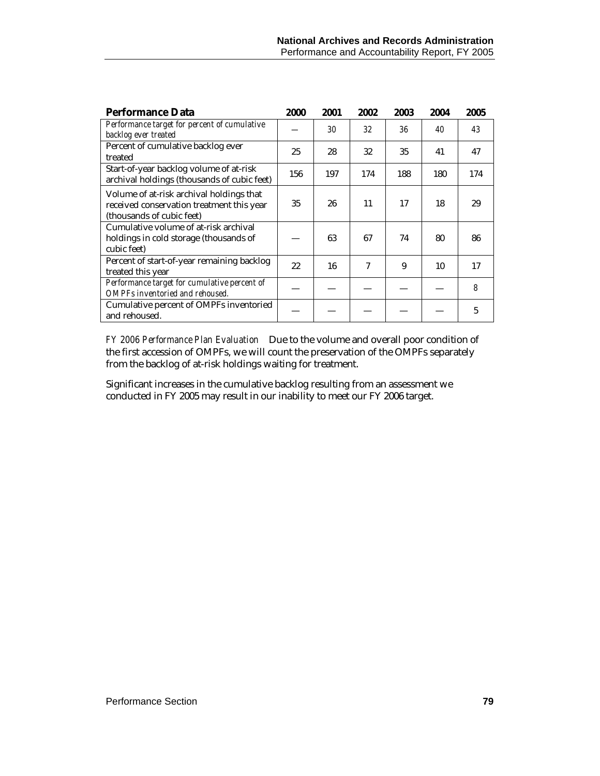| <b>Performance Data</b>                                                                                            | 2000 | 2001 | 2002 | 2003 | 2004 | 2005 |
|--------------------------------------------------------------------------------------------------------------------|------|------|------|------|------|------|
| Performance target for percent of cumulative<br>backlog ever treated                                               |      | 30   | 32   | 36   | 40   | 43   |
| Percent of cumulative backlog ever<br>treated                                                                      | 25   | 28   | 32   | 35   | 41   | 47   |
| Start-of-year backlog volume of at-risk<br>archival holdings (thousands of cubic feet)                             | 156  | 197  | 174  | 188  | 180  | 174  |
| Volume of at-risk archival holdings that<br>received conservation treatment this year<br>(thousands of cubic feet) | 35   | 26   | 11   | 17   | 18   | 29   |
| Cumulative volume of at-risk archival<br>holdings in cold storage (thousands of<br>cubic feet)                     |      | 63   | 67   | 74   | 80   | 86   |
| Percent of start-of-year remaining backlog<br>treated this year                                                    | 22   | 16   | 7    | 9    | 10   | 17   |
| Performance target for cumulative percent of<br>OMPFs inventoried and rehoused.                                    |      |      |      |      |      | 8    |
| Cumulative percent of OMPFs inventoried<br>and rehoused.                                                           |      |      |      |      |      | 5    |

*FY 2006 Performance Plan Evaluation*Due to the volume and overall poor condition of the first accession of OMPFs, we will count the preservation of the OMPFs separately from the backlog of at-risk holdings waiting for treatment.

Significant increases in the cumulative backlog resulting from an assessment we conducted in FY 2005 may result in our inability to meet our FY 2006 target.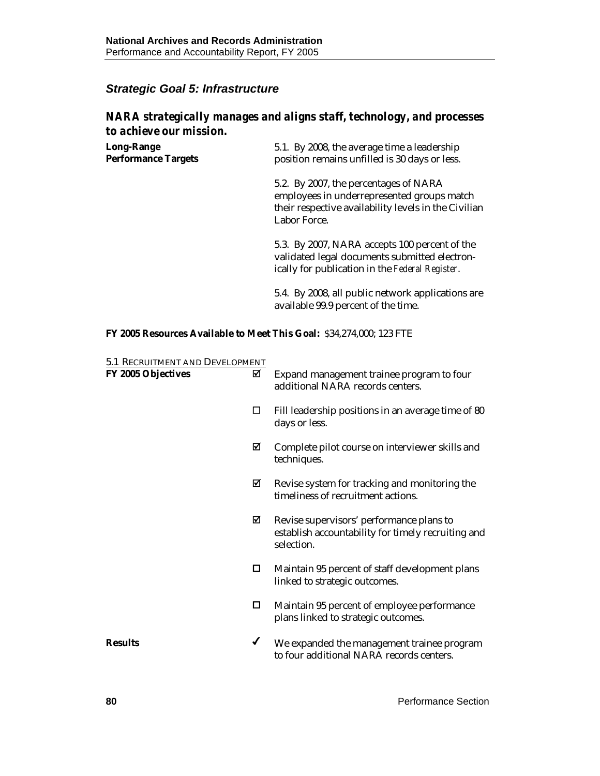#### *Strategic Goal 5: Infrastructure*

#### *NARA strategically manages and aligns staff, technology, and processes to achieve our mission.*

| <b>Long-Range</b>          | 5.1. By 2008, the average time a leadership   |
|----------------------------|-----------------------------------------------|
| <b>Performance Targets</b> | position remains unfilled is 30 days or less. |

5.2. By 2007, the percentages of NARA employees in underrepresented groups match their respective availability levels in the Civilian Labor Force.

5.3. By 2007, NARA accepts 100 percent of the validated legal documents submitted electronically for publication in the *Federal Register*.

5.4. By 2008, all public network applications are available 99.9 percent of the time.

#### **FY 2005 Resources Available to Meet This Goal:** \$34,274,000; 123 FTE

| 5.1 RECRUITMENT AND DEVELOPMENT |   |                                                                                                              |
|---------------------------------|---|--------------------------------------------------------------------------------------------------------------|
| <b>FY 2005 Objectives</b>       | ☑ | Expand management trainee program to four<br>additional NARA records centers.                                |
|                                 | □ | Fill leadership positions in an average time of 80<br>days or less.                                          |
|                                 | ☑ | Complete pilot course on interviewer skills and<br>techniques.                                               |
|                                 | ☑ | Revise system for tracking and monitoring the<br>timeliness of recruitment actions.                          |
|                                 | ⊠ | Revise supervisors' performance plans to<br>establish accountability for timely recruiting and<br>selection. |
|                                 | 0 | Maintain 95 percent of staff development plans<br>linked to strategic outcomes.                              |
|                                 | □ | Maintain 95 percent of employee performance<br>plans linked to strategic outcomes.                           |
| <b>Results</b>                  | ✔ | We expanded the management trainee program<br>to four additional NARA records centers.                       |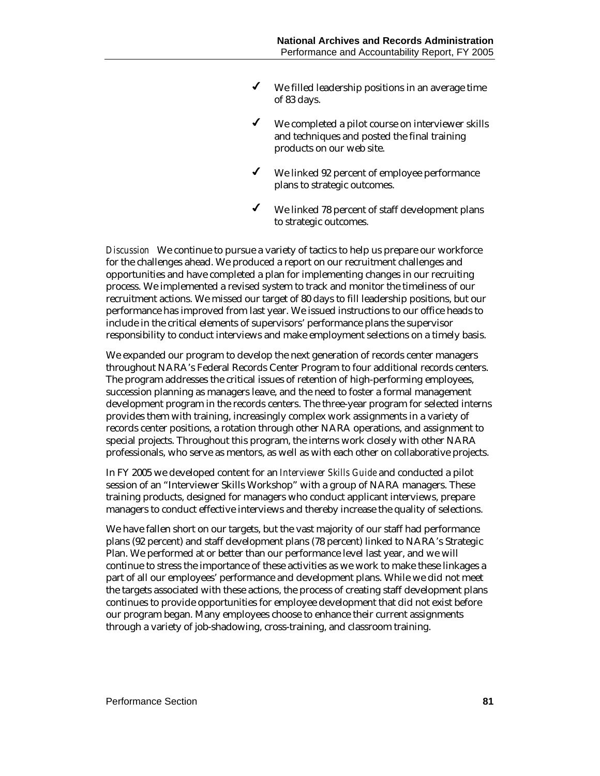- $\checkmark$  We filled leadership positions in an average time of 83 days.
- $\checkmark$  We completed a pilot course on interviewer skills and techniques and posted the final training products on our web site.
- $\checkmark$  We linked 92 percent of employee performance plans to strategic outcomes.
- We linked 78 percent of staff development plans to strategic outcomes.

*Discussion* We continue to pursue a variety of tactics to help us prepare our workforce for the challenges ahead. We produced a report on our recruitment challenges and opportunities and have completed a plan for implementing changes in our recruiting process. We implemented a revised system to track and monitor the timeliness of our recruitment actions. We missed our target of 80 days to fill leadership positions, but our performance has improved from last year. We issued instructions to our office heads to include in the critical elements of supervisors' performance plans the supervisor responsibility to conduct interviews and make employment selections on a timely basis.

We expanded our program to develop the next generation of records center managers throughout NARA's Federal Records Center Program to four additional records centers. The program addresses the critical issues of retention of high-performing employees, succession planning as managers leave, and the need to foster a formal management development program in the records centers. The three-year program for selected interns provides them with training, increasingly complex work assignments in a variety of records center positions, a rotation through other NARA operations, and assignment to special projects. Throughout this program, the interns work closely with other NARA professionals, who serve as mentors, as well as with each other on collaborative projects.

In FY 2005 we developed content for an *Interviewer Skills Guide* and conducted a pilot session of an "Interviewer Skills Workshop" with a group of NARA managers. These training products, designed for managers who conduct applicant interviews, prepare managers to conduct effective interviews and thereby increase the quality of selections.

We have fallen short on our targets, but the vast majority of our staff had performance plans (92 percent) and staff development plans (78 percent) linked to NARA's Strategic Plan. We performed at or better than our performance level last year, and we will continue to stress the importance of these activities as we work to make these linkages a part of all our employees' performance and development plans. While we did not meet the targets associated with these actions, the process of creating staff development plans continues to provide opportunities for employee development that did not exist before our program began. Many employees choose to enhance their current assignments through a variety of job-shadowing, cross-training, and classroom training.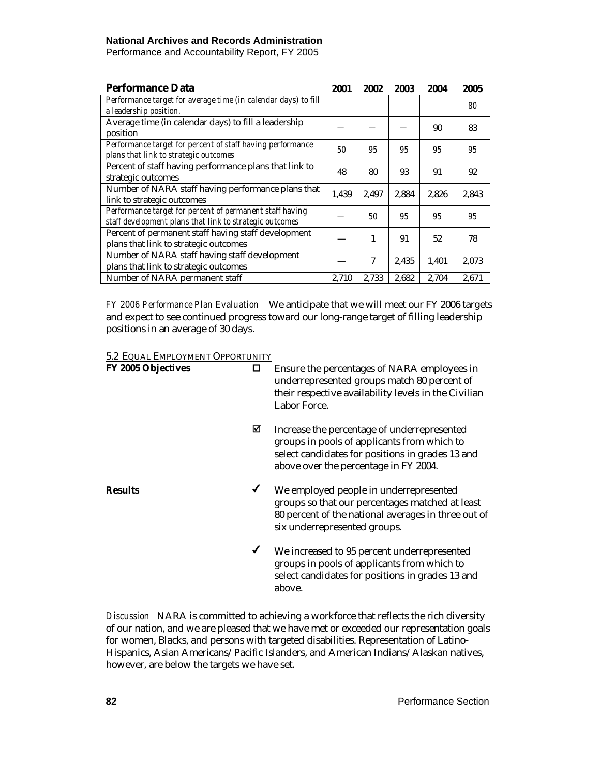| <b>Performance Data</b>                                                                                             | 2001  | 2002  | 2003  | 2004  | 2005  |
|---------------------------------------------------------------------------------------------------------------------|-------|-------|-------|-------|-------|
| Performance target for average time (in calendar days) to fill<br>a leadership position.                            |       |       |       |       | 80    |
| Average time (in calendar days) to fill a leadership<br>position                                                    |       |       |       | 90    | 83    |
| Performance target for percent of staff having performance<br>plans that link to strategic outcomes                 | 50    | 95    | 95    | 95    | 95    |
| Percent of staff having performance plans that link to<br>strategic outcomes                                        | 48    | 80    | 93    | 91    | 92    |
| Number of NARA staff having performance plans that<br>link to strategic outcomes                                    | 1.439 | 2.497 | 2.884 | 2,826 | 2,843 |
| Performance target for percent of permanent staff having<br>staff development plans that link to strategic outcomes |       | 50    | 95    | 95    | 95    |
| Percent of permanent staff having staff development<br>plans that link to strategic outcomes                        |       | 1     | 91    | 52    | 78    |
| Number of NARA staff having staff development<br>plans that link to strategic outcomes                              |       | 7     | 2.435 | 1,401 | 2,073 |
| Number of NARA permanent staff                                                                                      | 2,710 | 2,733 | 2,682 | 2,704 | 2,671 |

*FY 2006 Performance Plan Evaluation*We anticipate that we will meet our FY 2006 targets and expect to see continued progress toward our long-range target of filling leadership positions in an average of 30 days.

#### 5.2 EQUAL EMPLOYMENT OPPORTUNITY

| FY 2005 Objectives | □            | Ensure the percentages of NARA employees in<br>underrepresented groups match 80 percent of<br>their respective availability levels in the Civilian<br>Labor Force.                      |
|--------------------|--------------|-----------------------------------------------------------------------------------------------------------------------------------------------------------------------------------------|
|                    | ⊠            | Increase the percentage of underrepresented<br>groups in pools of applicants from which to<br>select candidates for positions in grades 13 and<br>above over the percentage in FY 2004. |
| <b>Results</b>     | ✔            | We employed people in underrepresented<br>groups so that our percentages matched at least<br>80 percent of the national averages in three out of<br>six underrepresented groups.        |
|                    | $\checkmark$ | We increased to 95 percent underrepresented<br>groups in pools of applicants from which to<br>select candidates for positions in grades 13 and<br>above.                                |

*Discussion* NARA is committed to achieving a workforce that reflects the rich diversity of our nation, and we are pleased that we have met or exceeded our representation goals for women, Blacks, and persons with targeted disabilities. Representation of Latino-Hispanics, Asian Americans/Pacific Islanders, and American Indians/Alaskan natives, however, are below the targets we have set.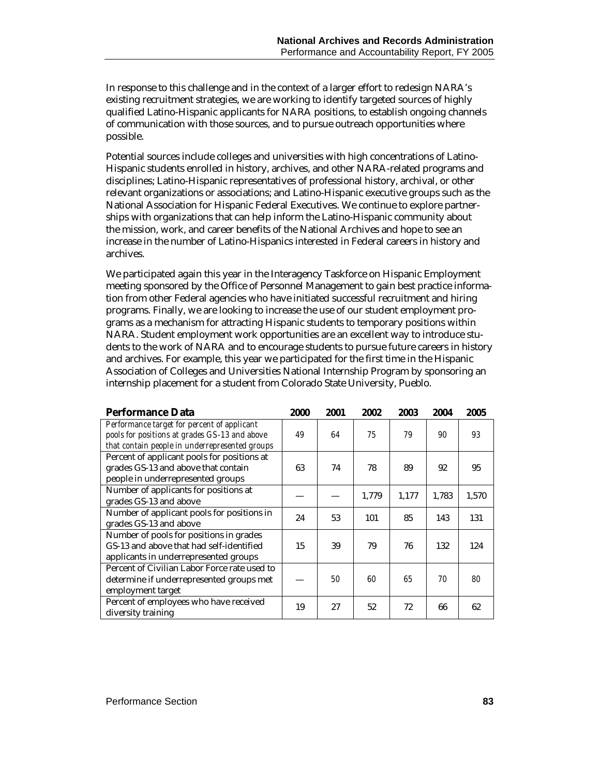In response to this challenge and in the context of a larger effort to redesign NARA's existing recruitment strategies, we are working to identify targeted sources of highly qualified Latino-Hispanic applicants for NARA positions, to establish ongoing channels of communication with those sources, and to pursue outreach opportunities where possible.

Potential sources include colleges and universities with high concentrations of Latino-Hispanic students enrolled in history, archives, and other NARA-related programs and disciplines; Latino-Hispanic representatives of professional history, archival, or other relevant organizations or associations; and Latino-Hispanic executive groups such as the National Association for Hispanic Federal Executives. We continue to explore partnerships with organizations that can help inform the Latino-Hispanic community about the mission, work, and career benefits of the National Archives and hope to see an increase in the number of Latino-Hispanics interested in Federal careers in history and archives.

We participated again this year in the Interagency Taskforce on Hispanic Employment meeting sponsored by the Office of Personnel Management to gain best practice information from other Federal agencies who have initiated successful recruitment and hiring programs. Finally, we are looking to increase the use of our student employment programs as a mechanism for attracting Hispanic students to temporary positions within NARA. Student employment work opportunities are an excellent way to introduce students to the work of NARA and to encourage students to pursue future careers in history and archives. For example, this year we participated for the first time in the Hispanic Association of Colleges and Universities National Internship Program by sponsoring an internship placement for a student from Colorado State University, Pueblo.

| <b>Performance Data</b>                                                                                                                        | 2000 | 2001 | 2002  | 2003  | 2004  | 2005  |
|------------------------------------------------------------------------------------------------------------------------------------------------|------|------|-------|-------|-------|-------|
| Performance target for percent of applicant<br>pools for positions at grades GS-13 and above<br>that contain people in underrepresented groups | 49   | 64   | 75    | 79    | 90    | 93    |
| Percent of applicant pools for positions at<br>grades GS-13 and above that contain<br>people in underrepresented groups                        | 63   | 74   | 78    | 89    | 92    | 95    |
| Number of applicants for positions at<br>grades GS-13 and above                                                                                |      |      | 1,779 | 1,177 | 1,783 | 1,570 |
| Number of applicant pools for positions in<br>grades GS-13 and above                                                                           | 24   | 53   | 101   | 85    | 143   | 131   |
| Number of pools for positions in grades<br>GS-13 and above that had self-identified<br>applicants in underrepresented groups                   | 15   | 39   | 79    | 76    | 132   | 124   |
| Percent of Civilian Labor Force rate used to<br>determine if underrepresented groups met<br>employment target                                  |      | 50   | 60    | 65    | 70    | 80    |
| Percent of employees who have received<br>diversity training                                                                                   | 19   | 27   | 52    | 72    | 66    | 62    |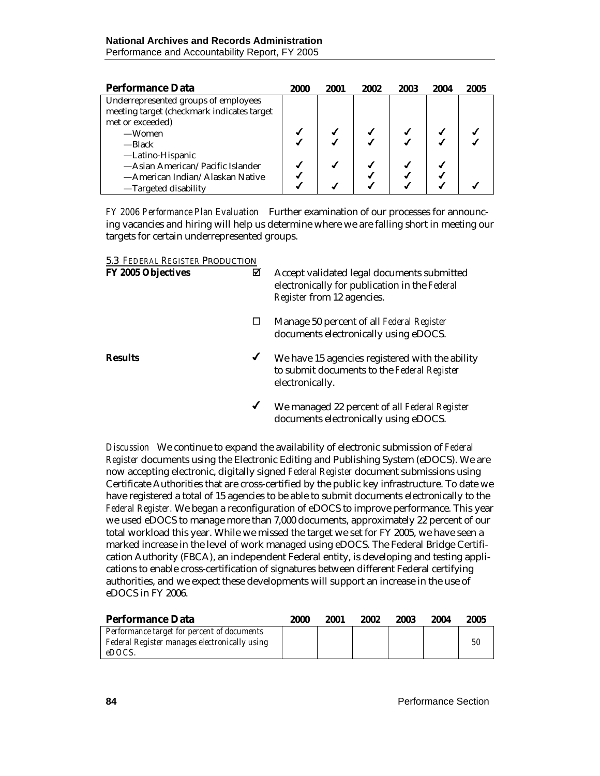| <b>Performance Data</b>                    | 2000 | 2001 | 2002 | 2003 | 2004 | 2005 |
|--------------------------------------------|------|------|------|------|------|------|
| Underrepresented groups of employees       |      |      |      |      |      |      |
| meeting target (checkmark indicates target |      |      |      |      |      |      |
| met or exceeded)                           |      |      |      |      |      |      |
| —Women                                     |      |      |      |      |      |      |
| —Black                                     |      |      |      |      |      |      |
| -Latino-Hispanic                           |      |      |      |      |      |      |
| -Asian American/Pacific Islander           |      |      |      |      |      |      |
| —American Indian/Alaskan Native            |      |      |      |      |      |      |
| -Targeted disability                       |      |      |      |      |      |      |

*FY 2006 Performance Plan Evaluation* Further examination of our processes for announcing vacancies and hiring will help us determine where we are falling short in meeting our targets for certain underrepresented groups.

#### 5.3 *FEDERAL REGISTER* PRODUCTION

| <b>FY 2005 Objectives</b> | ⊠ | Accept validated legal documents submitted<br>electronically for publication in the Federal<br><i>Register</i> from 12 agencies. |
|---------------------------|---|----------------------------------------------------------------------------------------------------------------------------------|
|                           | ப | Manage 50 percent of all Federal Register<br>documents electronically using eDOCS.                                               |
| <b>Results</b>            | ✔ | We have 15 agencies registered with the ability<br>to submit documents to the Federal Register<br>electronically.                |
|                           | ✔ | We managed 22 percent of all Federal Register<br>documents electronically using eDOCS.                                           |

*Discussion* We continue to expand the availability of electronic submission of *Federal Register* documents using the Electronic Editing and Publishing System (eDOCS). We are now accepting electronic, digitally signed *Federal Register* document submissions using Certificate Authorities that are cross-certified by the public key infrastructure. To date we have registered a total of 15 agencies to be able to submit documents electronically to the *Federal Register.* We began a reconfiguration of eDOCS to improve performance. This year we used eDOCS to manage more than 7,000 documents, approximately 22 percent of our total workload this year. While we missed the target we set for FY 2005, we have seen a marked increase in the level of work managed using eDOCS. The Federal Bridge Certification Authority (FBCA), an independent Federal entity, is developing and testing applications to enable cross-certification of signatures between different Federal certifying authorities, and we expect these developments will support an increase in the use of eDOCS in FY 2006.

| Performance Data                              | 2000 | 2001 | 2002 | 2003 | 2004 | 2005 |
|-----------------------------------------------|------|------|------|------|------|------|
| Performance target for percent of documents   |      |      |      |      |      |      |
| Federal Register manages electronically using |      |      |      |      |      | 50   |
| eDOCS.                                        |      |      |      |      |      |      |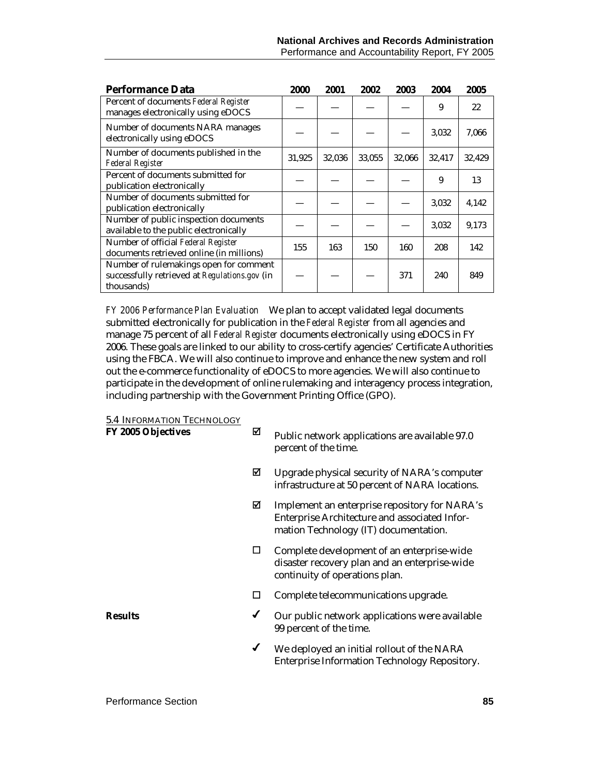| <b>Performance Data</b>                                                                               | 2000   | 2001   | 2002   | 2003   | 2004   | 2005   |
|-------------------------------------------------------------------------------------------------------|--------|--------|--------|--------|--------|--------|
| Percent of documents Federal Register<br>manages electronically using eDOCS                           |        |        |        |        | 9      | 22     |
| Number of documents NARA manages<br>electronically using eDOCS                                        |        |        |        |        | 3,032  | 7,066  |
| Number of documents published in the<br><b>Federal Register</b>                                       | 31,925 | 32,036 | 33,055 | 32,066 | 32,417 | 32,429 |
| Percent of documents submitted for<br>publication electronically                                      |        |        |        |        | 9      | 13     |
| Number of documents submitted for<br>publication electronically                                       |        |        |        |        | 3,032  | 4,142  |
| Number of public inspection documents<br>available to the public electronically                       |        |        |        |        | 3,032  | 9,173  |
| Number of official Federal Register<br>documents retrieved online (in millions)                       | 155    | 163    | 150    | 160    | 208    | 142    |
| Number of rulemakings open for comment<br>successfully retrieved at Regulations.gov (in<br>thousands) |        |        |        | 371    | 240    | 849    |

*FY 2006 Performance Plan Evaluation*We plan to accept validated legal documents submitted electronically for publication in the *Federal Register* from all agencies and manage 75 percent of all *Federal Register* documents electronically using eDOCS in FY 2006. These goals are linked to our ability to cross-certify agencies' Certificate Authorities using the FBCA. We will also continue to improve and enhance the new system and roll out the e-commerce functionality of eDOCS to more agencies. We will also continue to participate in the development of online rulemaking and interagency process integration, including partnership with the Government Printing Office (GPO).

#### 5.4 INFORMATION TECHNOLOGY

| FY 2005 Objectives | ☑ | Public network applications are available 97.0<br>percent of the time.                                                                  |
|--------------------|---|-----------------------------------------------------------------------------------------------------------------------------------------|
|                    | ☑ | Upgrade physical security of NARA's computer<br>infrastructure at 50 percent of NARA locations.                                         |
|                    | ⊠ | Implement an enterprise repository for NARA's<br>Enterprise Architecture and associated Infor-<br>mation Technology (IT) documentation. |
|                    | □ | Complete development of an enterprise-wide<br>disaster recovery plan and an enterprise-wide<br>continuity of operations plan.           |
|                    | ப | Complete telecommunications upgrade.                                                                                                    |
| <b>Results</b>     | ✔ | Our public network applications were available<br>99 percent of the time.                                                               |
|                    | ✔ | We deployed an initial rollout of the NARA<br><b>Enterprise Information Technology Repository.</b>                                      |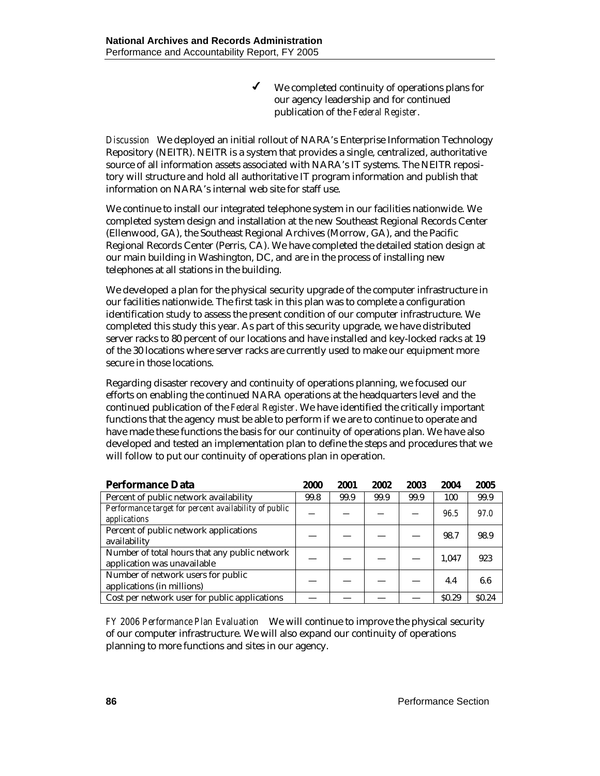$\checkmark$  We completed continuity of operations plans for our agency leadership and for continued publication of the *Federal Register*.

*Discussion* We deployed an initial rollout of NARA's Enterprise Information Technology Repository (NEITR). NEITR is a system that provides a single, centralized, authoritative source of all information assets associated with NARA's IT systems. The NEITR repository will structure and hold all authoritative IT program information and publish that information on NARA's internal web site for staff use.

We continue to install our integrated telephone system in our facilities nationwide. We completed system design and installation at the new Southeast Regional Records Center (Ellenwood, GA), the Southeast Regional Archives (Morrow, GA), and the Pacific Regional Records Center (Perris, CA). We have completed the detailed station design at our main building in Washington, DC, and are in the process of installing new telephones at all stations in the building.

We developed a plan for the physical security upgrade of the computer infrastructure in our facilities nationwide. The first task in this plan was to complete a configuration identification study to assess the present condition of our computer infrastructure. We completed this study this year. As part of this security upgrade, we have distributed server racks to 80 percent of our locations and have installed and key-locked racks at 19 of the 30 locations where server racks are currently used to make our equipment more secure in those locations.

Regarding disaster recovery and continuity of operations planning, we focused our efforts on enabling the continued NARA operations at the headquarters level and the continued publication of the *Federal Register*. We have identified the critically important functions that the agency must be able to perform if we are to continue to operate and have made these functions the basis for our continuity of operations plan. We have also developed and tested an implementation plan to define the steps and procedures that we will follow to put our continuity of operations plan in operation.

| <b>Performance Data</b>                                                      | 2000 | 2001 | 2002 | 2003 | 2004              | 2005              |
|------------------------------------------------------------------------------|------|------|------|------|-------------------|-------------------|
| Percent of public network availability                                       | 99.8 | 99.9 | 99.9 | 99.9 | 100               | 99.9              |
| Performance target for percent availability of public<br>applications        |      |      |      |      | 96.5              | 97.0              |
| Percent of public network applications<br>availability                       |      |      |      |      | 98.7              | 98.9              |
| Number of total hours that any public network<br>application was unavailable |      |      |      |      | 1.047             | 923               |
| Number of network users for public<br>applications (in millions)             |      |      |      |      | 4.4               | 6.6               |
| Cost per network user for public applications                                |      |      |      |      | S <sub>0.29</sub> | S <sub>0.24</sub> |

*FY 2006 Performance Plan Evaluation*We will continue to improve the physical security of our computer infrastructure. We will also expand our continuity of operations planning to more functions and sites in our agency.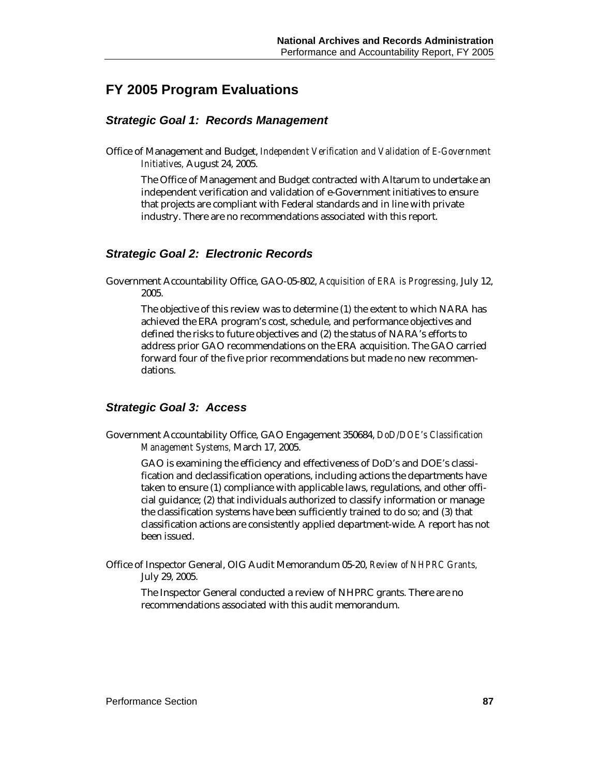### **FY 2005 Program Evaluations**

#### *Strategic Goal 1: Records Management*

Office of Management and Budget, *Independent Verification and Validation of E-Government Initiatives,* August 24, 2005.

The Office of Management and Budget contracted with Altarum to undertake an independent verification and validation of e-Government initiatives to ensure that projects are compliant with Federal standards and in line with private industry. There are no recommendations associated with this report.

#### *Strategic Goal 2: Electronic Records*

Government Accountability Office, GAO-05-802, *Acquisition of ERA is Progressing,* July 12, 2005.

The objective of this review was to determine (1) the extent to which NARA has achieved the ERA program's cost, schedule, and performance objectives and defined the risks to future objectives and (2) the status of NARA's efforts to address prior GAO recommendations on the ERA acquisition. The GAO carried forward four of the five prior recommendations but made no new recommendations.

#### *Strategic Goal 3: Access*

Government Accountability Office, GAO Engagement 350684, *DoD/DOE's Classification Management Systems,* March 17, 2005.

GAO is examining the efficiency and effectiveness of DoD's and DOE's classification and declassification operations, including actions the departments have taken to ensure (1) compliance with applicable laws, regulations, and other official guidance; (2) that individuals authorized to classify information or manage the classification systems have been sufficiently trained to do so; and (3) that classification actions are consistently applied department-wide. A report has not been issued.

Office of Inspector General, OIG Audit Memorandum 05-20, *Review of NHPRC Grants,* July 29, 2005.

The Inspector General conducted a review of NHPRC grants. There are no recommendations associated with this audit memorandum.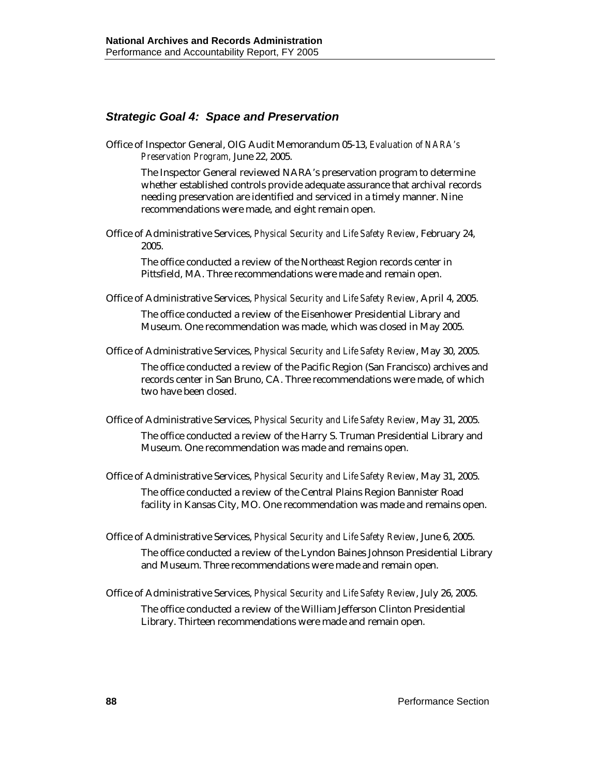#### *Strategic Goal 4: Space and Preservation*

Office of Inspector General, OIG Audit Memorandum 05-13, *Evaluation of NARA's Preservation Program,* June 22, 2005.

The Inspector General reviewed NARA's preservation program to determine whether established controls provide adequate assurance that archival records needing preservation are identified and serviced in a timely manner. Nine recommendations were made, and eight remain open.

Office of Administrative Services, *Physical Security and Life Safety Review*, February 24, 2005.

The office conducted a review of the Northeast Region records center in Pittsfield, MA. Three recommendations were made and remain open.

Office of Administrative Services, *Physical Security and Life Safety Review*, April 4, 2005.

The office conducted a review of the Eisenhower Presidential Library and Museum. One recommendation was made, which was closed in May 2005.

Office of Administrative Services, *Physical Security and Life Safety Review*, May 30, 2005. The office conducted a review of the Pacific Region (San Francisco) archives and records center in San Bruno, CA. Three recommendations were made, of which two have been closed.

Office of Administrative Services, *Physical Security and Life Safety Review*, May 31, 2005.

The office conducted a review of the Harry S. Truman Presidential Library and Museum. One recommendation was made and remains open.

Office of Administrative Services, *Physical Security and Life Safety Review*, May 31, 2005.

The office conducted a review of the Central Plains Region Bannister Road facility in Kansas City, MO. One recommendation was made and remains open.

- Office of Administrative Services, *Physical Security and Life Safety Review*, June 6, 2005. The office conducted a review of the Lyndon Baines Johnson Presidential Library and Museum. Three recommendations were made and remain open.
- Office of Administrative Services, *Physical Security and Life Safety Review*, July 26, 2005. The office conducted a review of the William Jefferson Clinton Presidential Library. Thirteen recommendations were made and remain open.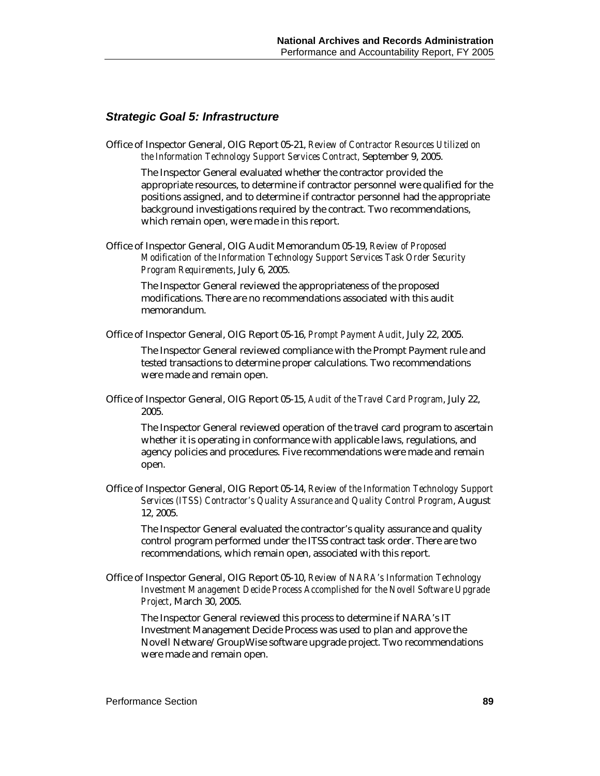#### *Strategic Goal 5: Infrastructure*

Office of Inspector General, OIG Report 05-21, *Review of Contractor Resources Utilized on the Information Technology Support Services Contract,* September 9, 2005.

The Inspector General evaluated whether the contractor provided the appropriate resources, to determine if contractor personnel were qualified for the positions assigned, and to determine if contractor personnel had the appropriate background investigations required by the contract. Two recommendations, which remain open, were made in this report.

Office of Inspector General, OIG Audit Memorandum 05-19, *Review of Proposed Modification of the Information Technology Support Services Task Order Security Program Requirements*, July 6, 2005.

The Inspector General reviewed the appropriateness of the proposed modifications. There are no recommendations associated with this audit memorandum.

Office of Inspector General, OIG Report 05-16, *Prompt Payment Audit*, July 22, 2005.

The Inspector General reviewed compliance with the Prompt Payment rule and tested transactions to determine proper calculations. Two recommendations were made and remain open.

Office of Inspector General, OIG Report 05-15, *Audit of the Travel Card Program*, July 22, 2005.

The Inspector General reviewed operation of the travel card program to ascertain whether it is operating in conformance with applicable laws, regulations, and agency policies and procedures. Five recommendations were made and remain open.

Office of Inspector General, OIG Report 05-14, *Review of the Information Technology Support Services (ITSS) Contractor's Quality Assurance and Quality Control Program*, August 12, 2005.

The Inspector General evaluated the contractor's quality assurance and quality control program performed under the ITSS contract task order. There are two recommendations, which remain open, associated with this report.

Office of Inspector General, OIG Report 05-10, *Review of NARA's Information Technology Investment Management Decide Process Accomplished for the Novell Software Upgrade Project*, March 30, 2005.

The Inspector General reviewed this process to determine if NARA's IT Investment Management Decide Process was used to plan and approve the Novell Netware/GroupWise software upgrade project. Two recommendations were made and remain open.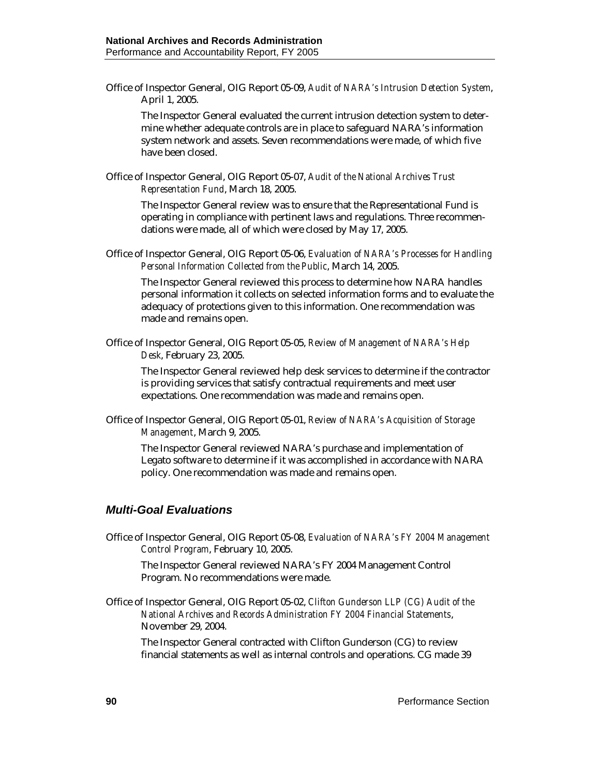Office of Inspector General, OIG Report 05-09, *Audit of NARA's Intrusion Detection System*, April 1, 2005.

The Inspector General evaluated the current intrusion detection system to determine whether adequate controls are in place to safeguard NARA's information system network and assets. Seven recommendations were made, of which five have been closed.

Office of Inspector General, OIG Report 05-07, *Audit of the National Archives Trust Representation Fund*, March 18, 2005.

The Inspector General review was to ensure that the Representational Fund is operating in compliance with pertinent laws and regulations. Three recommendations were made, all of which were closed by May 17, 2005.

Office of Inspector General, OIG Report 05-06, *Evaluation of NARA's Processes for Handling Personal Information Collected from the Public*, March 14, 2005.

The Inspector General reviewed this process to determine how NARA handles personal information it collects on selected information forms and to evaluate the adequacy of protections given to this information. One recommendation was made and remains open.

Office of Inspector General, OIG Report 05-05, *Review of Management of NARA's Help Desk*, February 23, 2005.

The Inspector General reviewed help desk services to determine if the contractor is providing services that satisfy contractual requirements and meet user expectations. One recommendation was made and remains open.

Office of Inspector General, OIG Report 05-01, *Review of NARA's Acquisition of Storage Management*, March 9, 2005.

The Inspector General reviewed NARA's purchase and implementation of Legato software to determine if it was accomplished in accordance with NARA policy. One recommendation was made and remains open.

#### *Multi-Goal Evaluations*

Office of Inspector General, OIG Report 05-08, *Evaluation of NARA's FY 2004 Management Control Program*, February 10, 2005.

The Inspector General reviewed NARA's FY 2004 Management Control Program. No recommendations were made.

Office of Inspector General, OIG Report 05-02, *Clifton Gunderson LLP (CG) Audit of the National Archives and Records Administration FY 2004 Financial Statements*, November 29, 2004.

The Inspector General contracted with Clifton Gunderson (CG) to review financial statements as well as internal controls and operations. CG made 39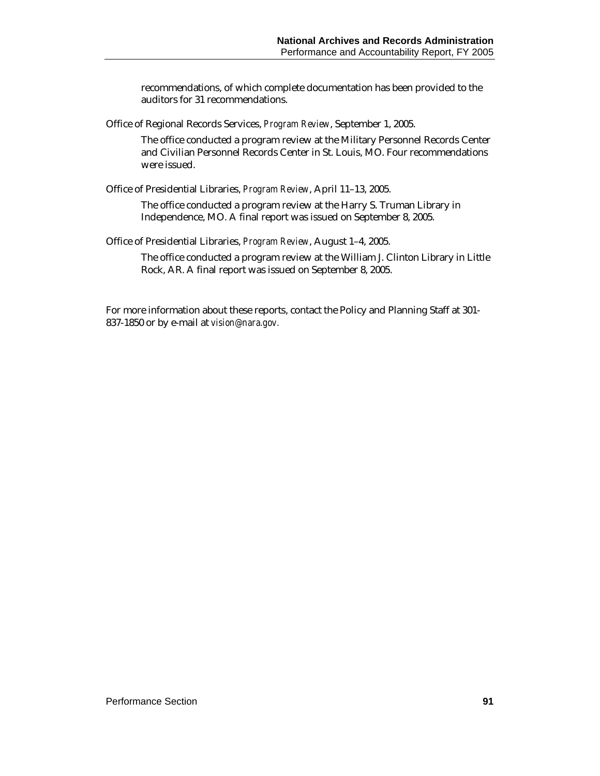recommendations, of which complete documentation has been provided to the auditors for 31 recommendations.

Office of Regional Records Services, *Program Review*, September 1, 2005.

The office conducted a program review at the Military Personnel Records Center and Civilian Personnel Records Center in St. Louis, MO. Four recommendations were issued.

Office of Presidential Libraries, *Program Review*, April 11–13, 2005.

The office conducted a program review at the Harry S. Truman Library in Independence, MO. A final report was issued on September 8, 2005.

Office of Presidential Libraries, *Program Review*, August 1–4, 2005.

The office conducted a program review at the William J. Clinton Library in Little Rock, AR. A final report was issued on September 8, 2005.

For more information about these reports, contact the Policy and Planning Staff at 301- 837-1850 or by e-mail at *vision@nara.gov.*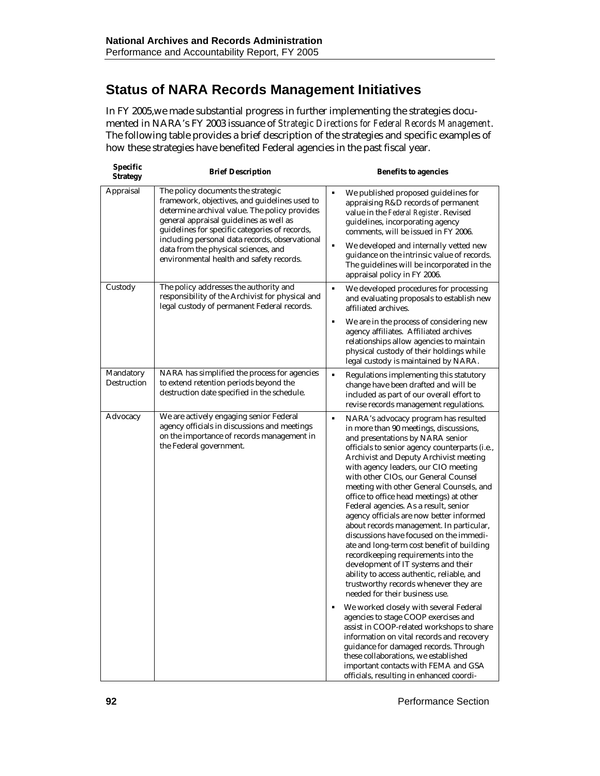# **Status of NARA Records Management Initiatives**

In FY 2005,we made substantial progress in further implementing the strategies documented in NARA's FY 2003 issuance of *Strategic Directions for Federal Records Management*. The following table provides a brief description of the strategies and specific examples of how these strategies have benefited Federal agencies in the past fiscal year.

| Specific<br><b>Strategy</b> | <b>Brief Description</b>                                                                                                                                                                                                                                                                                                                                                | <b>Benefits to agencies</b>                                                                                                                                                                                                                                                                                                                                                                                                                                                                                                                                                                                                                                                                                                                                                                                                                                                                                                                                                                                                                                                                                                                                                   |
|-----------------------------|-------------------------------------------------------------------------------------------------------------------------------------------------------------------------------------------------------------------------------------------------------------------------------------------------------------------------------------------------------------------------|-------------------------------------------------------------------------------------------------------------------------------------------------------------------------------------------------------------------------------------------------------------------------------------------------------------------------------------------------------------------------------------------------------------------------------------------------------------------------------------------------------------------------------------------------------------------------------------------------------------------------------------------------------------------------------------------------------------------------------------------------------------------------------------------------------------------------------------------------------------------------------------------------------------------------------------------------------------------------------------------------------------------------------------------------------------------------------------------------------------------------------------------------------------------------------|
| Appraisal                   | The policy documents the strategic<br>framework, objectives, and guidelines used to<br>determine archival value. The policy provides<br>general appraisal guidelines as well as<br>guidelines for specific categories of records,<br>including personal data records, observational<br>data from the physical sciences, and<br>environmental health and safety records. | We published proposed guidelines for<br>٠<br>appraising R&D records of permanent<br>value in the Federal Register. Revised<br>guidelines, incorporating agency<br>comments, will be issued in FY 2006.<br>We developed and internally vetted new<br>٠<br>guidance on the intrinsic value of records.<br>The guidelines will be incorporated in the<br>appraisal policy in FY 2006.                                                                                                                                                                                                                                                                                                                                                                                                                                                                                                                                                                                                                                                                                                                                                                                            |
| Custody                     | The policy addresses the authority and<br>responsibility of the Archivist for physical and<br>legal custody of permanent Federal records.                                                                                                                                                                                                                               | We developed procedures for processing<br>٠<br>and evaluating proposals to establish new<br>affiliated archives.                                                                                                                                                                                                                                                                                                                                                                                                                                                                                                                                                                                                                                                                                                                                                                                                                                                                                                                                                                                                                                                              |
|                             |                                                                                                                                                                                                                                                                                                                                                                         | We are in the process of considering new<br>٠<br>agency affiliates. Affiliated archives<br>relationships allow agencies to maintain<br>physical custody of their holdings while<br>legal custody is maintained by NARA.                                                                                                                                                                                                                                                                                                                                                                                                                                                                                                                                                                                                                                                                                                                                                                                                                                                                                                                                                       |
| Mandatory<br>Destruction    | NARA has simplified the process for agencies<br>to extend retention periods beyond the<br>destruction date specified in the schedule.                                                                                                                                                                                                                                   | ٠<br>Regulations implementing this statutory<br>change have been drafted and will be<br>included as part of our overall effort to<br>revise records management regulations.                                                                                                                                                                                                                                                                                                                                                                                                                                                                                                                                                                                                                                                                                                                                                                                                                                                                                                                                                                                                   |
| Advocacy                    | We are actively engaging senior Federal<br>agency officials in discussions and meetings<br>on the importance of records management in<br>the Federal government.                                                                                                                                                                                                        | ٠<br>NARA's advocacy program has resulted<br>in more than 90 meetings, discussions,<br>and presentations by NARA senior<br>officials to senior agency counterparts (i.e.,<br>Archivist and Deputy Archivist meeting<br>with agency leaders, our CIO meeting<br>with other CIOs, our General Counsel<br>meeting with other General Counsels, and<br>office to office head meetings) at other<br>Federal agencies. As a result, senior<br>agency officials are now better informed<br>about records management. In particular,<br>discussions have focused on the immedi-<br>ate and long-term cost benefit of building<br>recordkeeping requirements into the<br>development of IT systems and their<br>ability to access authentic, reliable, and<br>trustworthy records whenever they are<br>needed for their business use.<br>We worked closely with several Federal<br>agencies to stage COOP exercises and<br>assist in COOP-related workshops to share<br>information on vital records and recovery<br>guidance for damaged records. Through<br>these collaborations, we established<br>important contacts with FEMA and GSA<br>officials, resulting in enhanced coordi- |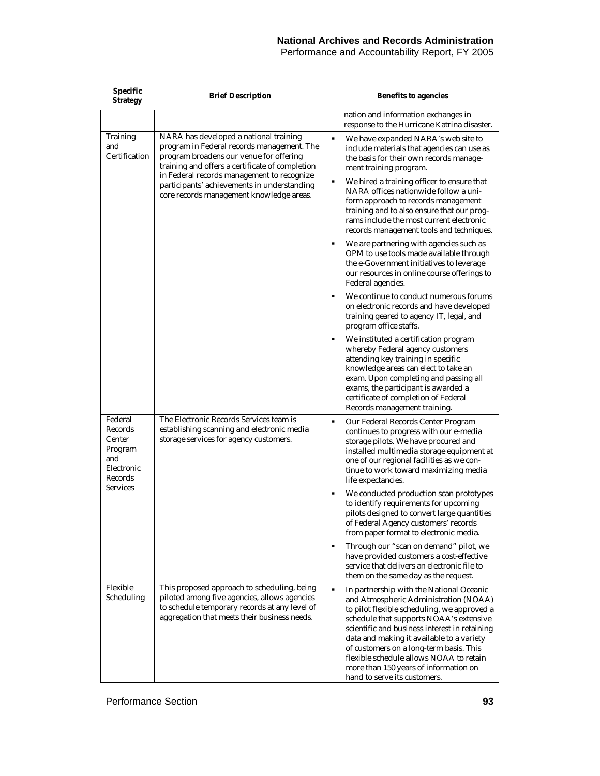| Specific<br><b>Strategy</b>                                             | <b>Brief Description</b>                                                                                                                                                                                                                                                                                                    | <b>Benefits to agencies</b>                                                                                                                                                                                                                                                                                                                                                                                                                                |
|-------------------------------------------------------------------------|-----------------------------------------------------------------------------------------------------------------------------------------------------------------------------------------------------------------------------------------------------------------------------------------------------------------------------|------------------------------------------------------------------------------------------------------------------------------------------------------------------------------------------------------------------------------------------------------------------------------------------------------------------------------------------------------------------------------------------------------------------------------------------------------------|
|                                                                         |                                                                                                                                                                                                                                                                                                                             | nation and information exchanges in<br>response to the Hurricane Katrina disaster.                                                                                                                                                                                                                                                                                                                                                                         |
| Training<br>and<br>Certification                                        | NARA has developed a national training<br>program in Federal records management. The<br>program broadens our venue for offering<br>training and offers a certificate of completion<br>in Federal records management to recognize<br>participants' achievements in understanding<br>core records management knowledge areas. | ٠<br>We have expanded NARA's web site to<br>include materials that agencies can use as<br>the basis for their own records manage-<br>ment training program.<br>We hired a training officer to ensure that<br>٠<br>NARA offices nationwide follow a uni-<br>form approach to records management<br>training and to also ensure that our prog-<br>rams include the most current electronic<br>records management tools and techniques.                       |
|                                                                         |                                                                                                                                                                                                                                                                                                                             | ٠<br>We are partnering with agencies such as<br>OPM to use tools made available through<br>the e-Government initiatives to leverage<br>our resources in online course offerings to<br>Federal agencies.                                                                                                                                                                                                                                                    |
|                                                                         |                                                                                                                                                                                                                                                                                                                             | $\blacksquare$<br>We continue to conduct numerous forums<br>on electronic records and have developed<br>training geared to agency IT, legal, and<br>program office staffs.                                                                                                                                                                                                                                                                                 |
|                                                                         |                                                                                                                                                                                                                                                                                                                             | We instituted a certification program<br>٠<br>whereby Federal agency customers<br>attending key training in specific<br>knowledge areas can elect to take an<br>exam. Upon completing and passing all<br>exams, the participant is awarded a<br>certificate of completion of Federal<br>Records management training.                                                                                                                                       |
| Federal<br>Records<br>Center<br>Program<br>and<br>Electronic<br>Records | The Electronic Records Services team is<br>establishing scanning and electronic media<br>storage services for agency customers.                                                                                                                                                                                             | ٠<br>Our Federal Records Center Program<br>continues to progress with our e-media<br>storage pilots. We have procured and<br>installed multimedia storage equipment at<br>one of our regional facilities as we con-<br>tinue to work toward maximizing media<br>life expectancies.                                                                                                                                                                         |
| Services                                                                |                                                                                                                                                                                                                                                                                                                             | We conducted production scan prototypes<br>٠<br>to identify requirements for upcoming<br>pilots designed to convert large quantities<br>of Federal Agency customers' records<br>from paper format to electronic media.                                                                                                                                                                                                                                     |
|                                                                         |                                                                                                                                                                                                                                                                                                                             | Through our "scan on demand" pilot, we<br>٠<br>have provided customers a cost-effective<br>service that delivers an electronic file to<br>them on the same day as the request.                                                                                                                                                                                                                                                                             |
| Flexible<br>Scheduling                                                  | This proposed approach to scheduling, being<br>piloted among five agencies, allows agencies<br>to schedule temporary records at any level of<br>aggregation that meets their business needs.                                                                                                                                | $\blacksquare$<br>In partnership with the National Oceanic<br>and Atmospheric Administration (NOAA)<br>to pilot flexible scheduling, we approved a<br>schedule that supports NOAA's extensive<br>scientific and business interest in retaining<br>data and making it available to a variety<br>of customers on a long-term basis. This<br>flexible schedule allows NOAA to retain<br>more than 150 years of information on<br>hand to serve its customers. |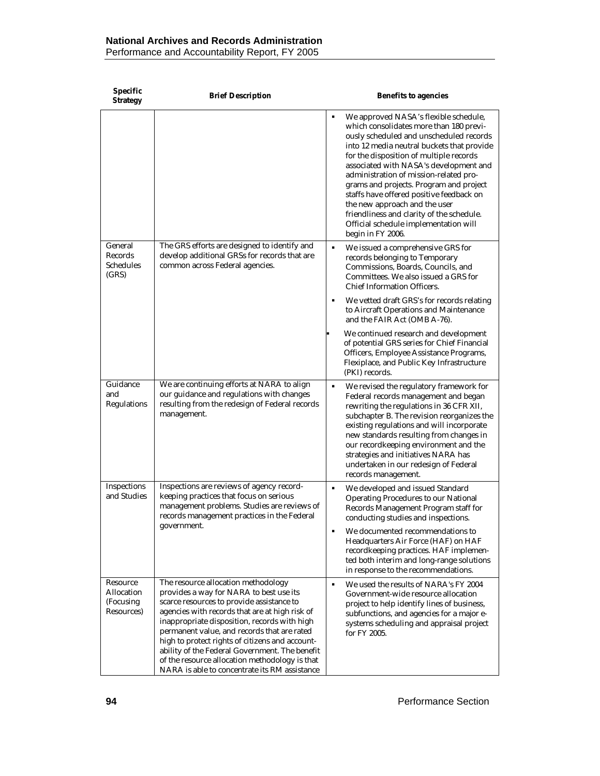| Specific<br><b>Strategy</b>                       | <b>Brief Description</b>                                                                                                                                                                                                                                                                                                                                                                                                                                                             | <b>Benefits to agencies</b>                                                                                                                                                                                                                                                                                                                                                                                                                                                                                                                      |
|---------------------------------------------------|--------------------------------------------------------------------------------------------------------------------------------------------------------------------------------------------------------------------------------------------------------------------------------------------------------------------------------------------------------------------------------------------------------------------------------------------------------------------------------------|--------------------------------------------------------------------------------------------------------------------------------------------------------------------------------------------------------------------------------------------------------------------------------------------------------------------------------------------------------------------------------------------------------------------------------------------------------------------------------------------------------------------------------------------------|
|                                                   |                                                                                                                                                                                                                                                                                                                                                                                                                                                                                      | We approved NASA's flexible schedule,<br>٠<br>which consolidates more than 180 previ-<br>ously scheduled and unscheduled records<br>into 12 media neutral buckets that provide<br>for the disposition of multiple records<br>associated with NASA's development and<br>administration of mission-related pro-<br>grams and projects. Program and project<br>staffs have offered positive feedback on<br>the new approach and the user<br>friendliness and clarity of the schedule.<br>Official schedule implementation will<br>begin in FY 2006. |
| General<br>Records<br>Schedules<br>(GRS)          | The GRS efforts are designed to identify and<br>develop additional GRSs for records that are<br>common across Federal agencies.                                                                                                                                                                                                                                                                                                                                                      | We issued a comprehensive GRS for<br>٠<br>records belonging to Temporary<br>Commissions, Boards, Councils, and<br>Committees. We also issued a GRS for<br><b>Chief Information Officers.</b>                                                                                                                                                                                                                                                                                                                                                     |
|                                                   |                                                                                                                                                                                                                                                                                                                                                                                                                                                                                      | We vetted draft GRS's for records relating<br>to Aircraft Operations and Maintenance<br>and the FAIR Act (OMB A-76).                                                                                                                                                                                                                                                                                                                                                                                                                             |
|                                                   |                                                                                                                                                                                                                                                                                                                                                                                                                                                                                      | We continued research and development<br>of potential GRS series for Chief Financial<br>Officers, Employee Assistance Programs,<br>Flexiplace, and Public Key Infrastructure<br>(PKI) records.                                                                                                                                                                                                                                                                                                                                                   |
| Guidance<br>and<br>Regulations                    | We are continuing efforts at NARA to align<br>our guidance and regulations with changes<br>resulting from the redesign of Federal records<br>management.                                                                                                                                                                                                                                                                                                                             | We revised the regulatory framework for<br>٠<br>Federal records management and began<br>rewriting the regulations in 36 CFR XII,<br>subchapter B. The revision reorganizes the<br>existing regulations and will incorporate<br>new standards resulting from changes in<br>our recordkeeping environment and the<br>strategies and initiatives NARA has<br>undertaken in our redesign of Federal<br>records management.                                                                                                                           |
| Inspections<br>and Studies                        | Inspections are reviews of agency record-<br>keeping practices that focus on serious<br>management problems. Studies are reviews of<br>records management practices in the Federal                                                                                                                                                                                                                                                                                                   | We developed and issued Standard<br>٠<br><b>Operating Procedures to our National</b><br>Records Management Program staff for<br>conducting studies and inspections.                                                                                                                                                                                                                                                                                                                                                                              |
|                                                   | government.                                                                                                                                                                                                                                                                                                                                                                                                                                                                          | We documented recommendations to<br>Headquarters Air Force (HAF) on HAF<br>recordkeeping practices. HAF implemen-<br>ted both interim and long-range solutions<br>in response to the recommendations.                                                                                                                                                                                                                                                                                                                                            |
| Resource<br>Allocation<br>(Focusing<br>Resources) | The resource allocation methodology<br>provides a way for NARA to best use its<br>scarce resources to provide assistance to<br>agencies with records that are at high risk of<br>inappropriate disposition, records with high<br>permanent value, and records that are rated<br>high to protect rights of citizens and account-<br>ability of the Federal Government. The benefit<br>of the resource allocation methodology is that<br>NARA is able to concentrate its RM assistance | We used the results of NARA's FY 2004<br>Government-wide resource allocation<br>project to help identify lines of business,<br>subfunctions, and agencies for a major e-<br>systems scheduling and appraisal project<br>for FY 2005.                                                                                                                                                                                                                                                                                                             |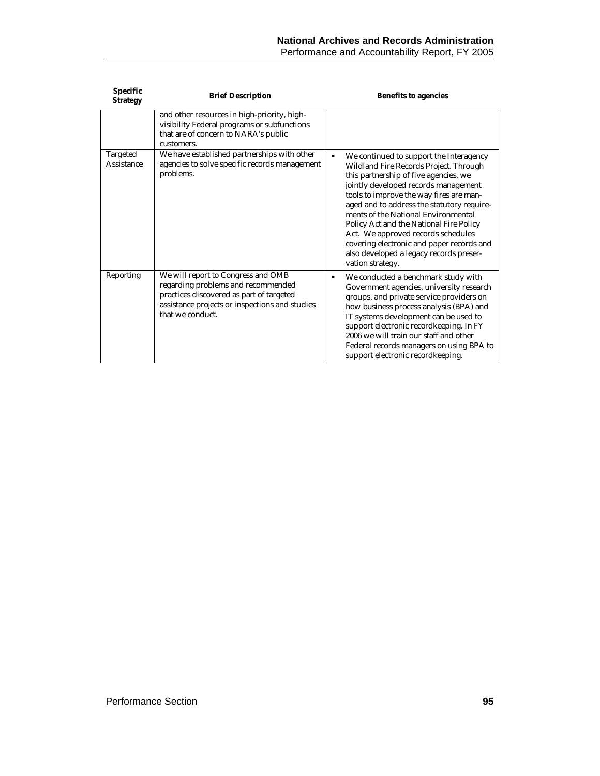| <b>Specific</b><br><b>Strategy</b> | <b>Brief Description</b>                                                                                                                                                                   | <b>Benefits to agencies</b>                                                                                                                                                                                                                                                                                                                                                                                                                                                                     |
|------------------------------------|--------------------------------------------------------------------------------------------------------------------------------------------------------------------------------------------|-------------------------------------------------------------------------------------------------------------------------------------------------------------------------------------------------------------------------------------------------------------------------------------------------------------------------------------------------------------------------------------------------------------------------------------------------------------------------------------------------|
|                                    | and other resources in high-priority, high-<br>visibility Federal programs or subfunctions<br>that are of concern to NARA's public<br>customers.                                           |                                                                                                                                                                                                                                                                                                                                                                                                                                                                                                 |
| Targeted<br>Assistance             | We have established partnerships with other<br>agencies to solve specific records management<br>problems.                                                                                  | We continued to support the Interagency<br>Wildland Fire Records Project. Through<br>this partnership of five agencies, we<br>jointly developed records management<br>tools to improve the way fires are man-<br>aged and to address the statutory require-<br>ments of the National Environmental<br>Policy Act and the National Fire Policy<br>Act. We approved records schedules<br>covering electronic and paper records and<br>also developed a legacy records preser-<br>vation strategy. |
| Reporting                          | We will report to Congress and OMB<br>regarding problems and recommended<br>practices discovered as part of targeted<br>assistance projects or inspections and studies<br>that we conduct. | We conducted a benchmark study with<br>Government agencies, university research<br>groups, and private service providers on<br>how business process analysis (BPA) and<br>IT systems development can be used to<br>support electronic recordkeeping. In FY<br>2006 we will train our staff and other<br>Federal records managers on using BPA to<br>support electronic recordkeeping.                                                                                                           |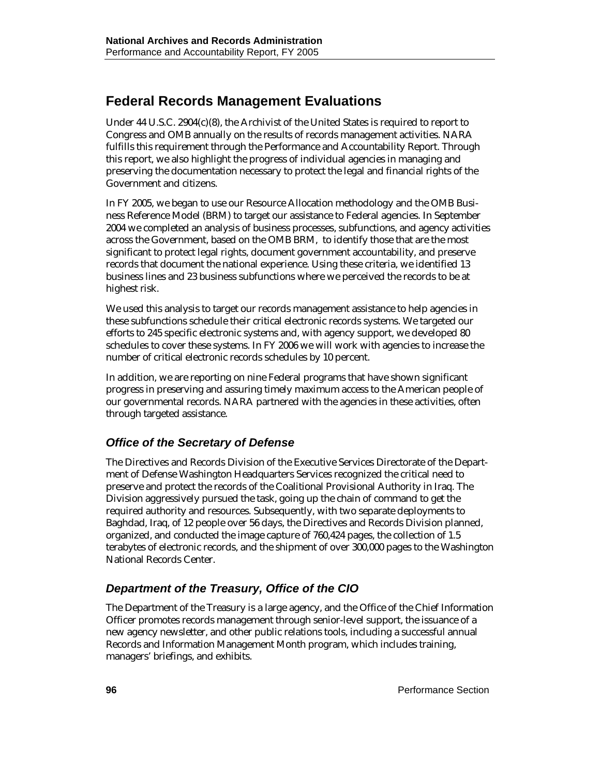# **Federal Records Management Evaluations**

Under 44 U.S.C. 2904(c)(8), the Archivist of the United States is required to report to Congress and OMB annually on the results of records management activities. NARA fulfills this requirement through the Performance and Accountability Report. Through this report, we also highlight the progress of individual agencies in managing and preserving the documentation necessary to protect the legal and financial rights of the Government and citizens.

In FY 2005, we began to use our Resource Allocation methodology and the OMB Business Reference Model (BRM) to target our assistance to Federal agencies. In September 2004 we completed an analysis of business processes, subfunctions, and agency activities across the Government, based on the OMB BRM, to identify those that are the most significant to protect legal rights, document government accountability, and preserve records that document the national experience. Using these criteria, we identified 13 business lines and 23 business subfunctions where we perceived the records to be at highest risk.

We used this analysis to target our records management assistance to help agencies in these subfunctions schedule their critical electronic records systems. We targeted our efforts to 245 specific electronic systems and, with agency support, we developed 80 schedules to cover these systems. In FY 2006 we will work with agencies to increase the number of critical electronic records schedules by 10 percent.

In addition, we are reporting on nine Federal programs that have shown significant progress in preserving and assuring timely maximum access to the American people of our governmental records. NARA partnered with the agencies in these activities, often through targeted assistance.

#### *Office of the Secretary of Defense*

The Directives and Records Division of the Executive Services Directorate of the Department of Defense Washington Headquarters Services recognized the critical need to preserve and protect the records of the Coalitional Provisional Authority in Iraq. The Division aggressively pursued the task, going up the chain of command to get the required authority and resources. Subsequently, with two separate deployments to Baghdad, Iraq, of 12 people over 56 days, the Directives and Records Division planned, organized, and conducted the image capture of 760,424 pages, the collection of 1.5 terabytes of electronic records, and the shipment of over 300,000 pages to the Washington National Records Center.

#### *Department of the Treasury, Office of the CIO*

The Department of the Treasury is a large agency, and the Office of the Chief Information Officer promotes records management through senior-level support, the issuance of a new agency newsletter, and other public relations tools, including a successful annual Records and Information Management Month program, which includes training, managers' briefings, and exhibits.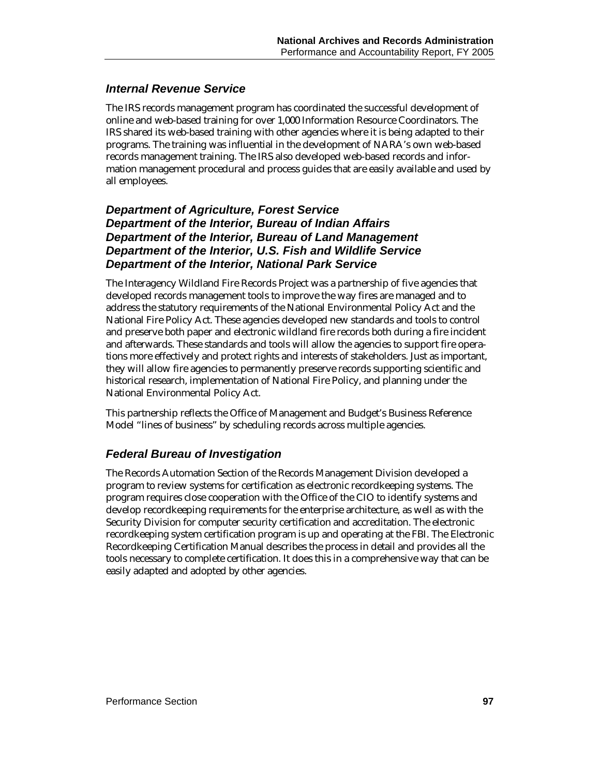#### *Internal Revenue Service*

The IRS records management program has coordinated the successful development of online and web-based training for over 1,000 Information Resource Coordinators. The IRS shared its web-based training with other agencies where it is being adapted to their programs. The training was influential in the development of NARA's own web-based records management training. The IRS also developed web-based records and information management procedural and process guides that are easily available and used by all employees.

#### *Department of Agriculture, Forest Service Department of the Interior, Bureau of Indian Affairs Department of the Interior, Bureau of Land Management Department of the Interior, U.S. Fish and Wildlife Service Department of the Interior, National Park Service*

The Interagency Wildland Fire Records Project was a partnership of five agencies that developed records management tools to improve the way fires are managed and to address the statutory requirements of the National Environmental Policy Act and the National Fire Policy Act. These agencies developed new standards and tools to control and preserve both paper and electronic wildland fire records both during a fire incident and afterwards. These standards and tools will allow the agencies to support fire operations more effectively and protect rights and interests of stakeholders. Just as important, they will allow fire agencies to permanently preserve records supporting scientific and historical research, implementation of National Fire Policy, and planning under the National Environmental Policy Act.

This partnership reflects the Office of Management and Budget's Business Reference Model "lines of business" by scheduling records across multiple agencies.

#### *Federal Bureau of Investigation*

The Records Automation Section of the Records Management Division developed a program to review systems for certification as electronic recordkeeping systems. The program requires close cooperation with the Office of the CIO to identify systems and develop recordkeeping requirements for the enterprise architecture, as well as with the Security Division for computer security certification and accreditation. The electronic recordkeeping system certification program is up and operating at the FBI. The Electronic Recordkeeping Certification Manual describes the process in detail and provides all the tools necessary to complete certification. It does this in a comprehensive way that can be easily adapted and adopted by other agencies.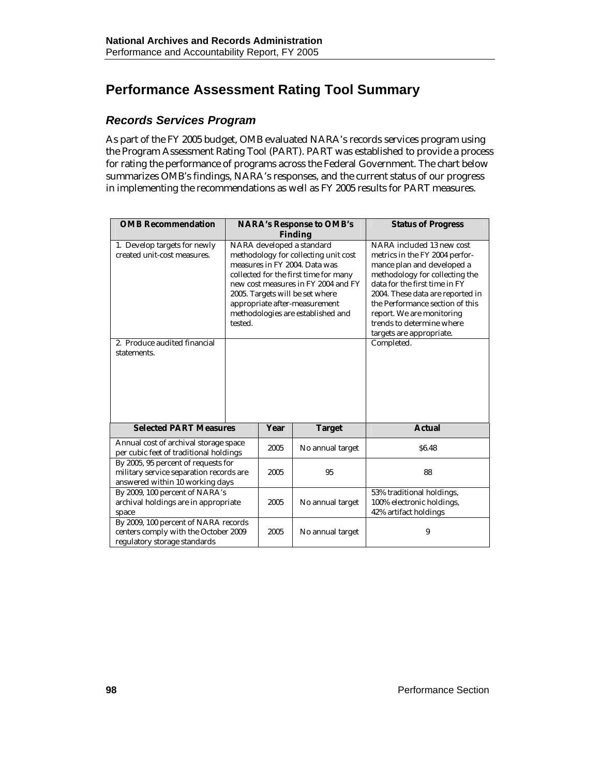# **Performance Assessment Rating Tool Summary**

#### *Records Services Program*

As part of the FY 2005 budget, OMB evaluated NARA's records services program using the Program Assessment Rating Tool (PART). PART was established to provide a process for rating the performance of programs across the Federal Government. The chart below summarizes OMB's findings, NARA's responses, and the current status of our progress in implementing the recommendations as well as FY 2005 results for PART measures.

| <b>OMB Recommendation</b>                                                                                         |                                                                                                                                                                                                                                                                                                        |      | <b>NARA's Response to OMB's</b> | <b>Status of Progress</b>                                                                                                                                                                                                                                                                                                               |
|-------------------------------------------------------------------------------------------------------------------|--------------------------------------------------------------------------------------------------------------------------------------------------------------------------------------------------------------------------------------------------------------------------------------------------------|------|---------------------------------|-----------------------------------------------------------------------------------------------------------------------------------------------------------------------------------------------------------------------------------------------------------------------------------------------------------------------------------------|
|                                                                                                                   |                                                                                                                                                                                                                                                                                                        |      | <b>Finding</b>                  |                                                                                                                                                                                                                                                                                                                                         |
| 1. Develop targets for newly<br>created unit-cost measures.<br>2. Produce audited financial<br>statements.        | NARA developed a standard<br>methodology for collecting unit cost<br>measures in FY 2004. Data was<br>collected for the first time for many<br>new cost measures in FY 2004 and FY<br>2005. Targets will be set where<br>appropriate after-measurement<br>methodologies are established and<br>tested. |      |                                 | NARA included 13 new cost<br>metrics in the FY 2004 perfor-<br>mance plan and developed a<br>methodology for collecting the<br>data for the first time in FY<br>2004. These data are reported in<br>the Performance section of this<br>report. We are monitoring<br>trends to determine where<br>targets are appropriate.<br>Completed. |
| <b>Selected PART Measures</b>                                                                                     |                                                                                                                                                                                                                                                                                                        | Year | <b>Target</b>                   | <b>Actual</b>                                                                                                                                                                                                                                                                                                                           |
| Annual cost of archival storage space<br>per cubic feet of traditional holdings                                   |                                                                                                                                                                                                                                                                                                        | 2005 | No annual target                | <b>S6.48</b>                                                                                                                                                                                                                                                                                                                            |
| By 2005, 95 percent of requests for<br>military service separation records are<br>answered within 10 working days |                                                                                                                                                                                                                                                                                                        | 2005 | 95                              | 88                                                                                                                                                                                                                                                                                                                                      |
| By 2009, 100 percent of NARA's<br>archival holdings are in appropriate<br>space                                   | 2005<br>No annual target                                                                                                                                                                                                                                                                               |      |                                 | 53% traditional holdings,<br>100% electronic holdings,<br>42% artifact holdings                                                                                                                                                                                                                                                         |
| By 2009, 100 percent of NARA records<br>centers comply with the October 2009<br>regulatory storage standards      |                                                                                                                                                                                                                                                                                                        | 2005 | No annual target                | 9                                                                                                                                                                                                                                                                                                                                       |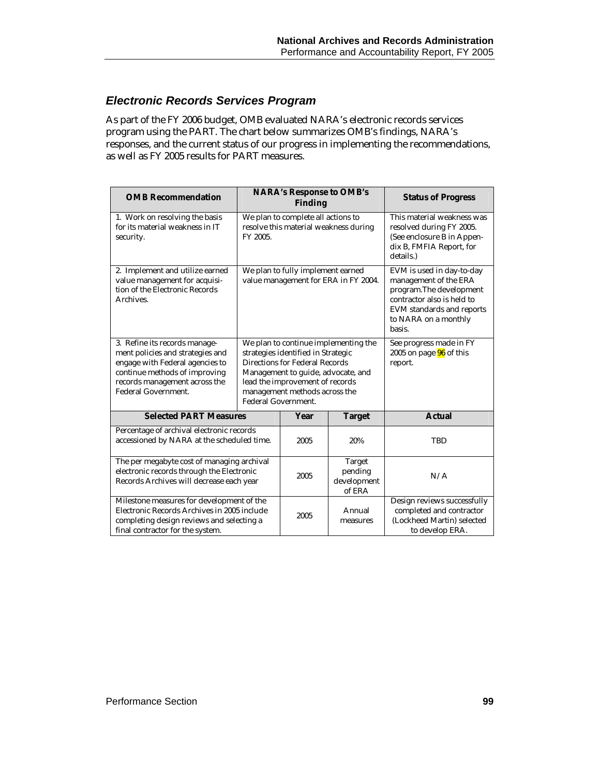### *Electronic Records Services Program*

As part of the FY 2006 budget, OMB evaluated NARA's electronic records services program using the PART. The chart below summarizes OMB's findings, NARA's responses, and the current status of our progress in implementing the recommendations, as well as FY 2005 results for PART measures.

| <b>OMB</b> Recommendation                                                                                                                                                                            |                                                                                                                                                                                                                                               | <b>NARA's Response to OMB's</b><br><b>Finding</b>                         | <b>Status of Progress</b>                                                                                                                                                   |                                                                                                          |  |                                                                                                                               |
|------------------------------------------------------------------------------------------------------------------------------------------------------------------------------------------------------|-----------------------------------------------------------------------------------------------------------------------------------------------------------------------------------------------------------------------------------------------|---------------------------------------------------------------------------|-----------------------------------------------------------------------------------------------------------------------------------------------------------------------------|----------------------------------------------------------------------------------------------------------|--|-------------------------------------------------------------------------------------------------------------------------------|
| 1. Work on resolving the basis<br>for its material weakness in IT<br>security.                                                                                                                       | We plan to complete all actions to<br>resolve this material weakness during<br>FY 2005.                                                                                                                                                       |                                                                           |                                                                                                                                                                             |                                                                                                          |  | This material weakness was<br>resolved during FY 2005.<br>(See enclosure B in Appen-<br>dix B, FMFIA Report, for<br>details.) |
| 2. Implement and utilize earned<br>value management for acquisi-<br>tion of the Electronic Records<br>Archives.                                                                                      |                                                                                                                                                                                                                                               | We plan to fully implement earned<br>value management for ERA in FY 2004. | EVM is used in day-to-day<br>management of the ERA<br>program. The development<br>contractor also is held to<br>EVM standards and reports<br>to NARA on a monthly<br>basis. |                                                                                                          |  |                                                                                                                               |
| 3. Refine its records manage-<br>ment policies and strategies and<br>engage with Federal agencies to<br>continue methods of improving<br>records management across the<br><b>Federal Government.</b> | We plan to continue implementing the<br>strategies identified in Strategic<br>Directions for Federal Records<br>Management to guide, advocate, and<br>lead the improvement of records<br>management methods across the<br>Federal Government. |                                                                           |                                                                                                                                                                             | See progress made in FY<br>2005 on page $96$ of this<br>report.                                          |  |                                                                                                                               |
| <b>Selected PART Measures</b>                                                                                                                                                                        |                                                                                                                                                                                                                                               | Year                                                                      | <b>Target</b>                                                                                                                                                               | <b>Actual</b>                                                                                            |  |                                                                                                                               |
| Percentage of archival electronic records<br>accessioned by NARA at the scheduled time.                                                                                                              |                                                                                                                                                                                                                                               | 2005                                                                      | 20%                                                                                                                                                                         | <b>TBD</b>                                                                                               |  |                                                                                                                               |
| The per megabyte cost of managing archival<br>electronic records through the Electronic<br>Records Archives will decrease each year                                                                  |                                                                                                                                                                                                                                               | 2005                                                                      | Target<br>pending<br>development<br>of ERA                                                                                                                                  | N/A                                                                                                      |  |                                                                                                                               |
| Milestone measures for development of the<br>Electronic Records Archives in 2005 include<br>completing design reviews and selecting a<br>final contractor for the system.                            |                                                                                                                                                                                                                                               | 2005                                                                      | Annual<br>measures                                                                                                                                                          | Design reviews successfully<br>completed and contractor<br>(Lockheed Martin) selected<br>to develop ERA. |  |                                                                                                                               |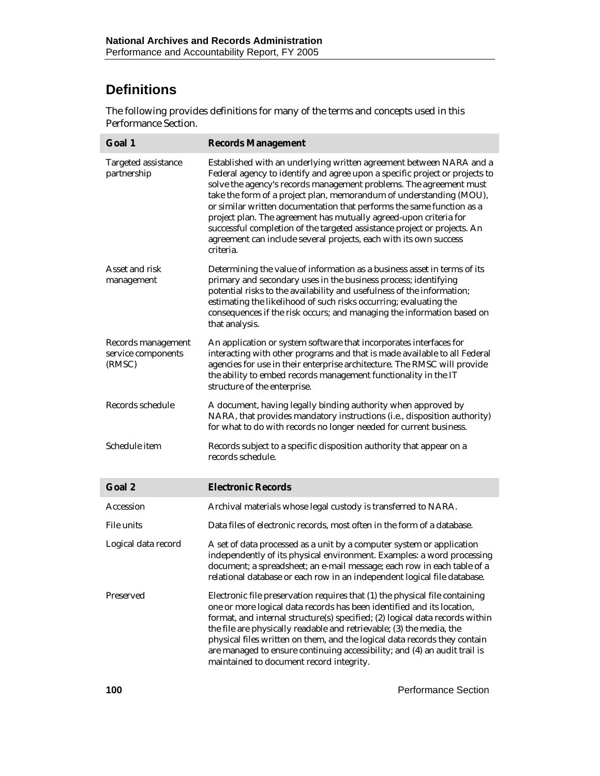# **Definitions**

The following provides definitions for many of the terms and concepts used in this Performance Section.

| Goal 1                                             | <b>Records Management</b>                                                                                                                                                                                                                                                                                                                                                                                                                                                                                                                                                                                   |
|----------------------------------------------------|-------------------------------------------------------------------------------------------------------------------------------------------------------------------------------------------------------------------------------------------------------------------------------------------------------------------------------------------------------------------------------------------------------------------------------------------------------------------------------------------------------------------------------------------------------------------------------------------------------------|
| Targeted assistance<br>partnership                 | Established with an underlying written agreement between NARA and a<br>Federal agency to identify and agree upon a specific project or projects to<br>solve the agency's records management problems. The agreement must<br>take the form of a project plan, memorandum of understanding (MOU),<br>or similar written documentation that performs the same function as a<br>project plan. The agreement has mutually agreed-upon criteria for<br>successful completion of the targeted assistance project or projects. An<br>agreement can include several projects, each with its own success<br>criteria. |
| Asset and risk<br>management                       | Determining the value of information as a business asset in terms of its<br>primary and secondary uses in the business process; identifying<br>potential risks to the availability and usefulness of the information;<br>estimating the likelihood of such risks occurring; evaluating the<br>consequences if the risk occurs; and managing the information based on<br>that analysis.                                                                                                                                                                                                                      |
| Records management<br>service components<br>(RMSC) | An application or system software that incorporates interfaces for<br>interacting with other programs and that is made available to all Federal<br>agencies for use in their enterprise architecture. The RMSC will provide<br>the ability to embed records management functionality in the IT<br>structure of the enterprise.                                                                                                                                                                                                                                                                              |
| Records schedule                                   | A document, having legally binding authority when approved by<br>NARA, that provides mandatory instructions (i.e., disposition authority)<br>for what to do with records no longer needed for current business.                                                                                                                                                                                                                                                                                                                                                                                             |
| Schedule item                                      | Records subject to a specific disposition authority that appear on a<br>records schedule.                                                                                                                                                                                                                                                                                                                                                                                                                                                                                                                   |
| Goal 2                                             | <b>Electronic Records</b>                                                                                                                                                                                                                                                                                                                                                                                                                                                                                                                                                                                   |
| Accession                                          | Archival materials whose legal custody is transferred to NARA.                                                                                                                                                                                                                                                                                                                                                                                                                                                                                                                                              |
| File units                                         | Data files of electronic records, most often in the form of a database.                                                                                                                                                                                                                                                                                                                                                                                                                                                                                                                                     |
| Logical data record                                | A set of data processed as a unit by a computer system or application<br>independently of its physical environment. Examples: a word processing<br>document; a spreadsheet; an e-mail message; each row in each table of a<br>relational database or each row in an independent logical file database.                                                                                                                                                                                                                                                                                                      |
| Preserved                                          | Electronic file preservation requires that (1) the physical file containing<br>one or more logical data records has been identified and its location,<br>format, and internal structure(s) specified; (2) logical data records within<br>the file are physically readable and retrievable; (3) the media, the<br>physical files written on them, and the logical data records they contain<br>are managed to ensure continuing accessibility; and (4) an audit trail is<br>maintained to document record integrity.                                                                                         |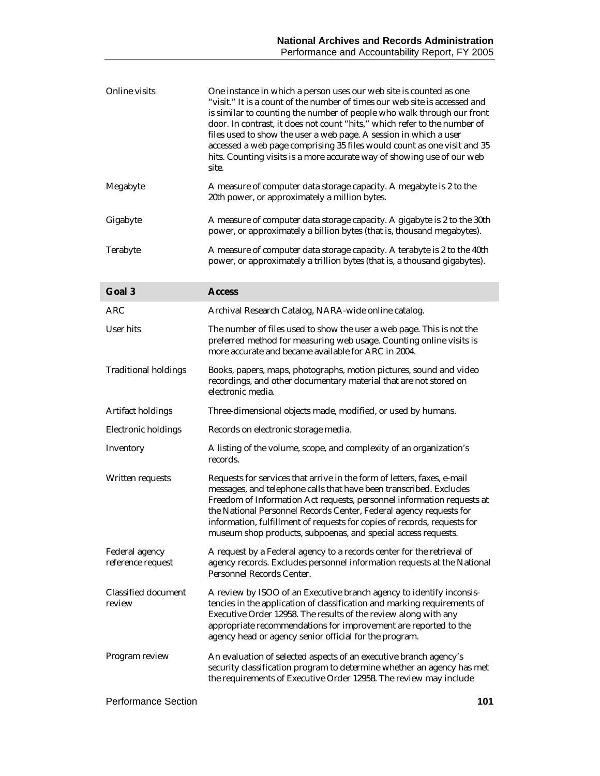| Online visits                       | One instance in which a person uses our web site is counted as one<br>"visit." It is a count of the number of times our web site is accessed and<br>is similar to counting the number of people who walk through our front<br>door. In contrast, it does not count "hits," which refer to the number of<br>files used to show the user a web page. A session in which a user<br>accessed a web page comprising 35 files would count as one visit and 35<br>hits. Counting visits is a more accurate way of showing use of our web<br>site. |
|-------------------------------------|--------------------------------------------------------------------------------------------------------------------------------------------------------------------------------------------------------------------------------------------------------------------------------------------------------------------------------------------------------------------------------------------------------------------------------------------------------------------------------------------------------------------------------------------|
| Megabyte                            | A measure of computer data storage capacity. A megabyte is 2 to the<br>20th power, or approximately a million bytes.                                                                                                                                                                                                                                                                                                                                                                                                                       |
| Gigabyte                            | A measure of computer data storage capacity. A gigabyte is 2 to the 30th<br>power, or approximately a billion bytes (that is, thousand megabytes).                                                                                                                                                                                                                                                                                                                                                                                         |
| Terabyte                            | A measure of computer data storage capacity. A terabyte is 2 to the 40th<br>power, or approximately a trillion bytes (that is, a thousand gigabytes).                                                                                                                                                                                                                                                                                                                                                                                      |
| Goal 3                              | <b>Access</b>                                                                                                                                                                                                                                                                                                                                                                                                                                                                                                                              |
| <b>ARC</b>                          | Archival Research Catalog, NARA-wide online catalog.                                                                                                                                                                                                                                                                                                                                                                                                                                                                                       |
| User hits                           | The number of files used to show the user a web page. This is not the<br>preferred method for measuring web usage. Counting online visits is<br>more accurate and became available for ARC in 2004.                                                                                                                                                                                                                                                                                                                                        |
| <b>Traditional holdings</b>         | Books, papers, maps, photographs, motion pictures, sound and video<br>recordings, and other documentary material that are not stored on<br>electronic media.                                                                                                                                                                                                                                                                                                                                                                               |
| Artifact holdings                   | Three-dimensional objects made, modified, or used by humans.                                                                                                                                                                                                                                                                                                                                                                                                                                                                               |
| Electronic holdings                 | Records on electronic storage media.                                                                                                                                                                                                                                                                                                                                                                                                                                                                                                       |
| Inventory                           | A listing of the volume, scope, and complexity of an organization's<br>records.                                                                                                                                                                                                                                                                                                                                                                                                                                                            |
| Written requests                    | Requests for services that arrive in the form of letters, faxes, e-mail<br>messages, and telephone calls that have been transcribed. Excludes<br>Freedom of Information Act requests, personnel information requests at<br>the National Personnel Records Center, Federal agency requests for<br>information, fulfillment of requests for copies of records, requests for<br>museum shop products, subpoenas, and special access requests.                                                                                                 |
| Federal agency<br>reference request | A request by a Federal agency to a records center for the retrieval of<br>agency records. Excludes personnel information requests at the National<br>Personnel Records Center.                                                                                                                                                                                                                                                                                                                                                             |
| Classified document<br>review       | A review by ISOO of an Executive branch agency to identify inconsis-<br>tencies in the application of classification and marking requirements of<br>Executive Order 12958. The results of the review along with any<br>appropriate recommendations for improvement are reported to the<br>agency head or agency senior official for the program.                                                                                                                                                                                           |
| Program review                      | An evaluation of selected aspects of an executive branch agency's<br>security classification program to determine whether an agency has met<br>the requirements of Executive Order 12958. The review may include                                                                                                                                                                                                                                                                                                                           |
| <b>Performance Section</b>          | 101                                                                                                                                                                                                                                                                                                                                                                                                                                                                                                                                        |